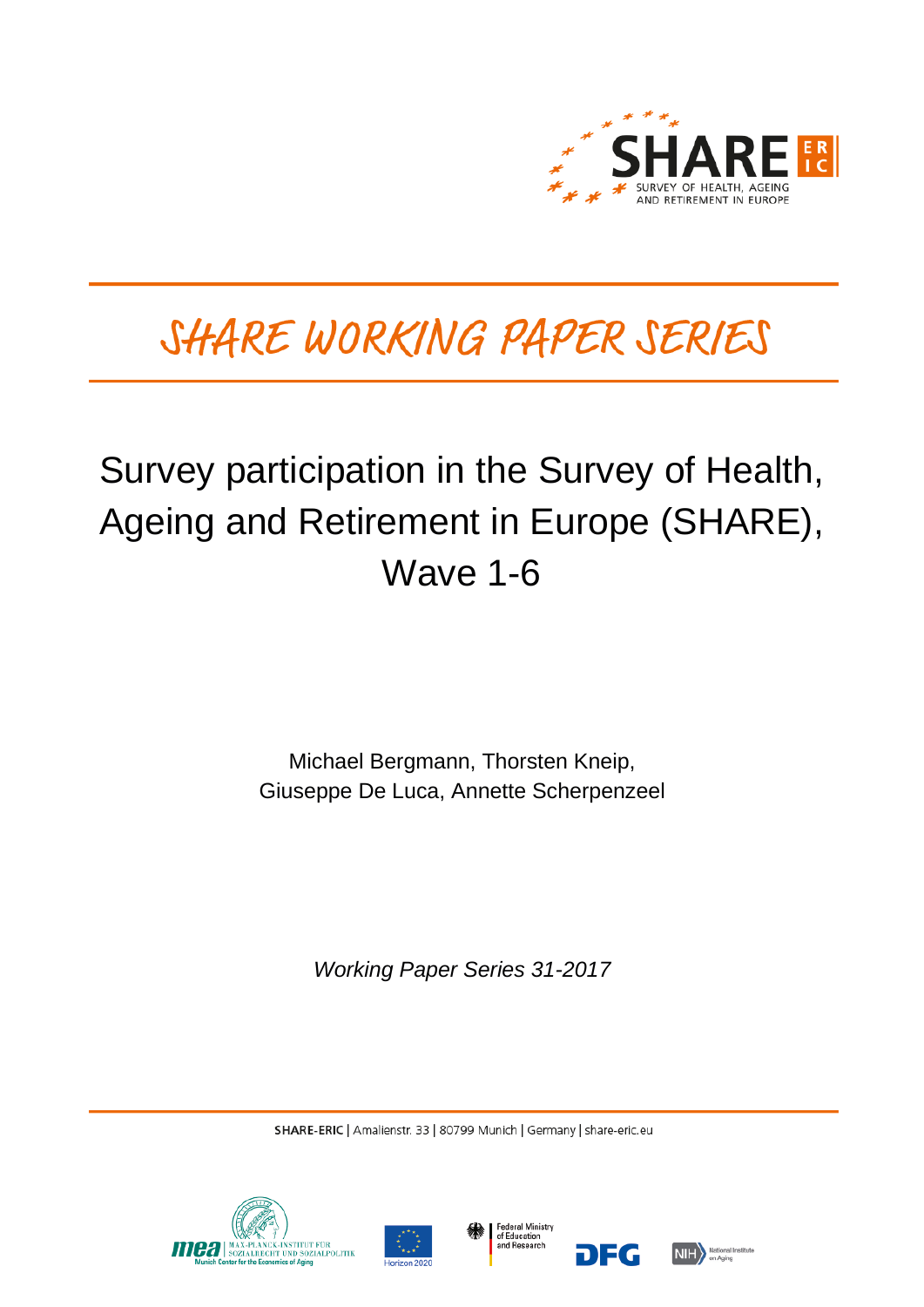

# SHARE WORKING PAPER SERIES

## Survey participation in the Survey of Health, Ageing and Retirement in Europe (SHARE), Wave 1-6

Michael Bergmann, Thorsten Kneip, Giuseppe De Luca, Annette Scherpenzeel

*Working Paper Series 31-2017*

SHARE-ERIC | Amalienstr. 33 | 80799 Munich | Germany | share-eric.eu







ne o

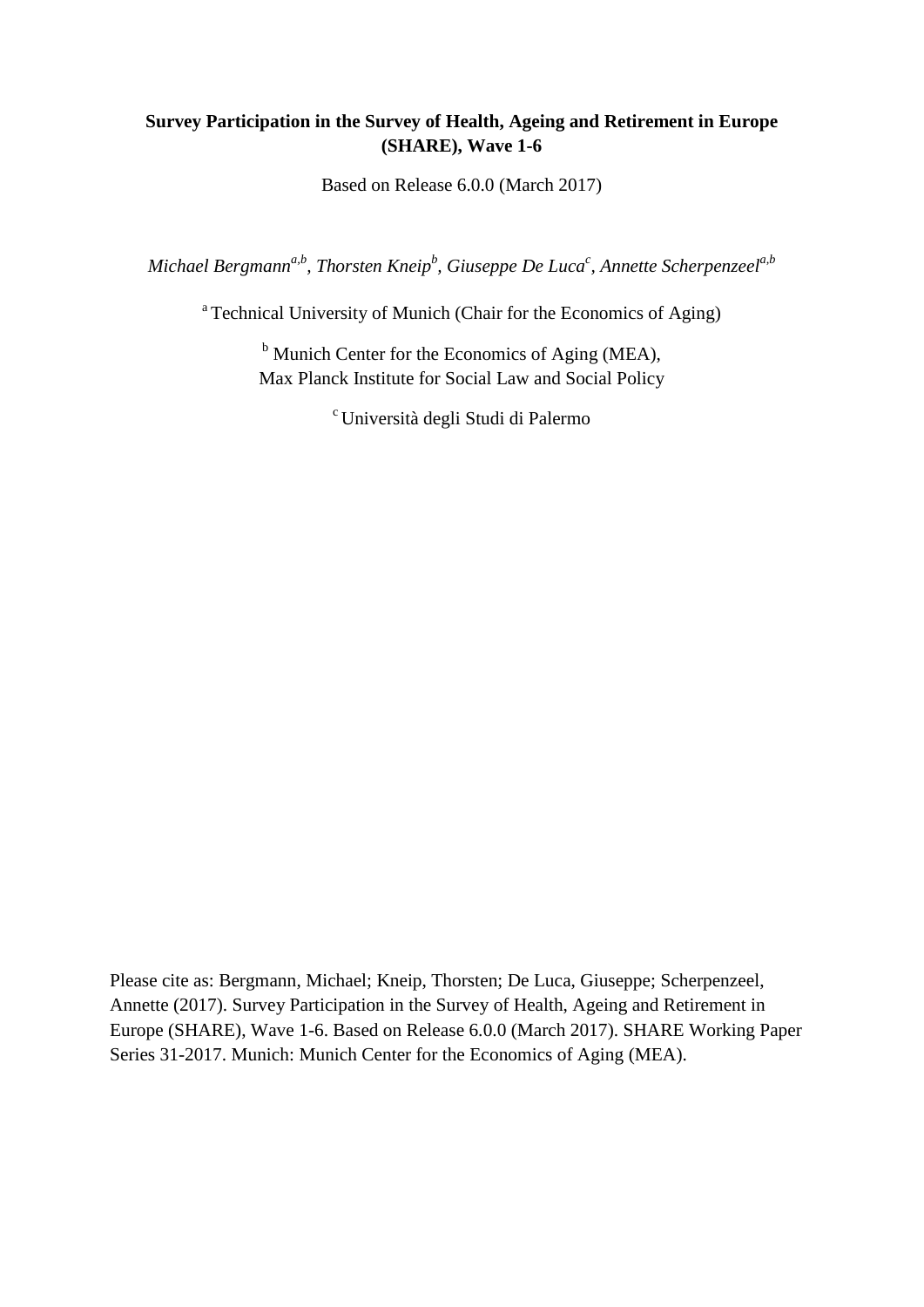## **Survey Participation in the Survey of Health, Ageing and Retirement in Europe (SHARE), Wave 1-6**

Based on Release 6.0.0 (March 2017)

 $M$ ichael Bergmann<sup>a,b</sup>, Thorsten Kneip<sup>b</sup>, Giuseppe De Luca<sup>c</sup>, Annette Scherpenzeel<sup>a,b</sup>

<sup>a</sup> Technical University of Munich (Chair for the Economics of Aging)

 $<sup>b</sup>$  Munich Center for the Economics of Aging (MEA),</sup> Max Planck Institute for Social Law and Social Policy

c Università degli Studi di Palermo

Please cite as: Bergmann, Michael; Kneip, Thorsten; De Luca, Giuseppe; Scherpenzeel, Annette (2017). Survey Participation in the Survey of Health, Ageing and Retirement in Europe (SHARE), Wave 1-6. Based on Release 6.0.0 (March 2017). SHARE Working Paper Series 31-2017. Munich: Munich Center for the Economics of Aging (MEA).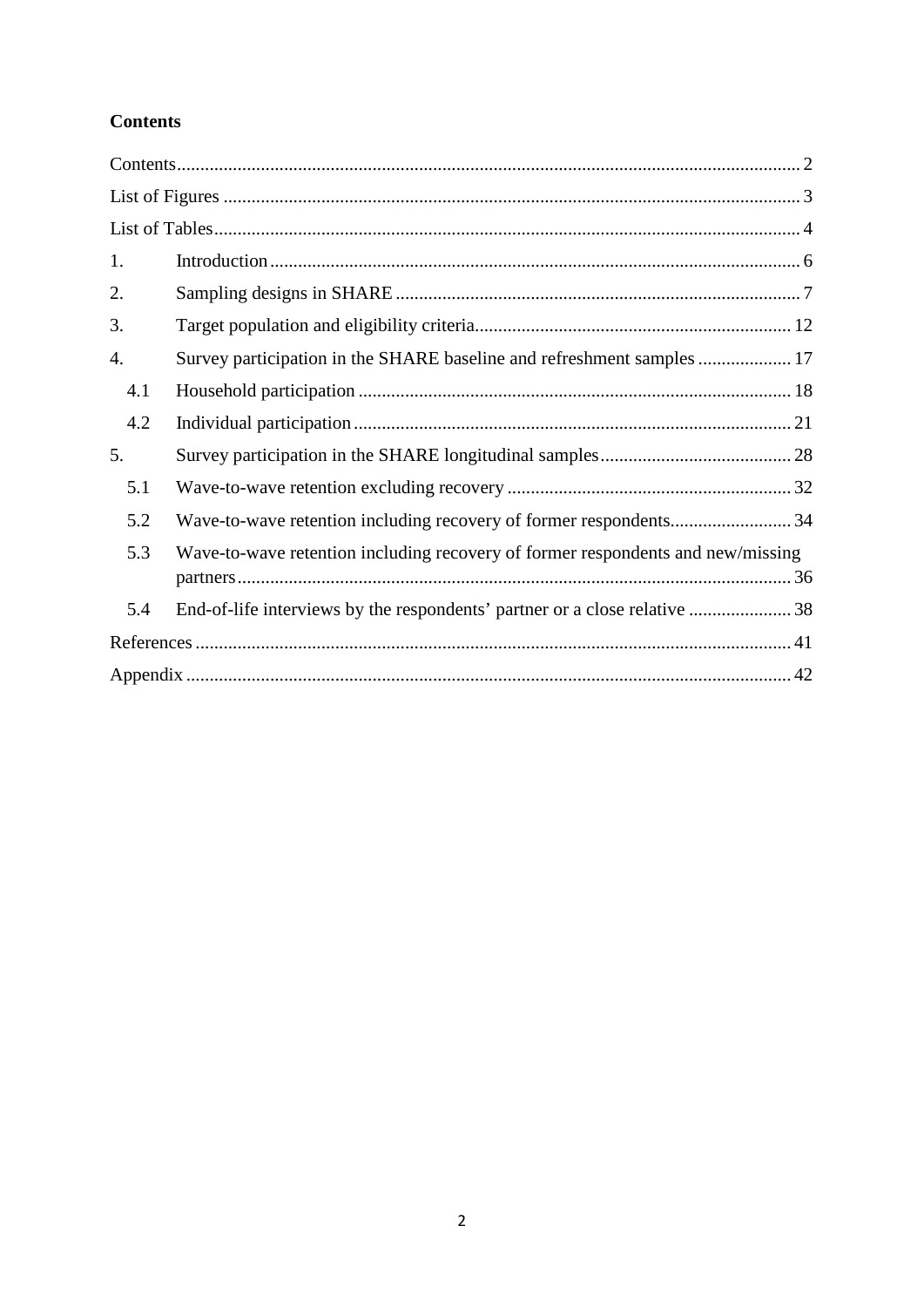## <span id="page-2-0"></span>**Contents**

| 1.  |                                                                                 |
|-----|---------------------------------------------------------------------------------|
| 2.  |                                                                                 |
| 3.  |                                                                                 |
| 4.  | Survey participation in the SHARE baseline and refreshment samples  17          |
| 4.1 |                                                                                 |
| 4.2 |                                                                                 |
| 5.  |                                                                                 |
| 5.1 |                                                                                 |
| 5.2 | Wave-to-wave retention including recovery of former respondents34               |
| 5.3 | Wave-to-wave retention including recovery of former respondents and new/missing |
| 5.4 | End-of-life interviews by the respondents' partner or a close relative 38       |
|     |                                                                                 |
|     |                                                                                 |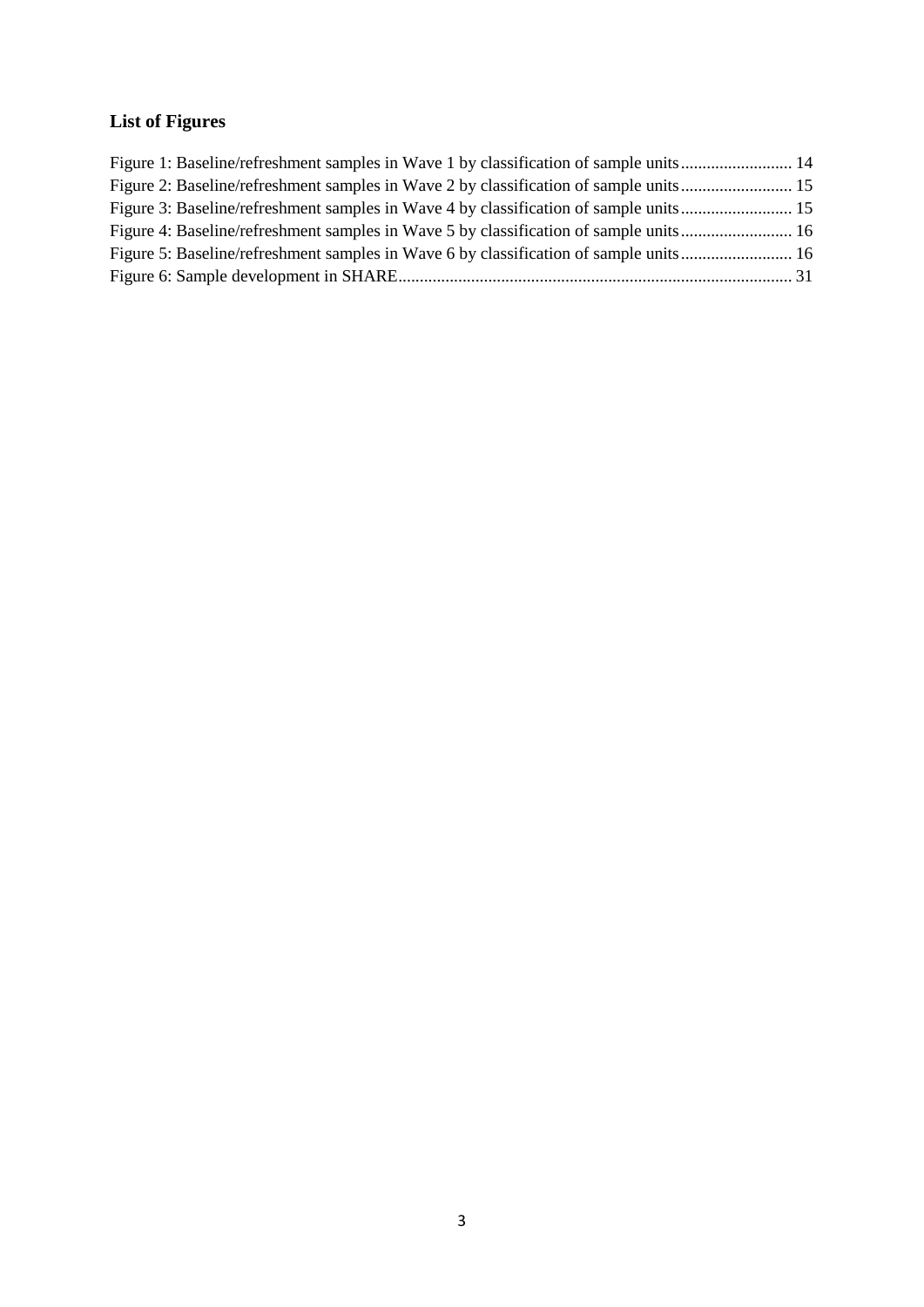## <span id="page-3-0"></span>**List of Figures**

| Figure 1: Baseline/refreshment samples in Wave 1 by classification of sample units 14 |  |
|---------------------------------------------------------------------------------------|--|
| Figure 2: Baseline/refreshment samples in Wave 2 by classification of sample units 15 |  |
| Figure 3: Baseline/refreshment samples in Wave 4 by classification of sample units 15 |  |
| Figure 4: Baseline/refreshment samples in Wave 5 by classification of sample units 16 |  |
| Figure 5: Baseline/refreshment samples in Wave 6 by classification of sample units 16 |  |
|                                                                                       |  |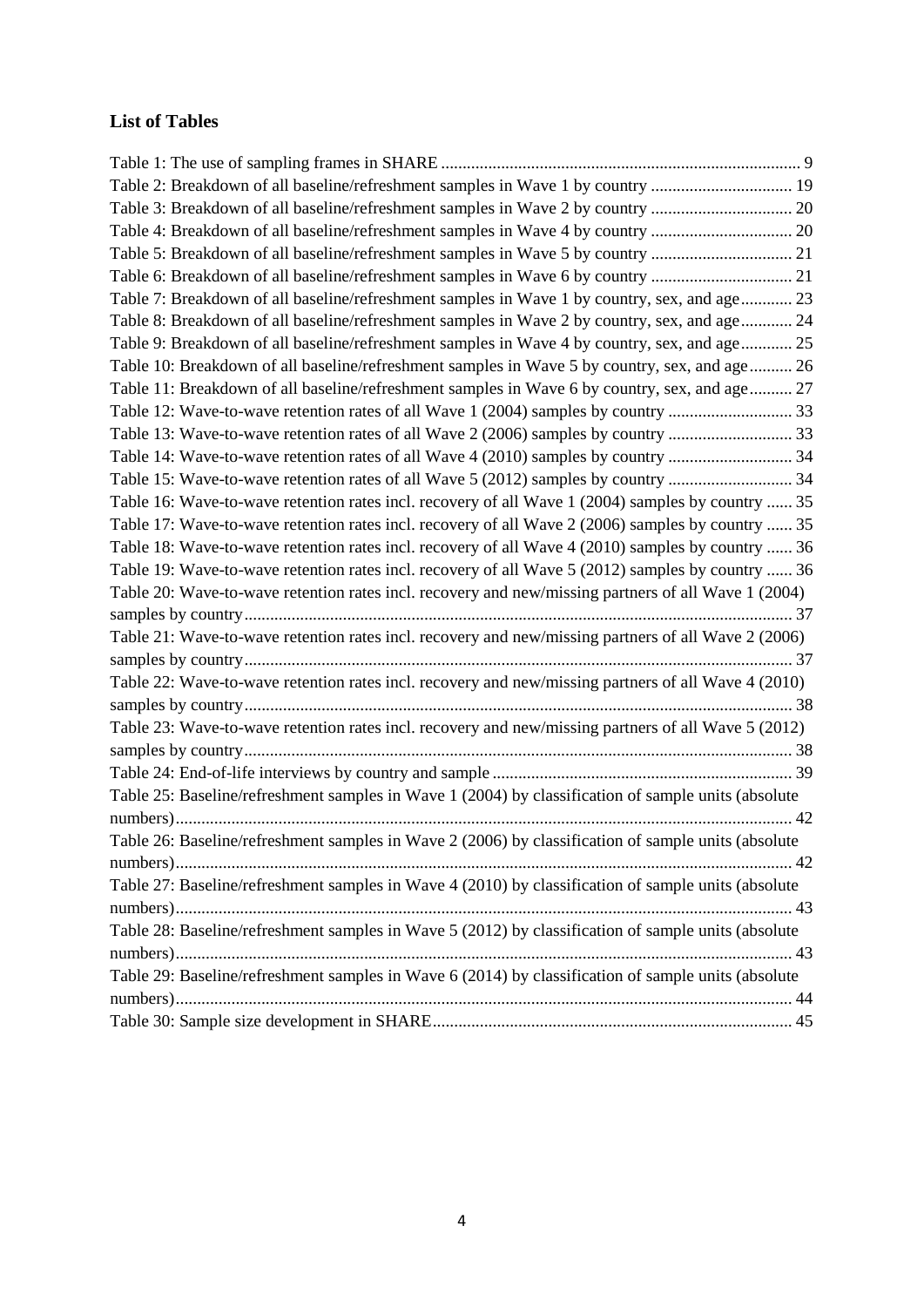## <span id="page-4-0"></span>**List of Tables**

| Table 2: Breakdown of all baseline/refreshment samples in Wave 1 by country  19                     |
|-----------------------------------------------------------------------------------------------------|
|                                                                                                     |
| Table 4: Breakdown of all baseline/refreshment samples in Wave 4 by country  20                     |
|                                                                                                     |
|                                                                                                     |
| Table 7: Breakdown of all baseline/refreshment samples in Wave 1 by country, sex, and age 23        |
| Table 8: Breakdown of all baseline/refreshment samples in Wave 2 by country, sex, and age 24        |
| Table 9: Breakdown of all baseline/refreshment samples in Wave 4 by country, sex, and age 25        |
| Table 10: Breakdown of all baseline/refreshment samples in Wave 5 by country, sex, and age 26       |
| Table 11: Breakdown of all baseline/refreshment samples in Wave 6 by country, sex, and age 27       |
|                                                                                                     |
|                                                                                                     |
| Table 14: Wave-to-wave retention rates of all Wave 4 (2010) samples by country  34                  |
|                                                                                                     |
| Table 16: Wave-to-wave retention rates incl. recovery of all Wave 1 (2004) samples by country  35   |
| Table 17: Wave-to-wave retention rates incl. recovery of all Wave 2 (2006) samples by country  35   |
| Table 18: Wave-to-wave retention rates incl. recovery of all Wave 4 (2010) samples by country  36   |
| Table 19: Wave-to-wave retention rates incl. recovery of all Wave 5 (2012) samples by country  36   |
| Table 20: Wave-to-wave retention rates incl. recovery and new/missing partners of all Wave 1 (2004) |
|                                                                                                     |
| Table 21: Wave-to-wave retention rates incl. recovery and new/missing partners of all Wave 2 (2006) |
|                                                                                                     |
| Table 22: Wave-to-wave retention rates incl. recovery and new/missing partners of all Wave 4 (2010) |
|                                                                                                     |
| Table 23: Wave-to-wave retention rates incl. recovery and new/missing partners of all Wave 5 (2012) |
|                                                                                                     |
|                                                                                                     |
| Table 25: Baseline/refreshment samples in Wave 1 (2004) by classification of sample units (absolute |
|                                                                                                     |
| Table 26: Baseline/refreshment samples in Wave 2 (2006) by classification of sample units (absolute |
|                                                                                                     |
| Table 27: Baseline/refreshment samples in Wave 4 (2010) by classification of sample units (absolute |
|                                                                                                     |
| Table 28: Baseline/refreshment samples in Wave 5 (2012) by classification of sample units (absolute |
|                                                                                                     |
| Table 29: Baseline/refreshment samples in Wave 6 (2014) by classification of sample units (absolute |
|                                                                                                     |
|                                                                                                     |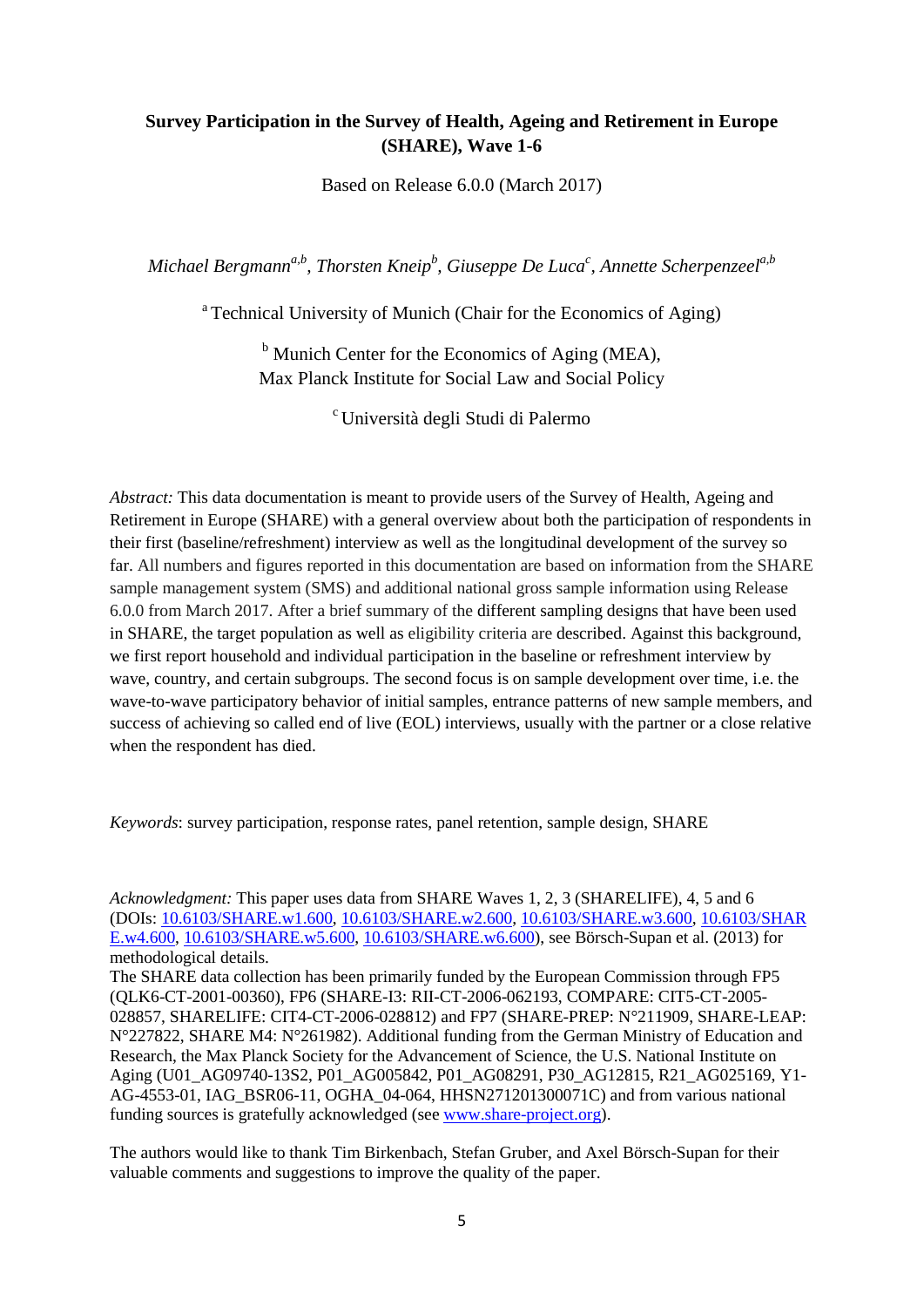### **Survey Participation in the Survey of Health, Ageing and Retirement in Europe (SHARE), Wave 1-6**

Based on Release 6.0.0 (March 2017)

 $M$ ichael Bergmann<sup>a,b</sup>, Thorsten Kneip<sup>b</sup>, Giuseppe De Luca<sup>c</sup>, Annette Scherpenzeel<sup>a,b</sup>

<sup>a</sup> Technical University of Munich (Chair for the Economics of Aging)

 $<sup>b</sup>$  Munich Center for the Economics of Aging (MEA),</sup> Max Planck Institute for Social Law and Social Policy

c Università degli Studi di Palermo

*Abstract:* This data documentation is meant to provide users of the Survey of Health, Ageing and Retirement in Europe (SHARE) with a general overview about both the participation of respondents in their first (baseline/refreshment) interview as well as the longitudinal development of the survey so far. All numbers and figures reported in this documentation are based on information from the SHARE sample management system (SMS) and additional national gross sample information using Release 6.0.0 from March 2017. After a brief summary of the different sampling designs that have been used in SHARE, the target population as well as eligibility criteria are described. Against this background, we first report household and individual participation in the baseline or refreshment interview by wave, country, and certain subgroups. The second focus is on sample development over time, i.e. the wave-to-wave participatory behavior of initial samples, entrance patterns of new sample members, and success of achieving so called end of live (EOL) interviews, usually with the partner or a close relative when the respondent has died.

*Keywords*: survey participation, response rates, panel retention, sample design, SHARE

*Acknowledgment:* This paper uses data from SHARE Waves 1, 2, 3 (SHARELIFE), 4, 5 and 6 (DOIs: [10.6103/SHARE.w1.600,](http://dx.doi.org/10.6103/SHARE.w1.600) [10.6103/SHARE.w2.600,](http://dx.doi.org/10.6103/SHARE.w2.600) [10.6103/SHARE.w3.600,](http://dx.doi.org/10.6103/SHARE.w3.600) [10.6103/SHAR](http://dx.doi.org/10.6103/SHARE.w4.600) [E.w4.600,](http://dx.doi.org/10.6103/SHARE.w4.600) [10.6103/SHARE.w5.600,](http://dx.doi.org/10.6103/SHARE.w5.600) [10.6103/SHARE.w6.600\)](http://dx.doi.org/10.6103/SHARE.w6.600), see Börsch-Supan et al. [\(2013\)](#page-41-1) for methodological details.

The SHARE data collection has been primarily funded by the European Commission through FP5 (QLK6-CT-2001-00360), FP6 (SHARE-I3: RII-CT-2006-062193, COMPARE: CIT5-CT-2005- 028857, SHARELIFE: CIT4-CT-2006-028812) and FP7 (SHARE-PREP: N°211909, SHARE-LEAP: N°227822, SHARE M4: N°261982). Additional funding from the German Ministry of Education and Research, the Max Planck Society for the Advancement of Science, the U.S. National Institute on Aging (U01\_AG09740-13S2, P01\_AG005842, P01\_AG08291, P30\_AG12815, R21\_AG025169, Y1- AG-4553-01, IAG\_BSR06-11, OGHA\_04-064, HHSN271201300071C) and from various national funding sources is gratefully acknowledged (see [www.share-project.org\)](http://www.share-project.org/).

The authors would like to thank Tim Birkenbach, Stefan Gruber, and Axel Börsch-Supan for their valuable comments and suggestions to improve the quality of the paper.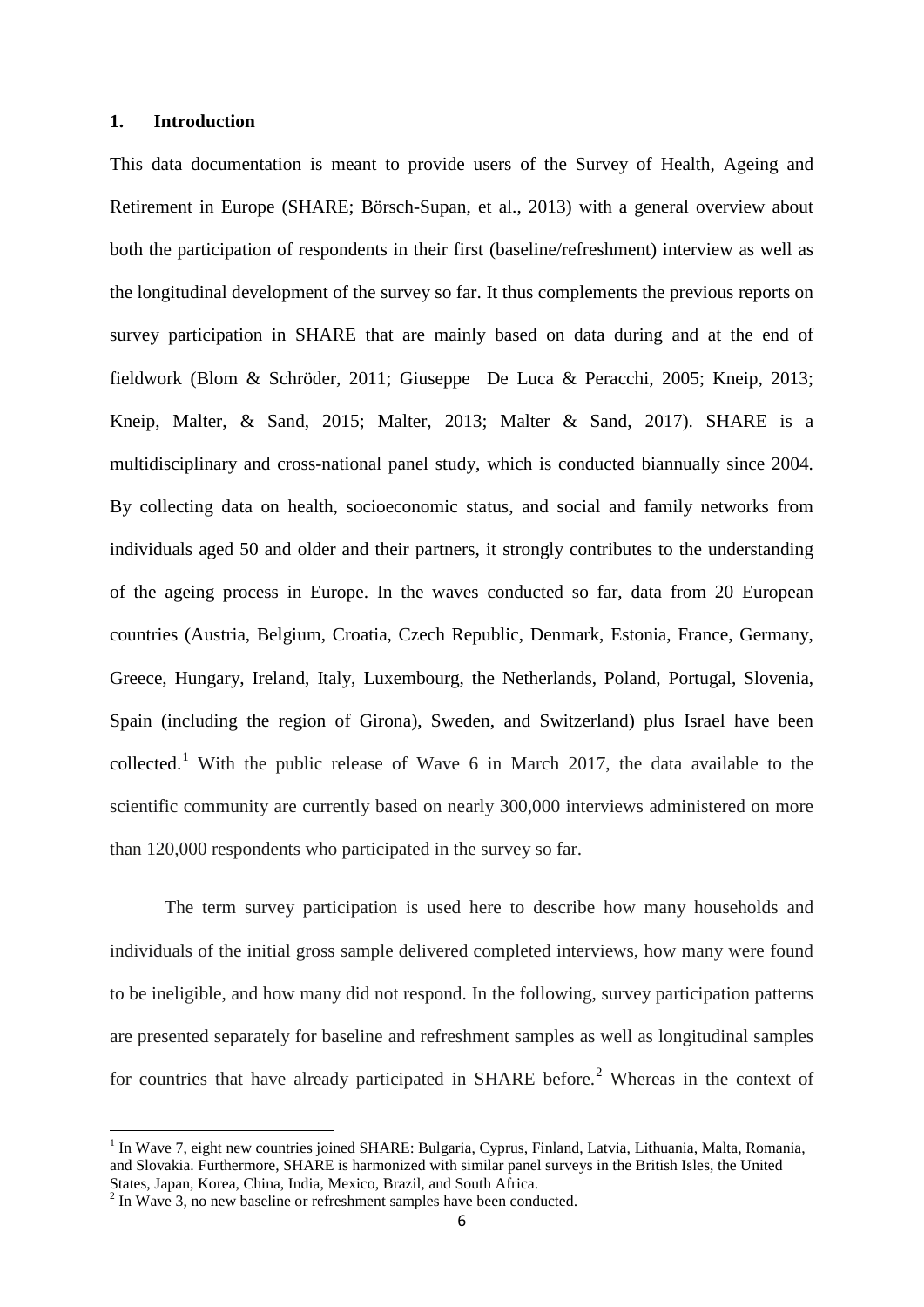#### <span id="page-6-0"></span>**1. Introduction**

This data documentation is meant to provide users of the Survey of Health, Ageing and Retirement in Europe [\(SHARE; Börsch-Supan, et al., 2013\)](#page-41-1) with a general overview about both the participation of respondents in their first (baseline/refreshment) interview as well as the longitudinal development of the survey so far. It thus complements the previous reports on survey participation in SHARE that are mainly based on data during and at the end of fieldwork [\(Blom & Schröder, 2011;](#page-41-2) [Giuseppe De Luca & Peracchi, 2005;](#page-41-3) [Kneip, 2013;](#page-41-4) [Kneip, Malter, & Sand, 2015;](#page-41-5) [Malter, 2013;](#page-41-6) [Malter & Sand, 2017\)](#page-41-7). SHARE is a multidisciplinary and cross-national panel study, which is conducted biannually since 2004. By collecting data on health, socioeconomic status, and social and family networks from individuals aged 50 and older and their partners, it strongly contributes to the understanding of the ageing process in Europe. In the waves conducted so far, data from 20 European countries (Austria, Belgium, Croatia, Czech Republic, Denmark, Estonia, France, Germany, Greece, Hungary, Ireland, Italy, Luxembourg, the Netherlands, Poland, Portugal, Slovenia, Spain (including the region of Girona), Sweden, and Switzerland) plus Israel have been collected.<sup>[1](#page-6-1)</sup> With the public release of Wave 6 in March 2017, the data available to the scientific community are currently based on nearly 300,000 interviews administered on more than 120,000 respondents who participated in the survey so far.

The term survey participation is used here to describe how many households and individuals of the initial gross sample delivered completed interviews, how many were found to be ineligible, and how many did not respond. In the following, survey participation patterns are presented separately for baseline and refreshment samples as well as longitudinal samples for countries that have already participated in SHARE before.<sup>[2](#page-6-2)</sup> Whereas in the context of

 $\overline{a}$ 

<span id="page-6-1"></span><sup>&</sup>lt;sup>1</sup> In Wave 7, eight new countries joined SHARE: Bulgaria, Cyprus, Finland, Latvia, Lithuania, Malta, Romania, and Slovakia. Furthermore, SHARE is harmonized with similar panel surveys in the British Isles, the United States, Japan, Korea, China, India, Mexico, Brazil, and South Africa.

<span id="page-6-2"></span><sup>&</sup>lt;sup>2</sup> In Wave 3, no new baseline or refreshment samples have been conducted.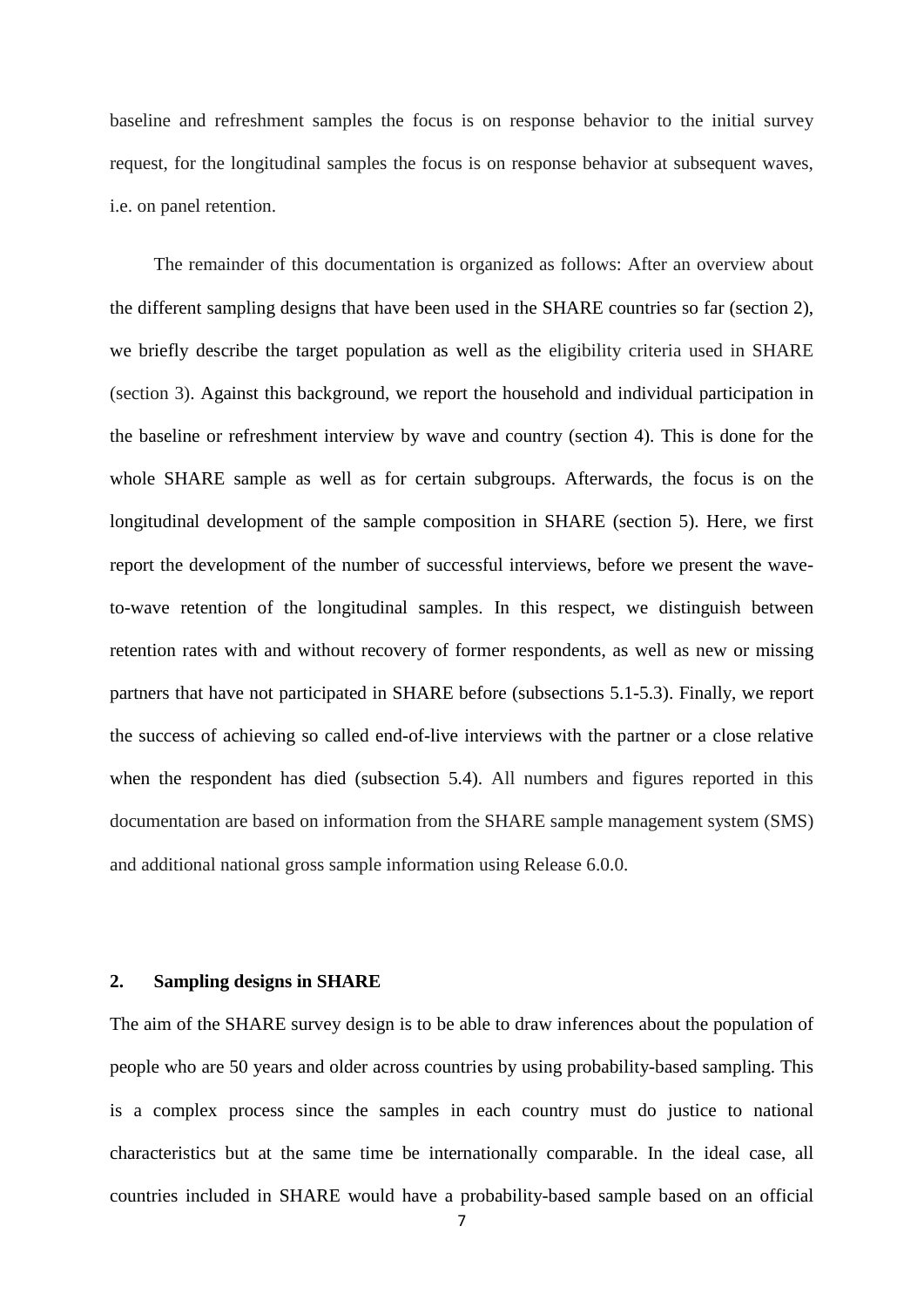baseline and refreshment samples the focus is on response behavior to the initial survey request, for the longitudinal samples the focus is on response behavior at subsequent waves, i.e. on panel retention.

The remainder of this documentation is organized as follows: After an overview about the different sampling designs that have been used in the SHARE countries so far (section [2\)](#page-7-0), we briefly describe the target population as well as the eligibility criteria used in SHARE (section [3\)](#page-12-0). Against this background, we report the household and individual participation in the baseline or refreshment interview by wave and country (section [4\)](#page-17-0). This is done for the whole SHARE sample as well as for certain subgroups. Afterwards, the focus is on the longitudinal development of the sample composition in SHARE (section [5\)](#page-28-0). Here, we first report the development of the number of successful interviews, before we present the waveto-wave retention of the longitudinal samples. In this respect, we distinguish between retention rates with and without recovery of former respondents, as well as new or missing partners that have not participated in SHARE before (subsections [5.1](#page-32-0)[-5.3\)](#page-36-0). Finally, we report the success of achieving so called end-of-live interviews with the partner or a close relative when the respondent has died (subsection [5.4\)](#page-38-0). All numbers and figures reported in this documentation are based on information from the SHARE sample management system (SMS) and additional national gross sample information using Release 6.0.0.

#### <span id="page-7-0"></span>**2. Sampling designs in SHARE**

The aim of the SHARE survey design is to be able to draw inferences about the population of people who are 50 years and older across countries by using probability-based sampling. This is a complex process since the samples in each country must do justice to national characteristics but at the same time be internationally comparable. In the ideal case, all countries included in SHARE would have a probability-based sample based on an official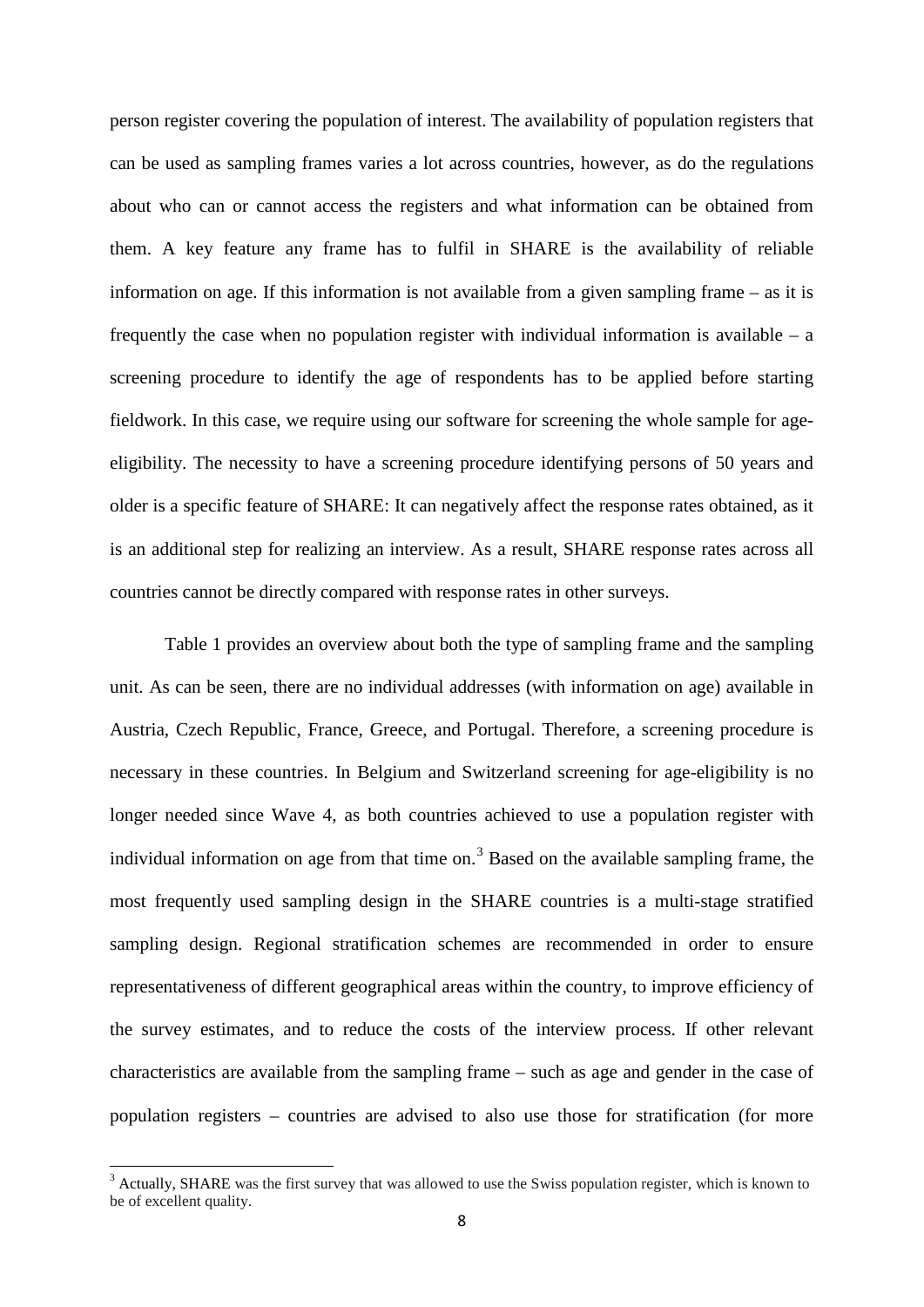person register covering the population of interest. The availability of population registers that can be used as sampling frames varies a lot across countries, however, as do the regulations about who can or cannot access the registers and what information can be obtained from them. A key feature any frame has to fulfil in SHARE is the availability of reliable information on age. If this information is not available from a given sampling frame – as it is frequently the case when no population register with individual information is available  $-$  a screening procedure to identify the age of respondents has to be applied before starting fieldwork. In this case, we require using our software for screening the whole sample for ageeligibility. The necessity to have a screening procedure identifying persons of 50 years and older is a specific feature of SHARE: It can negatively affect the response rates obtained, as it is an additional step for realizing an interview. As a result, SHARE response rates across all countries cannot be directly compared with response rates in other surveys[.](#page-9-1)

[Table](#page-9-1) 1 provides an overview about both the type of sampling frame and the sampling unit. As can be seen, there are no individual addresses (with information on age) available in Austria, Czech Republic, France, Greece, and Portugal. Therefore, a screening procedure is necessary in these countries. In Belgium and Switzerland screening for age-eligibility is no longer needed since Wave 4, as both countries achieved to use a population register with individual information on age from that time on. [3](#page-8-0) Based on the available sampling frame, the most frequently used sampling design in the SHARE countries is a multi-stage stratified sampling design. Regional stratification schemes are recommended in order to ensure representativeness of different geographical areas within the country, to improve efficiency of the survey estimates, and to reduce the costs of the interview process. If other relevant characteristics are available from the sampling frame – such as age and gender in the case of population registers – countries are advised to also use those for stratification (for more

 $\overline{a}$ 

<span id="page-8-0"></span> $3$  Actually, SHARE was the first survey that was allowed to use the Swiss population register, which is known to be of excellent quality.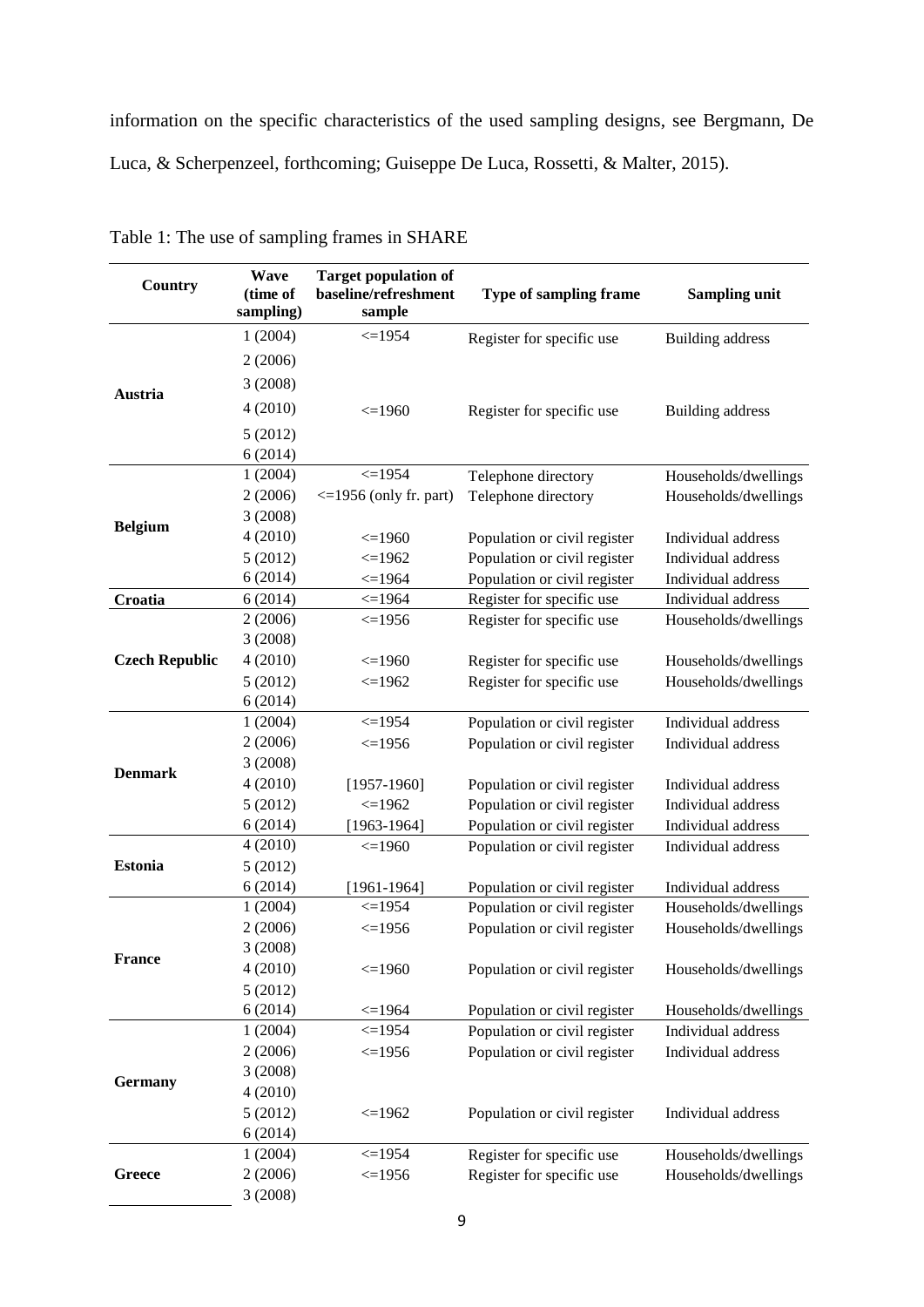information on the specific characteristics of the used sampling designs, see [Bergmann, De](#page-41-8)  [Luca, & Scherpenzeel, forthcoming;](#page-41-8) [Guiseppe De Luca, Rossetti, & Malter, 2015\)](#page-41-9).

| Country               | Wave<br>(time of   | <b>Target population of</b><br>baseline/refreshment | Type of sampling frame       | <b>Sampling unit</b>                     |
|-----------------------|--------------------|-----------------------------------------------------|------------------------------|------------------------------------------|
|                       | sampling)          | sample                                              |                              |                                          |
|                       | 1(2004)            | $<=1954$                                            | Register for specific use    | <b>Building address</b>                  |
|                       | 2(2006)            |                                                     |                              |                                          |
|                       | 3(2008)            |                                                     |                              |                                          |
| Austria               | 4(2010)            |                                                     |                              |                                          |
|                       |                    | $\leq$ 1960                                         | Register for specific use    | <b>Building address</b>                  |
|                       | 5(2012)            |                                                     |                              |                                          |
|                       | 6(2014)            | $\leq$ 1954                                         |                              |                                          |
|                       | 1(2004)<br>2(2006) | $\leq$ 1956 (only fr. part)                         | Telephone directory          | Households/dwellings                     |
|                       | 3(2008)            |                                                     | Telephone directory          | Households/dwellings                     |
| <b>Belgium</b>        | 4(2010)            | $\leq$ 1960                                         | Population or civil register | Individual address                       |
|                       | 5(2012)            | $\leq$ 1962                                         | Population or civil register | Individual address                       |
|                       | 6(2014)            | $\leq$ =1964                                        | Population or civil register | Individual address                       |
| Croatia               | 6(2014)            | $\leq$ =1964                                        | Register for specific use    | Individual address                       |
|                       | 2(2006)            | $\leq$ =1956                                        | Register for specific use    | Households/dwellings                     |
|                       | 3(2008)            |                                                     |                              |                                          |
| <b>Czech Republic</b> | 4(2010)            | $\leq$ 1960                                         | Register for specific use    | Households/dwellings                     |
|                       | 5(2012)            | $\leq$ 1962                                         | Register for specific use    | Households/dwellings                     |
|                       | 6(2014)            |                                                     |                              |                                          |
|                       | 1(2004)            | $\leq$ 1954                                         | Population or civil register | Individual address                       |
|                       | 2(2006)            | $<=1956$                                            | Population or civil register | Individual address                       |
| <b>Denmark</b>        | 3(2008)            |                                                     |                              |                                          |
|                       | 4(2010)            | $[1957-1960]$                                       | Population or civil register | Individual address                       |
|                       | 5(2012)            | $\leq$ 1962                                         | Population or civil register | Individual address                       |
|                       | 6(2014)            | $[1963-1964]$                                       | Population or civil register | Individual address                       |
|                       | 4(2010)            | $\leq$ 1960                                         | Population or civil register | Individual address                       |
| <b>Estonia</b>        | 5(2012)            |                                                     |                              |                                          |
|                       | 6(2014)            | $[1961 - 1964]$                                     | Population or civil register | Individual address                       |
|                       | 1(2004)            | $\leq$ 1954                                         | Population or civil register | Households/dwellings                     |
|                       | 2(2006)            | $\leq$ 1956                                         | Population or civil register | Households/dwellings                     |
| <b>France</b>         | 3(2008)            |                                                     |                              |                                          |
|                       | 4(2010)            | $\leq$ =1960                                        | Population or civil register | Households/dwellings                     |
|                       | 5(2012)            |                                                     |                              |                                          |
|                       | 6(2014)<br>1(2004) | $\leq$ 1964<br>$\leq$ 1954                          | Population or civil register | Households/dwellings                     |
|                       | 2(2006)            | $\leq$ 1956                                         | Population or civil register | Individual address<br>Individual address |
|                       | 3(2008)            |                                                     | Population or civil register |                                          |
| <b>Germany</b>        | 4(2010)            |                                                     |                              |                                          |
|                       | 5(2012)            | $\leq$ 1962                                         | Population or civil register | Individual address                       |
|                       | 6(2014)            |                                                     |                              |                                          |
|                       | 1(2004)            | $\leq$ =1954                                        | Register for specific use    | Households/dwellings                     |
| Greece                | 2(2006)            | $\leq$ =1956                                        | Register for specific use    | Households/dwellings                     |
|                       | 3(2008)            |                                                     |                              |                                          |

<span id="page-9-1"></span><span id="page-9-0"></span>Table 1: The use of sampling frames in SHARE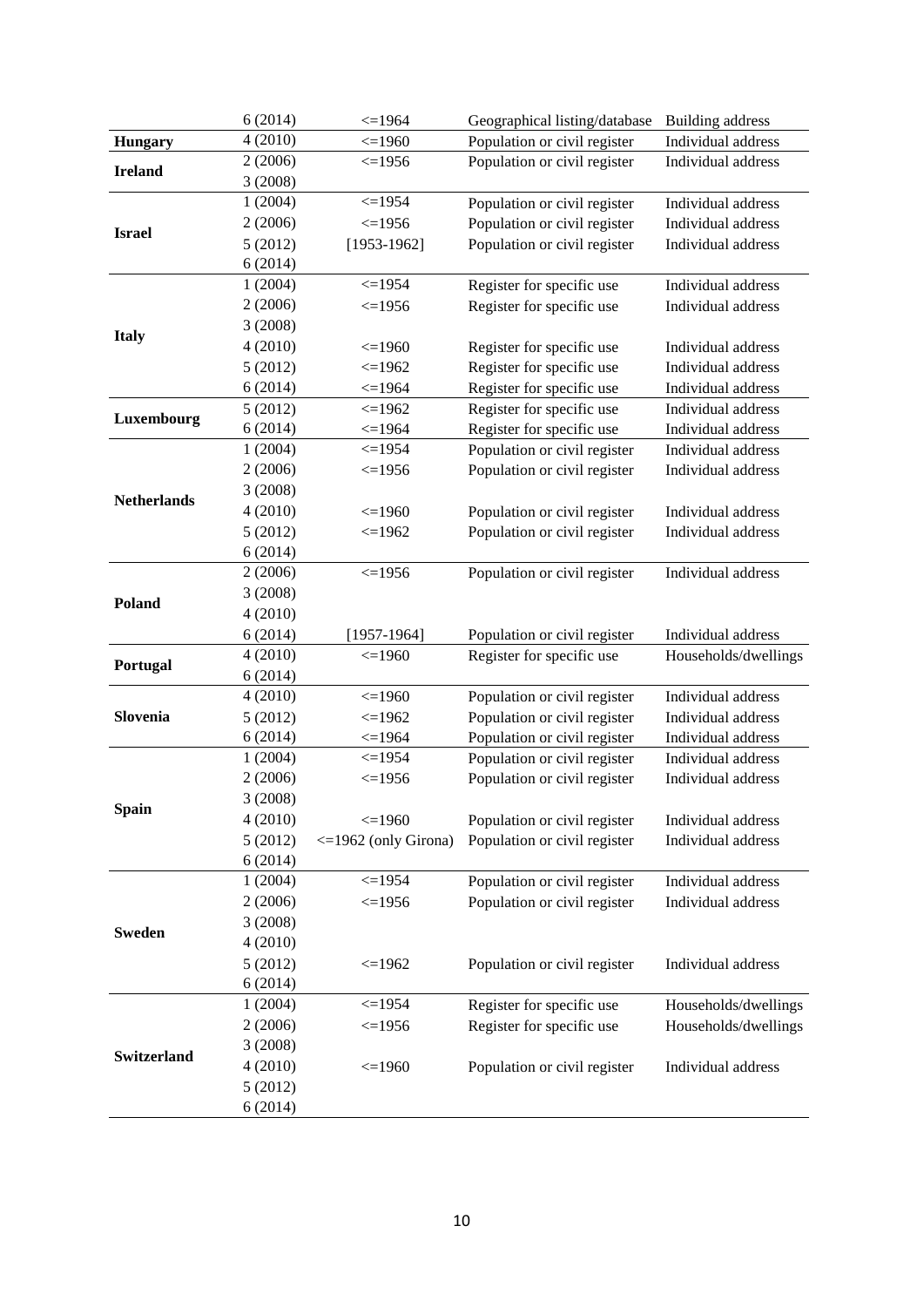|                    | 6(2014)            | $\leq$ 1964                | Geographical listing/database                                | <b>Building address</b>                  |
|--------------------|--------------------|----------------------------|--------------------------------------------------------------|------------------------------------------|
| <b>Hungary</b>     | 4(2010)            | $\leq$ 1960                | Population or civil register                                 | Individual address                       |
| <b>Ireland</b>     | 2(2006)            | $\leq$ 1956                | Population or civil register                                 | Individual address                       |
|                    | 3(2008)            |                            |                                                              |                                          |
|                    | 1(2004)            | $\leq$ 1954                | Population or civil register                                 | Individual address                       |
| <b>Israel</b>      | 2(2006)            | $\leq$ =1956               | Population or civil register                                 | Individual address                       |
|                    | 5(2012)            | $[1953-1962]$              | Population or civil register                                 | Individual address                       |
|                    | 6(2014)            |                            |                                                              |                                          |
|                    | 1(2004)            | $\leq$ =1954               | Register for specific use                                    | Individual address                       |
|                    | 2(2006)            | $\leq$ 1956                | Register for specific use                                    | Individual address                       |
| <b>Italy</b>       | 3(2008)            |                            |                                                              |                                          |
|                    | 4(2010)            | $\leq$ =1960               | Register for specific use                                    | Individual address                       |
|                    | 5(2012)            | $\leq$ 1962                | Register for specific use                                    | Individual address                       |
|                    | 6(2014)            | $\leq$ 1964                | Register for specific use                                    | Individual address                       |
| Luxembourg         | 5(2012)            | $\leq$ 1962                | Register for specific use                                    | Individual address                       |
|                    | 6(2014)            | $\leq$ 1964                | Register for specific use                                    | Individual address                       |
|                    | 1(2004)            | $\leq$ 1954                | Population or civil register                                 | Individual address                       |
|                    | 2(2006)            | $\leq$ 1956                | Population or civil register                                 | Individual address                       |
| <b>Netherlands</b> | 3(2008)            |                            |                                                              |                                          |
|                    | 4(2010)            | $\leq$ =1960               | Population or civil register                                 | Individual address                       |
|                    | 5(2012)            | $\leq$ 1962                | Population or civil register                                 | Individual address                       |
|                    | 6(2014)            |                            |                                                              |                                          |
|                    | 2(2006)            | $\leq$ 1956                | Population or civil register                                 | Individual address                       |
| Poland             | 3(2008)            |                            |                                                              |                                          |
|                    | 4(2010)            |                            |                                                              |                                          |
|                    | 6(2014)            | $[1957-1964]$              | Population or civil register                                 | Individual address                       |
| Portugal           | 4(2010)            | $\leq$ 1960                | Register for specific use                                    | Households/dwellings                     |
|                    | 6(2014)<br>4(2010) |                            |                                                              |                                          |
| Slovenia           |                    | $\leq$ 1960<br>$\leq$ 1962 | Population or civil register<br>Population or civil register | Individual address<br>Individual address |
|                    | 5(2012)<br>6(2014) | $\leq$ 1964                | Population or civil register                                 | Individual address                       |
|                    | 1(2004)            | $\leq$ =1954               | Population or civil register                                 | Individual address                       |
|                    | 2(2006)            | $\leq$ =1956               | Population or civil register                                 | Individual address                       |
|                    | 3(2008)            |                            |                                                              |                                          |
| <b>Spain</b>       | 4(2010)            | $\leq$ 1960                | Population or civil register                                 | Individual address                       |
|                    | 5(2012)            | $\leq$ 1962 (only Girona)  | Population or civil register                                 | Individual address                       |
|                    | 6(2014)            |                            |                                                              |                                          |
|                    | 1(2004)            | $\leq$ 1954                | Population or civil register                                 | Individual address                       |
|                    | 2(2006)            | $\leq$ 1956                | Population or civil register                                 | Individual address                       |
|                    | 3(2008)            |                            |                                                              |                                          |
| Sweden             | 4(2010)            |                            |                                                              |                                          |
|                    | 5(2012)            | $\leq$ 1962                | Population or civil register                                 | Individual address                       |
|                    | 6(2014)            |                            |                                                              |                                          |
|                    | 1(2004)            | $\leq$ 1954                | Register for specific use                                    | Households/dwellings                     |
|                    | 2(2006)            | $\leq$ 1956                | Register for specific use                                    | Households/dwellings                     |
|                    | 3(2008)            |                            |                                                              |                                          |
| <b>Switzerland</b> | 4(2010)            | $\leq$ =1960               | Population or civil register                                 | Individual address                       |
|                    | 5(2012)            |                            |                                                              |                                          |
|                    | 6(2014)            |                            |                                                              |                                          |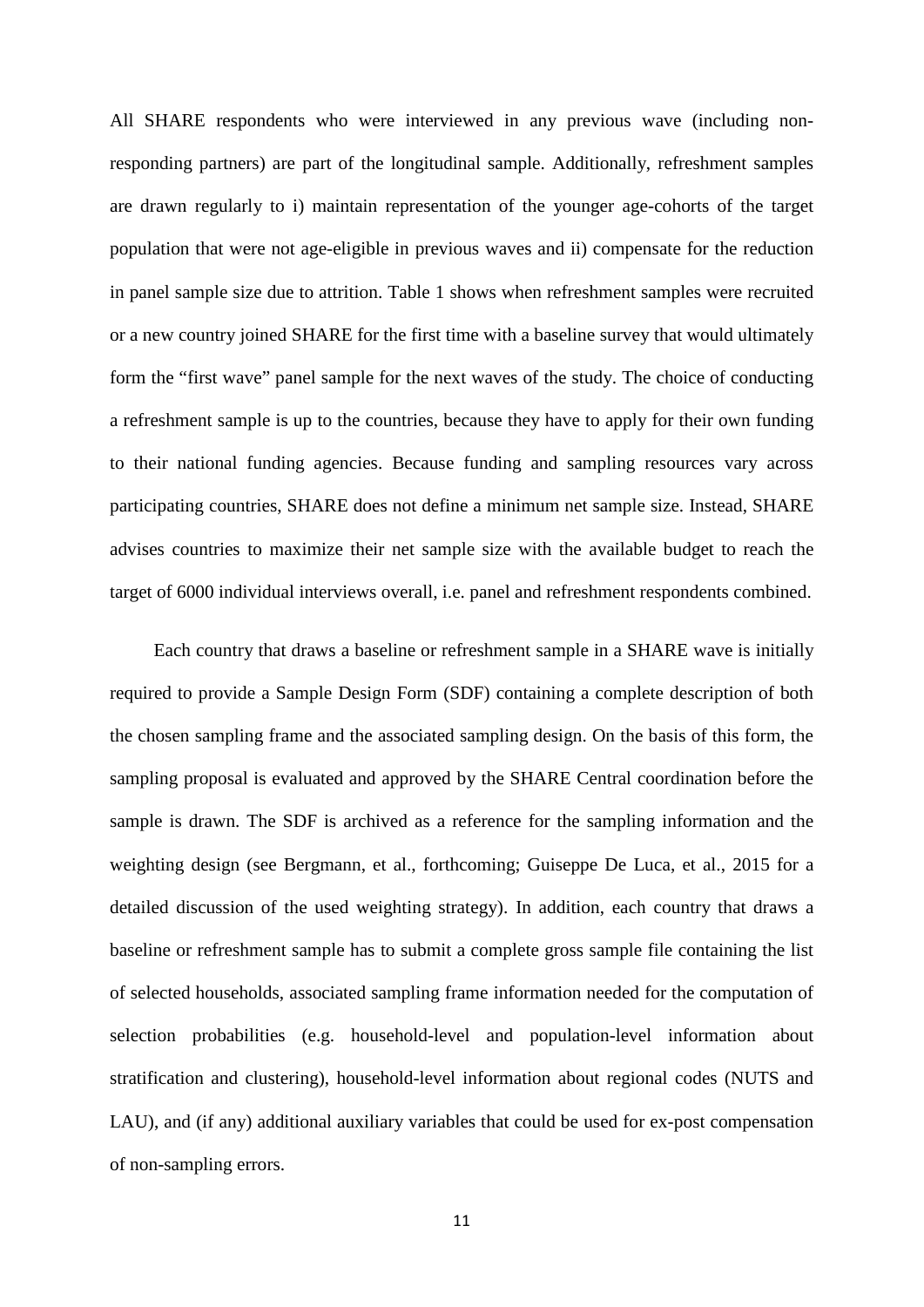All SHARE respondents who were interviewed in any previous wave (including nonresponding partners) are part of the longitudinal sample. Additionally, refreshment samples are drawn regularly to i) maintain representation of the younger age-cohorts of the target population that were not age-eligible in previous waves and ii) compensate for the reduction in panel sample size due to attrition. [Table 1](#page-9-0) shows when refreshment samples were recruited or a new country joined SHARE for the first time with a baseline survey that would ultimately form the "first wave" panel sample for the next waves of the study. The choice of conducting a refreshment sample is up to the countries, because they have to apply for their own funding to their national funding agencies. Because funding and sampling resources vary across participating countries, SHARE does not define a minimum net sample size. Instead, SHARE advises countries to maximize their net sample size with the available budget to reach the target of 6000 individual interviews overall, i.e. panel and refreshment respondents combined.

Each country that draws a baseline or refreshment sample in a SHARE wave is initially required to provide a Sample Design Form (SDF) containing a complete description of both the chosen sampling frame and the associated sampling design. On the basis of this form, the sampling proposal is evaluated and approved by the SHARE Central coordination before the sample is drawn. The SDF is archived as a reference for the sampling information and the weighting design (see [Bergmann, et al., forthcoming;](#page-41-8) [Guiseppe De Luca, et al., 2015 for a](#page-41-9)  [detailed discussion of the used weighting](#page-41-9) strategy). In addition, each country that draws a baseline or refreshment sample has to submit a complete gross sample file containing the list of selected households, associated sampling frame information needed for the computation of selection probabilities (e.g. household-level and population-level information about stratification and clustering), household-level information about regional codes (NUTS and LAU), and (if any) additional auxiliary variables that could be used for ex-post compensation of non-sampling errors.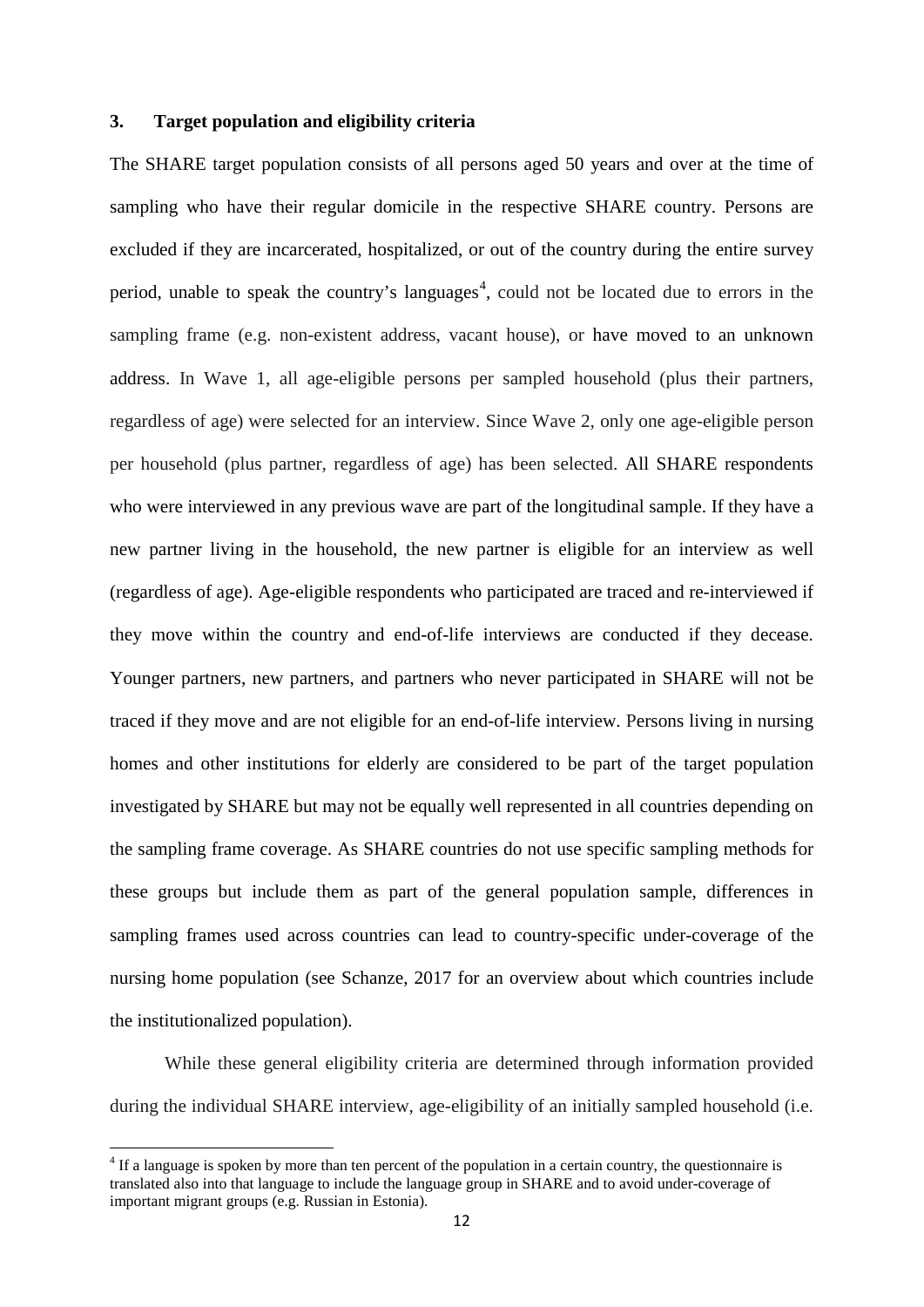#### <span id="page-12-0"></span>**3. Target population and eligibility criteria**

The SHARE target population consists of all persons aged 50 years and over at the time of sampling who have their regular domicile in the respective SHARE country. Persons are excluded if they are incarcerated, hospitalized, or out of the country during the entire survey period, unable to speak the country's languages<sup>[4](#page-12-1)</sup>, could not be located due to errors in the sampling frame (e.g. non-existent address, vacant house), or have moved to an unknown address. In Wave 1, all age-eligible persons per sampled household (plus their partners, regardless of age) were selected for an interview. Since Wave 2, only one age-eligible person per household (plus partner, regardless of age) has been selected. All SHARE respondents who were interviewed in any previous wave are part of the longitudinal sample. If they have a new partner living in the household, the new partner is eligible for an interview as well (regardless of age). Age-eligible respondents who participated are traced and re-interviewed if they move within the country and end-of-life interviews are conducted if they decease. Younger partners, new partners, and partners who never participated in SHARE will not be traced if they move and are not eligible for an end-of-life interview. Persons living in nursing homes and other institutions for elderly are considered to be part of the target population investigated by SHARE but may not be equally well represented in all countries depending on the sampling frame coverage. As SHARE countries do not use specific sampling methods for these groups but include them as part of the general population sample, differences in sampling frames used across countries can lead to country-specific under-coverage of the nursing home population [\(see Schanze, 2017 for an overview about which countries include](#page-41-10)  [the institutionalized population\)](#page-41-10).

While these general eligibility criteria are determined through information provided during the individual SHARE interview, age-eligibility of an initially sampled household (i.e.

 $\overline{a}$ 

<span id="page-12-1"></span> $4$  If a language is spoken by more than ten percent of the population in a certain country, the questionnaire is translated also into that language to include the language group in SHARE and to avoid under-coverage of important migrant groups (e.g. Russian in Estonia).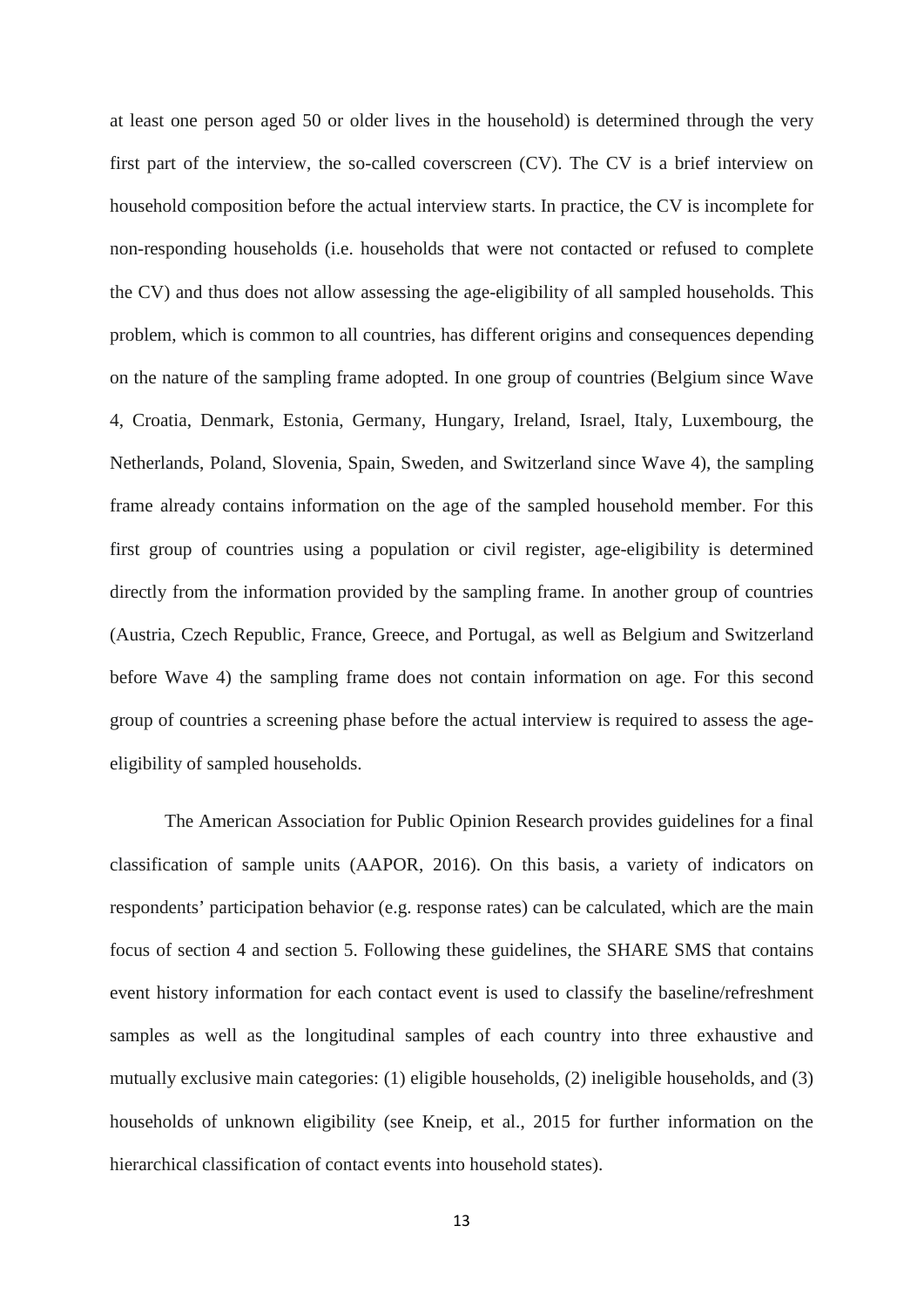at least one person aged 50 or older lives in the household) is determined through the very first part of the interview, the so-called coverscreen (CV). The CV is a brief interview on household composition before the actual interview starts. In practice, the CV is incomplete for non-responding households (i.e. households that were not contacted or refused to complete the CV) and thus does not allow assessing the age-eligibility of all sampled households. This problem, which is common to all countries, has different origins and consequences depending on the nature of the sampling frame adopted. In one group of countries (Belgium since Wave 4, Croatia, Denmark, Estonia, Germany, Hungary, Ireland, Israel, Italy, Luxembourg, the Netherlands, Poland, Slovenia, Spain, Sweden, and Switzerland since Wave 4), the sampling frame already contains information on the age of the sampled household member. For this first group of countries using a population or civil register, age-eligibility is determined directly from the information provided by the sampling frame. In another group of countries (Austria, Czech Republic, France, Greece, and Portugal, as well as Belgium and Switzerland before Wave 4) the sampling frame does not contain information on age. For this second group of countries a screening phase before the actual interview is required to assess the ageeligibility of sampled households.

The American Association for Public Opinion Research provides guidelines for a final classification of sample units [\(AAPOR, 2016\)](#page-41-11). On this basis, a variety of indicators on respondents' participation behavior (e.g. response rates) can be calculated, which are the main focus of section [4](#page-17-0) and section [5.](#page-28-0) Following these guidelines, the SHARE SMS that contains event history information for each contact event is used to classify the baseline/refreshment samples as well as the longitudinal samples of each country into three exhaustive and mutually exclusive main categories: (1) eligible households, (2) ineligible households, and (3) households of unknown eligibility [\(see Kneip, et al., 2015 for further information on the](#page-41-5)  [hierarchical classification of contact events into household states\)](#page-41-5).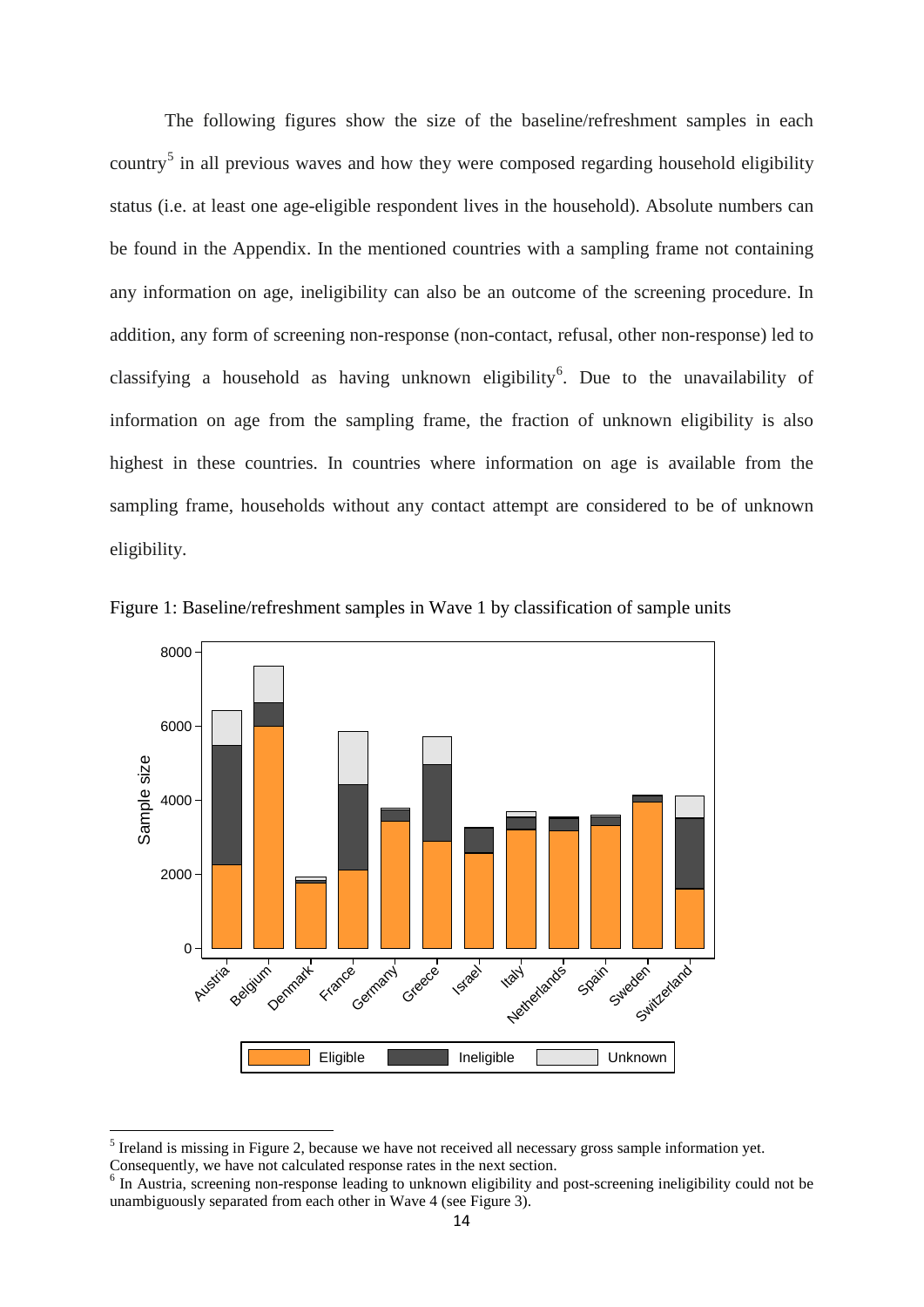The following figures show the size of the baseline/refreshment samples in each country<sup>[5](#page-14-1)</sup> in all previous waves and how they were composed regarding household eligibility status (i.e. at least one age-eligible respondent lives in the household). Absolute numbers can be found in the Appendix. In the mentioned countries with a sampling frame not containing any information on age, ineligibility can also be an outcome of the screening procedure. In addition, any form of screening non-response (non-contact, refusal, other non-response) led to classifying a household as having unknown eligibility<sup>[6](#page-14-2)</sup>. Due to the unavailability of information on age from the sampling frame, the fraction of unknown eligibility is also highest in these countries. In countries where information on age is available from the sampling frame, households without any contact attempt are considered to be of unknown eligibility.



<span id="page-14-0"></span>Figure 1: Baseline/refreshment samples in Wave 1 by classification of sample units

 $\overline{a}$ 

<span id="page-14-1"></span><sup>&</sup>lt;sup>5</sup> Ireland is missing in Figure 2, because we have not received all necessary gross sample information yet.

Consequently, we have not calculated response rates in the next section.

<span id="page-14-2"></span><sup>&</sup>lt;sup>6</sup> In Austria, screening non-response leading to unknown eligibility and post-screening ineligibility could not be unambiguously separated from each other in Wave 4 (see [Figure 3\)](#page-15-1).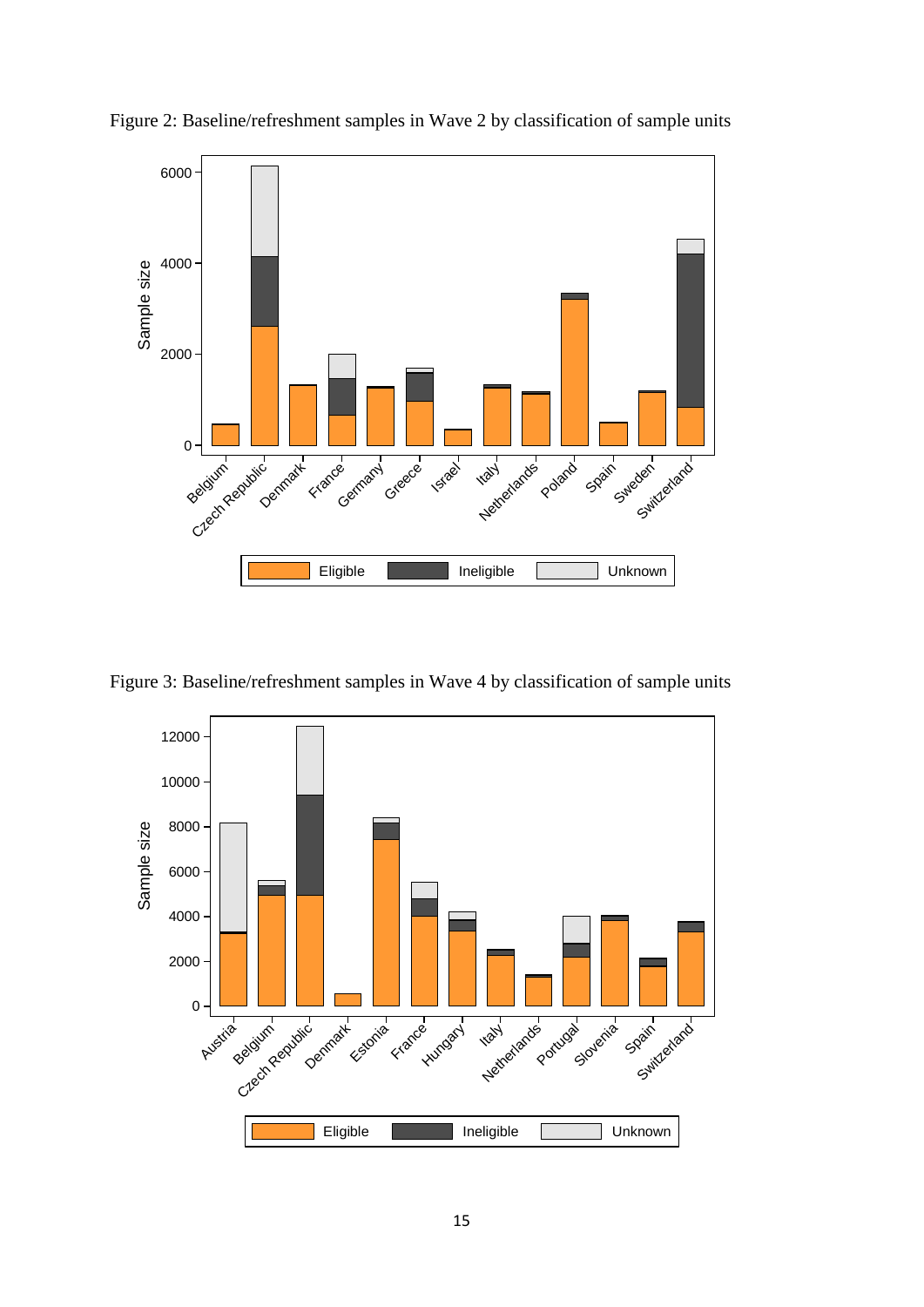

<span id="page-15-0"></span>Figure 2: Baseline/refreshment samples in Wave 2 by classification of sample units

<span id="page-15-1"></span>Figure 3: Baseline/refreshment samples in Wave 4 by classification of sample units

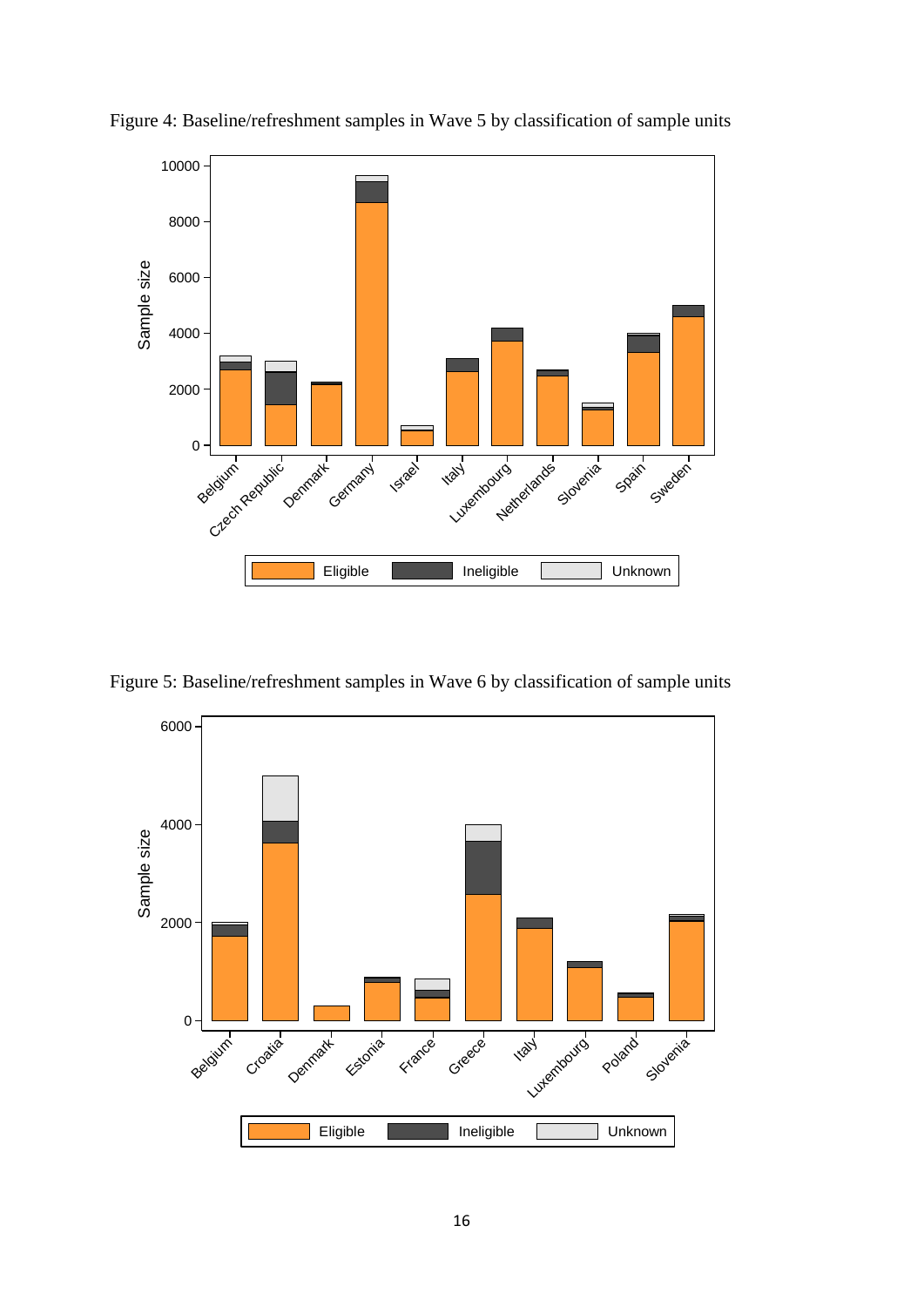

<span id="page-16-0"></span>Figure 4: Baseline/refreshment samples in Wave 5 by classification of sample units

<span id="page-16-1"></span>Figure 5: Baseline/refreshment samples in Wave 6 by classification of sample units

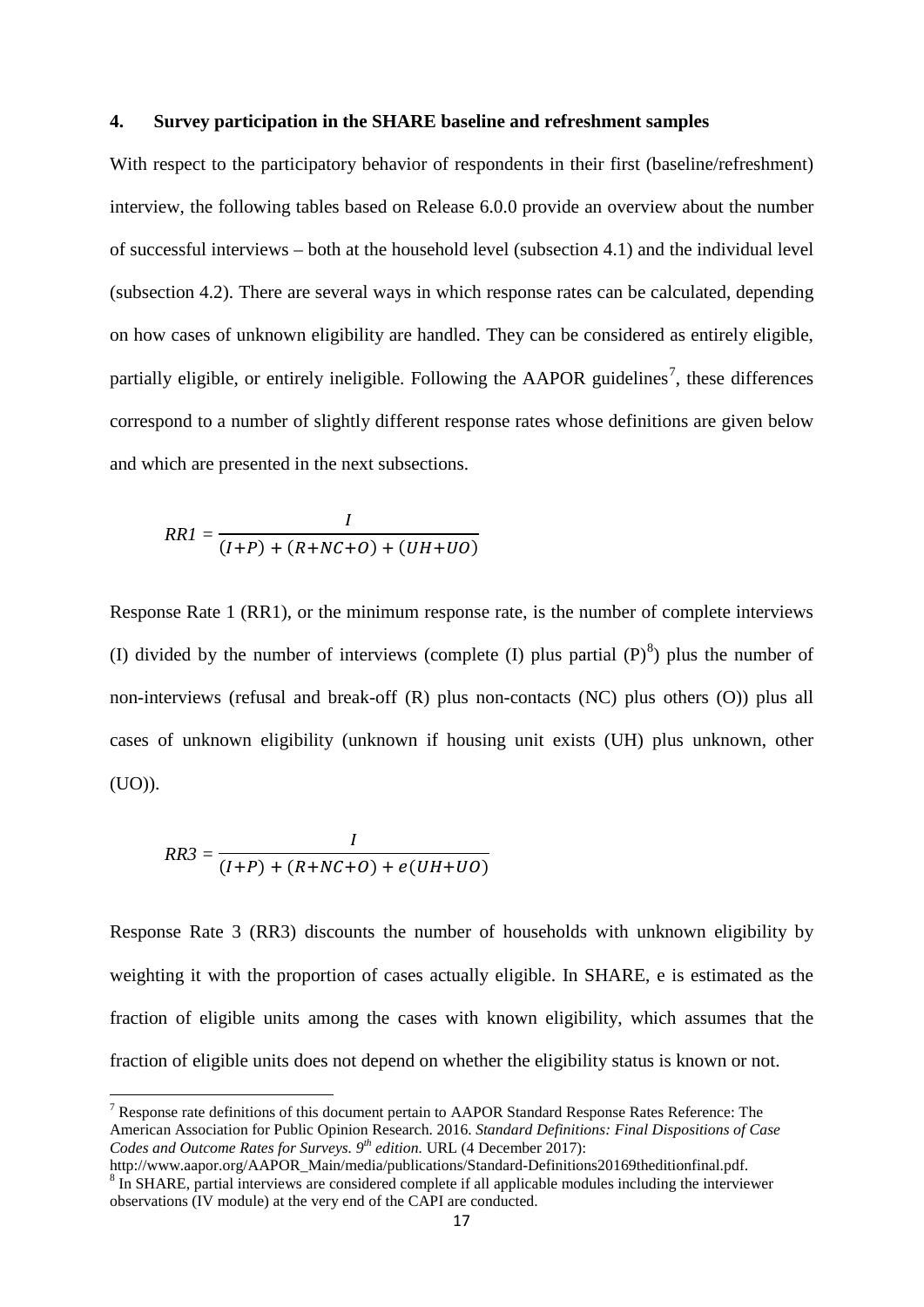#### <span id="page-17-0"></span>**4. Survey participation in the SHARE baseline and refreshment samples**

With respect to the participatory behavior of respondents in their first (baseline/refreshment) interview, the following tables based on Release 6.0.0 provide an overview about the number of successful interviews – both at the household level (subsection [4.1\)](#page-18-0) and the individual level (subsection [4.2\)](#page-21-0). There are several ways in which response rates can be calculated, depending on how cases of unknown eligibility are handled. They can be considered as entirely eligible, partially eligible, or entirely ineligible. Following the AAPOR guidelines<sup>[7](#page-17-1)</sup>, these differences correspond to a number of slightly different response rates whose definitions are given below and which are presented in the next subsections.

$$
RRI = \frac{I}{(I+P) + (R+NC+O) + (UH+UO)}
$$

Response Rate 1 (RR1), or the minimum response rate, is the number of complete interviews (I) divided by the number of interviews (complete (I) plus partial  $(P)^8$  $(P)^8$ ) plus the number of non-interviews (refusal and break-off (R) plus non-contacts (NC) plus others (O)) plus all cases of unknown eligibility (unknown if housing unit exists (UH) plus unknown, other (UO)).

$$
RR3 = \frac{I}{(I+P) + (R+NC+O) + e(UH+UO)}
$$

 $\overline{a}$ 

Response Rate 3 (RR3) discounts the number of households with unknown eligibility by weighting it with the proportion of cases actually eligible. In SHARE, e is estimated as the fraction of eligible units among the cases with known eligibility, which assumes that the fraction of eligible units does not depend on whether the eligibility status is known or not.

<span id="page-17-1"></span> $7$  Response rate definitions of this document pertain to AAPOR Standard Response Rates Reference: The American Association for Public Opinion Research. 2016. *Standard Definitions: Final Dispositions of Case Codes and Outcome Rates for Surveys.* 9<sup>th</sup> *edition.* URL (4 December 2017):<br>http://www.aapor.org/AAPOR Main/media/publications/Standard-Definitions20169theditionfinal.pdf.

<span id="page-17-2"></span> $\frac{8}{10}$  SHARE, partial interviews are considered complete if all applicable modules including the interviewer observations (IV module) at the very end of the CAPI are conducted.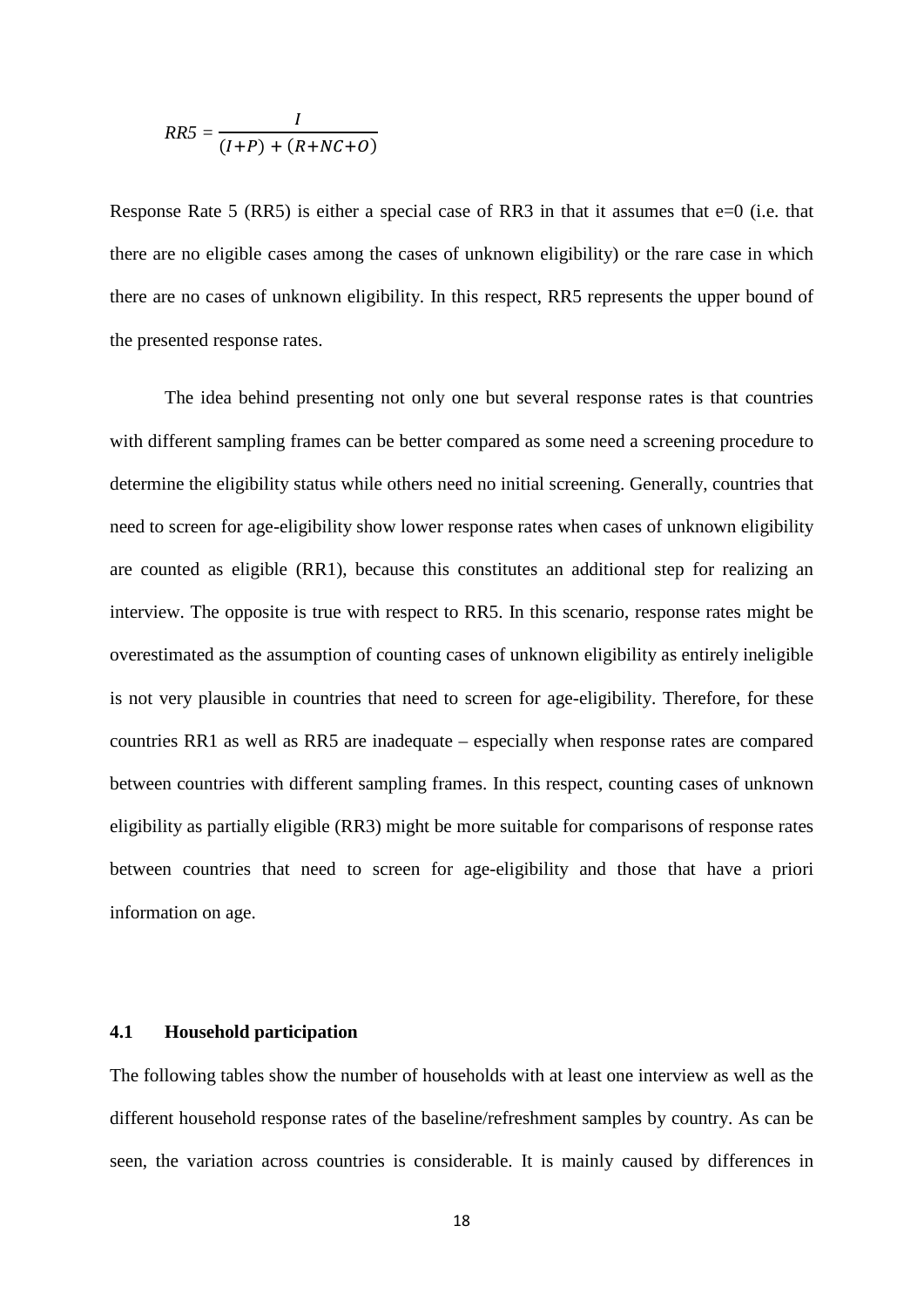$$
RR5 = \frac{I}{(I+P) + (R+NC+O)}
$$

Response Rate 5 (RR5) is either a special case of RR3 in that it assumes that e=0 (i.e. that there are no eligible cases among the cases of unknown eligibility) or the rare case in which there are no cases of unknown eligibility. In this respect, RR5 represents the upper bound of the presented response rates.

The idea behind presenting not only one but several response rates is that countries with different sampling frames can be better compared as some need a screening procedure to determine the eligibility status while others need no initial screening. Generally, countries that need to screen for age-eligibility show lower response rates when cases of unknown eligibility are counted as eligible (RR1), because this constitutes an additional step for realizing an interview. The opposite is true with respect to RR5. In this scenario, response rates might be overestimated as the assumption of counting cases of unknown eligibility as entirely ineligible is not very plausible in countries that need to screen for age-eligibility. Therefore, for these countries RR1 as well as RR5 are inadequate – especially when response rates are compared between countries with different sampling frames. In this respect, counting cases of unknown eligibility as partially eligible (RR3) might be more suitable for comparisons of response rates between countries that need to screen for age-eligibility and those that have a priori information on age.

#### <span id="page-18-0"></span>**4.1 Household participation**

The following tables show the number of households with at least one interview as well as the different household response rates of the baseline/refreshment samples by country. As can be seen, the variation across countries is considerable. It is mainly caused by differences in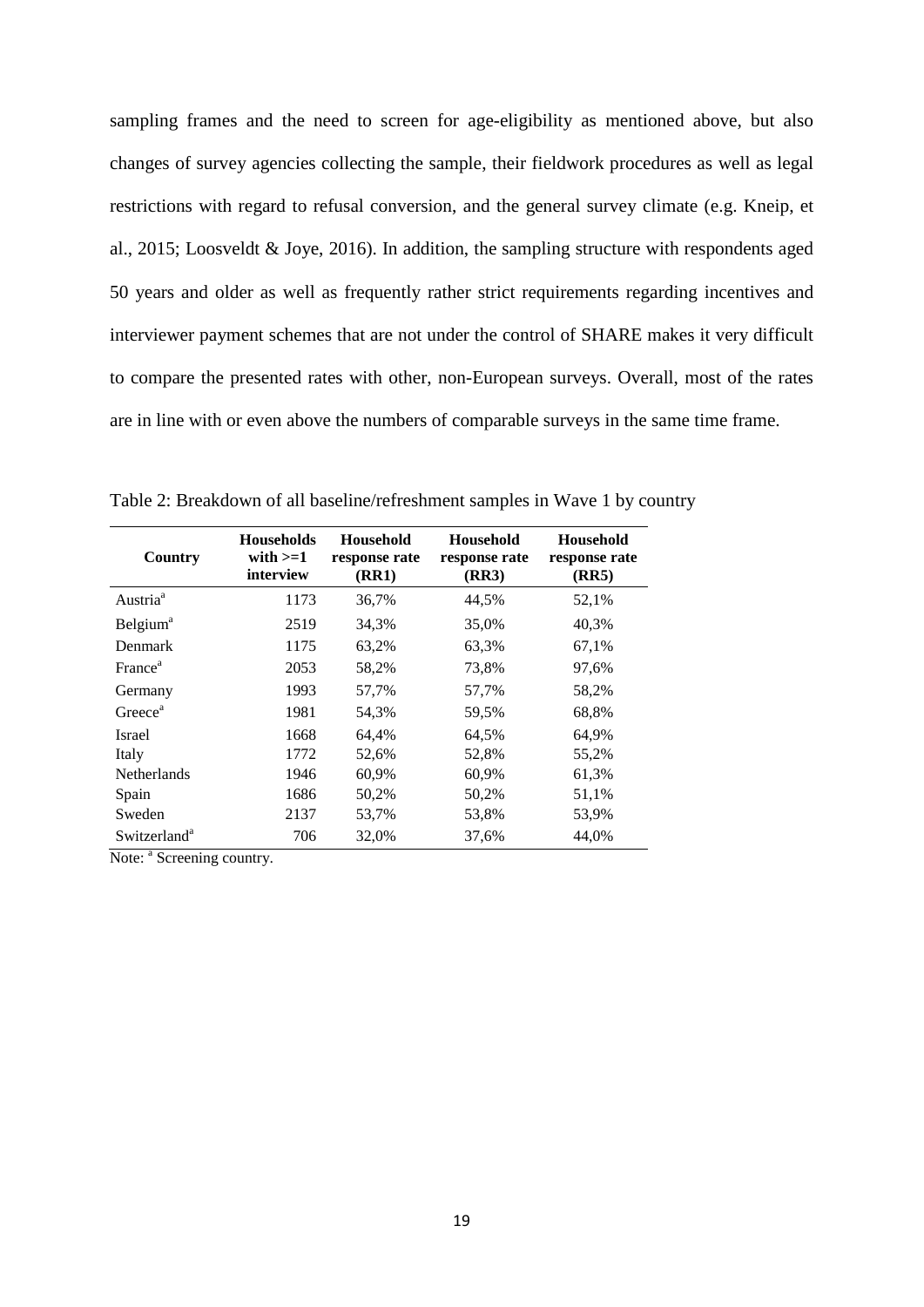sampling frames and the need to screen for age-eligibility as mentioned above, but also changes of survey agencies collecting the sample, their fieldwork procedures as well as legal restrictions with regard to refusal conversion, and the general survey climate (e.g. [Kneip, et](#page-41-5)  [al., 2015;](#page-41-5) [Loosveldt & Joye, 2016\)](#page-41-12). In addition, the sampling structure with respondents aged 50 years and older as well as frequently rather strict requirements regarding incentives and interviewer payment schemes that are not under the control of SHARE makes it very difficult to compare the presented rates with other, non-European surveys. Overall, most of the rates are in line with or even above the numbers of comparable surveys in the same time frame.

| Country                     | <b>Households</b><br>with $>=1$<br>interview | <b>Household</b><br>response rate<br><b>(RR1)</b> | Household<br>response rate<br>(RR3) | <b>Household</b><br>response rate<br>(RR5) |
|-----------------------------|----------------------------------------------|---------------------------------------------------|-------------------------------------|--------------------------------------------|
| Austria <sup>a</sup>        | 1173                                         | 36,7%                                             | 44,5%                               | 52,1%                                      |
| <b>Belgium</b> <sup>a</sup> | 2519                                         | 34,3%                                             | 35,0%                               | 40,3%                                      |
| <b>Denmark</b>              | 1175                                         | 63,2%                                             | 63,3%                               | 67,1%                                      |
| France <sup>a</sup>         | 2053                                         | 58,2%                                             | 73,8%                               | 97,6%                                      |
| Germany                     | 1993                                         | 57,7%                                             | 57,7%                               | 58,2%                                      |
| Greece <sup>a</sup>         | 1981                                         | 54.3%                                             | 59,5%                               | 68,8%                                      |
| Israel                      | 1668                                         | 64.4%                                             | 64.5%                               | 64,9%                                      |
| Italy                       | 1772                                         | 52,6%                                             | 52,8%                               | 55,2%                                      |
| <b>Netherlands</b>          | 1946                                         | 60.9%                                             | 60.9%                               | 61,3%                                      |
| Spain                       | 1686                                         | 50,2%                                             | 50,2%                               | 51,1%                                      |
| Sweden                      | 2137                                         | 53,7%                                             | 53,8%                               | 53,9%                                      |
| Switzerland <sup>a</sup>    | 706                                          | 32,0%                                             | 37,6%                               | 44,0%                                      |

<span id="page-19-0"></span>Table 2: Breakdown of all baseline/refreshment samples in Wave 1 by country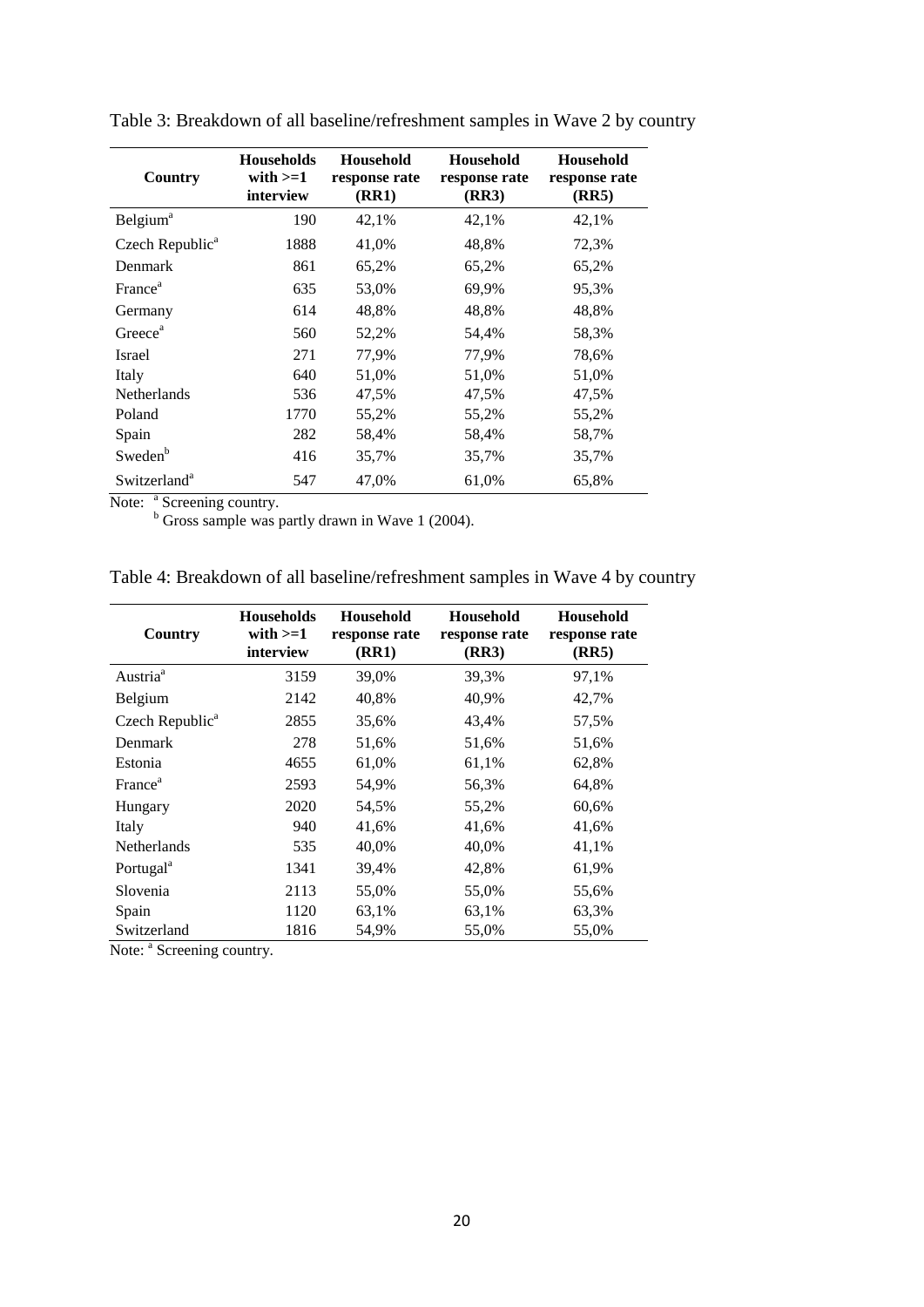| Country                     | <b>Households</b><br>with $>=1$<br>interview | <b>Household</b><br>response rate<br>(RR1) | <b>Household</b><br>response rate<br>(RR3) | <b>Household</b><br>response rate<br>(RR5) |
|-----------------------------|----------------------------------------------|--------------------------------------------|--------------------------------------------|--------------------------------------------|
| <b>Belgium</b> <sup>a</sup> | 190                                          | 42,1%                                      | 42,1%                                      | 42,1%                                      |
| Czech Republic <sup>a</sup> | 1888                                         | 41,0%                                      | 48,8%                                      | 72,3%                                      |
| Denmark                     | 861                                          | 65,2%                                      | 65,2%                                      | 65,2%                                      |
| France <sup>a</sup>         | 635                                          | 53,0%                                      | 69,9%                                      | 95,3%                                      |
| Germany                     | 614                                          | 48,8%                                      | 48,8%                                      | 48,8%                                      |
| Greece <sup>a</sup>         | 560                                          | 52,2%                                      | 54,4%                                      | 58,3%                                      |
| Israel                      | 271                                          | 77,9%                                      | 77,9%                                      | 78,6%                                      |
| Italy                       | 640                                          | 51,0%                                      | 51,0%                                      | 51,0%                                      |
| <b>Netherlands</b>          | 536                                          | 47,5%                                      | 47,5%                                      | 47,5%                                      |
| Poland                      | 1770                                         | 55,2%                                      | 55,2%                                      | 55,2%                                      |
| Spain                       | 282                                          | 58,4%                                      | 58,4%                                      | 58,7%                                      |
| Sweden <sup>b</sup>         | 416                                          | 35,7%                                      | 35,7%                                      | 35,7%                                      |
| Switzerland <sup>a</sup>    | 547                                          | 47,0%                                      | 61,0%                                      | 65,8%                                      |

<span id="page-20-0"></span>Table 3: Breakdown of all baseline/refreshment samples in Wave 2 by country

Note: <sup>a</sup> Screening country.

 $b$  Gross sample was partly drawn in Wave 1 (2004).

<span id="page-20-1"></span>

|--|

| Country                     | <b>Households</b><br>with $>=1$<br>interview | Household<br>response rate<br>(RR1) | Household<br>response rate<br>(RR3) | Household<br>response rate<br>(RR5) |
|-----------------------------|----------------------------------------------|-------------------------------------|-------------------------------------|-------------------------------------|
| Austria <sup>a</sup>        | 3159                                         | 39,0%                               | 39,3%                               | 97,1%                               |
| <b>Belgium</b>              | 2142                                         | 40,8%                               | 40,9%                               | 42,7%                               |
| Czech Republic <sup>a</sup> | 2855                                         | 35,6%                               | 43,4%                               | 57,5%                               |
| Denmark                     | 278                                          | 51,6%                               | 51,6%                               | 51,6%                               |
| Estonia                     | 4655                                         | 61,0%                               | 61,1%                               | 62,8%                               |
| France <sup>a</sup>         | 2593                                         | 54,9%                               | 56,3%                               | 64,8%                               |
| Hungary                     | 2020                                         | 54,5%                               | 55,2%                               | 60,6%                               |
| Italy                       | 940                                          | 41,6%                               | 41,6%                               | 41,6%                               |
| Netherlands                 | 535                                          | 40,0%                               | 40,0%                               | 41,1%                               |
| Portugal <sup>a</sup>       | 1341                                         | 39,4%                               | 42,8%                               | 61,9%                               |
| Slovenia                    | 2113                                         | 55,0%                               | 55,0%                               | 55,6%                               |
| Spain                       | 1120                                         | 63,1%                               | 63,1%                               | 63,3%                               |
| Switzerland                 | 1816                                         | 54,9%                               | 55,0%                               | 55,0%                               |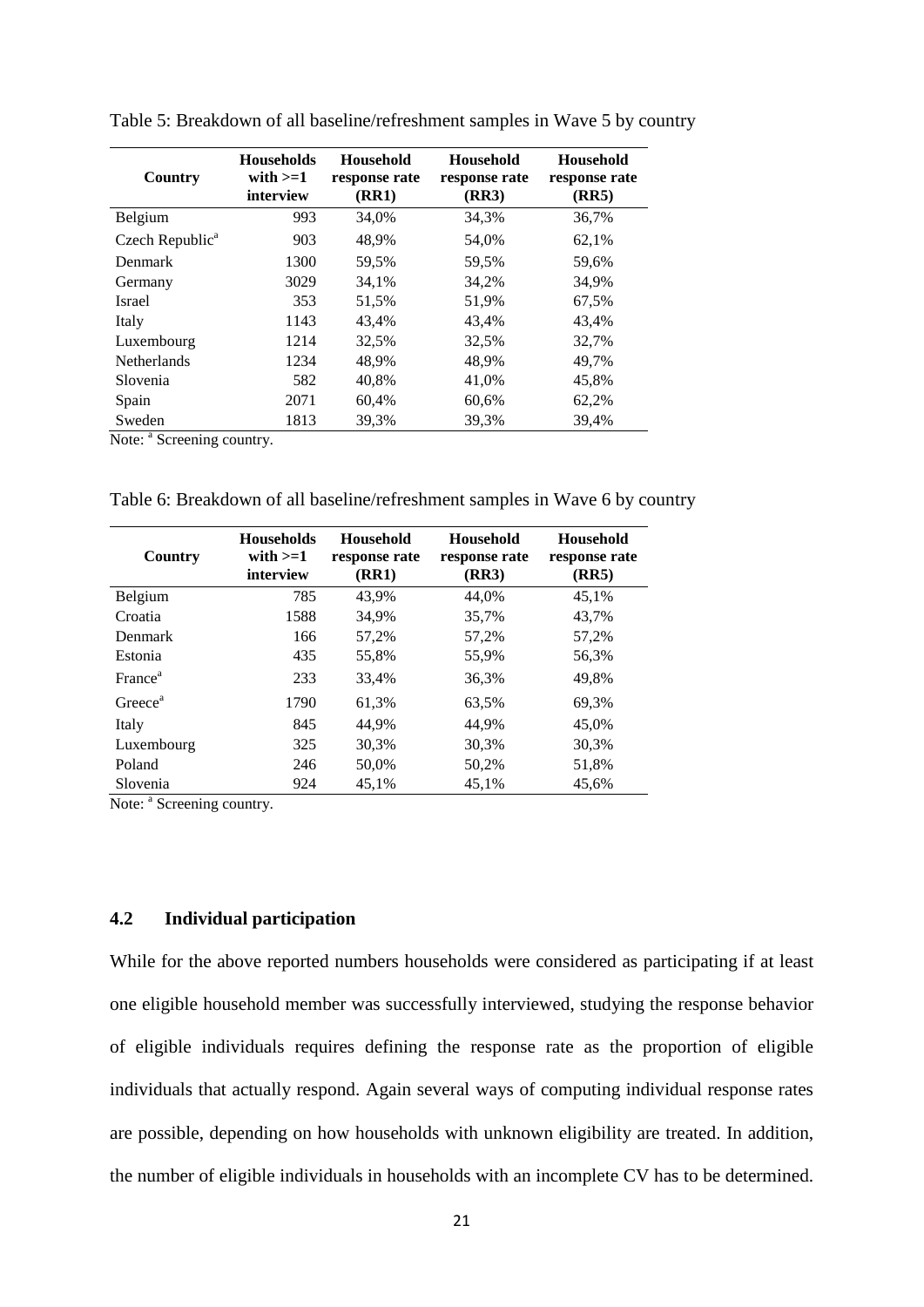| Country                     | <b>Households</b><br>with $>=1$<br>interview | <b>Household</b><br>response rate<br>(RR1) | <b>Household</b><br>response rate<br>(RR3) | <b>Household</b><br>response rate<br>(RR5) |
|-----------------------------|----------------------------------------------|--------------------------------------------|--------------------------------------------|--------------------------------------------|
| Belgium                     | 993                                          | 34,0%                                      | 34,3%                                      | 36,7%                                      |
| Czech Republic <sup>a</sup> | 903                                          | 48,9%                                      | 54,0%                                      | 62,1%                                      |
| Denmark                     | 1300                                         | 59,5%                                      | 59,5%                                      | 59,6%                                      |
| Germany                     | 3029                                         | 34,1%                                      | 34,2%                                      | 34,9%                                      |
| Israel                      | 353                                          | 51,5%                                      | 51,9%                                      | 67,5%                                      |
| Italy                       | 1143                                         | 43,4%                                      | 43.4%                                      | 43,4%                                      |
| Luxembourg                  | 1214                                         | 32,5%                                      | 32,5%                                      | 32,7%                                      |
| <b>Netherlands</b>          | 1234                                         | 48,9%                                      | 48,9%                                      | 49,7%                                      |
| Slovenia                    | 582                                          | 40,8%                                      | 41,0%                                      | 45,8%                                      |
| Spain                       | 2071                                         | 60,4%                                      | 60.6%                                      | 62,2%                                      |
| Sweden                      | 1813                                         | 39,3%                                      | 39,3%                                      | 39,4%                                      |

<span id="page-21-1"></span>Table 5: Breakdown of all baseline/refreshment samples in Wave 5 by country

Note:  $a$  Screening country.

<span id="page-21-2"></span>Table 6: Breakdown of all baseline/refreshment samples in Wave 6 by country

| Country             | <b>Households</b><br>with $>=1$<br>interview | <b>Household</b><br>response rate<br>(RR1) | <b>Household</b><br>response rate<br>(RR3) | <b>Household</b><br>response rate<br>(RR5) |
|---------------------|----------------------------------------------|--------------------------------------------|--------------------------------------------|--------------------------------------------|
| Belgium             | 785                                          | 43.9%                                      | 44.0%                                      | 45,1%                                      |
| Croatia             | 1588                                         | 34.9%                                      | 35,7%                                      | 43,7%                                      |
| <b>Denmark</b>      | 166                                          | 57,2%                                      | 57,2%                                      | 57,2%                                      |
| Estonia             | 435                                          | 55,8%                                      | 55,9%                                      | 56,3%                                      |
| France <sup>a</sup> | 233                                          | 33,4%                                      | 36,3%                                      | 49,8%                                      |
| Greece <sup>a</sup> | 1790                                         | 61,3%                                      | 63,5%                                      | 69,3%                                      |
| Italy               | 845                                          | 44.9%                                      | 44.9%                                      | 45.0%                                      |
| Luxembourg          | 325                                          | 30.3%                                      | 30,3%                                      | 30,3%                                      |
| Poland              | 246                                          | 50,0%                                      | 50,2%                                      | 51,8%                                      |
| Slovenia            | 924                                          | 45,1%                                      | 45,1%                                      | 45,6%                                      |

Note: <sup>a</sup> Screening country.

#### <span id="page-21-0"></span>**4.2 Individual participation**

While for the above reported numbers households were considered as participating if at least one eligible household member was successfully interviewed, studying the response behavior of eligible individuals requires defining the response rate as the proportion of eligible individuals that actually respond. Again several ways of computing individual response rates are possible, depending on how households with unknown eligibility are treated. In addition, the number of eligible individuals in households with an incomplete CV has to be determined.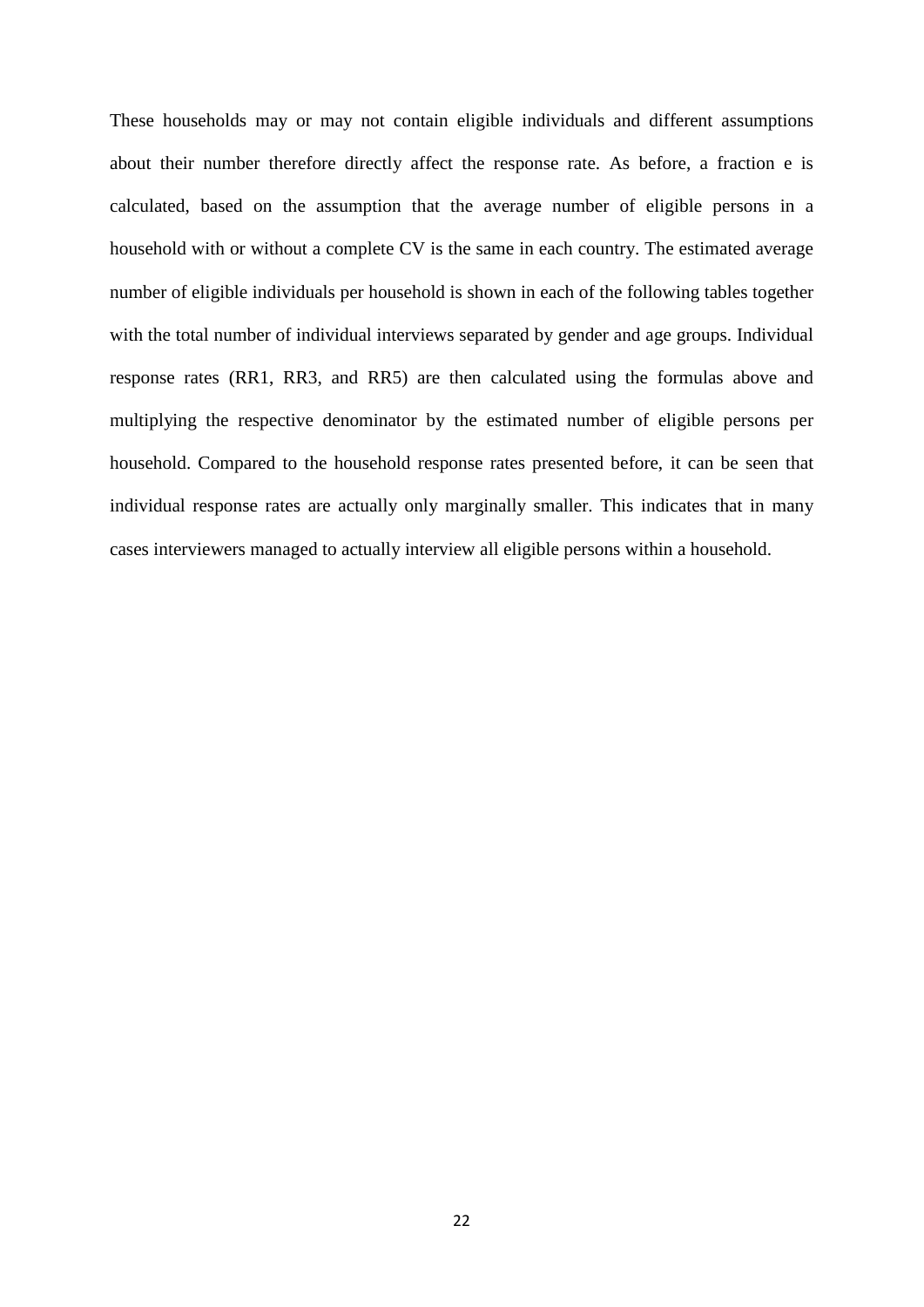These households may or may not contain eligible individuals and different assumptions about their number therefore directly affect the response rate. As before, a fraction e is calculated, based on the assumption that the average number of eligible persons in a household with or without a complete CV is the same in each country. The estimated average number of eligible individuals per household is shown in each of the following tables together with the total number of individual interviews separated by gender and age groups. Individual response rates (RR1, RR3, and RR5) are then calculated using the formulas above and multiplying the respective denominator by the estimated number of eligible persons per household. Compared to the household response rates presented before, it can be seen that individual response rates are actually only marginally smaller. This indicates that in many cases interviewers managed to actually interview all eligible persons within a household.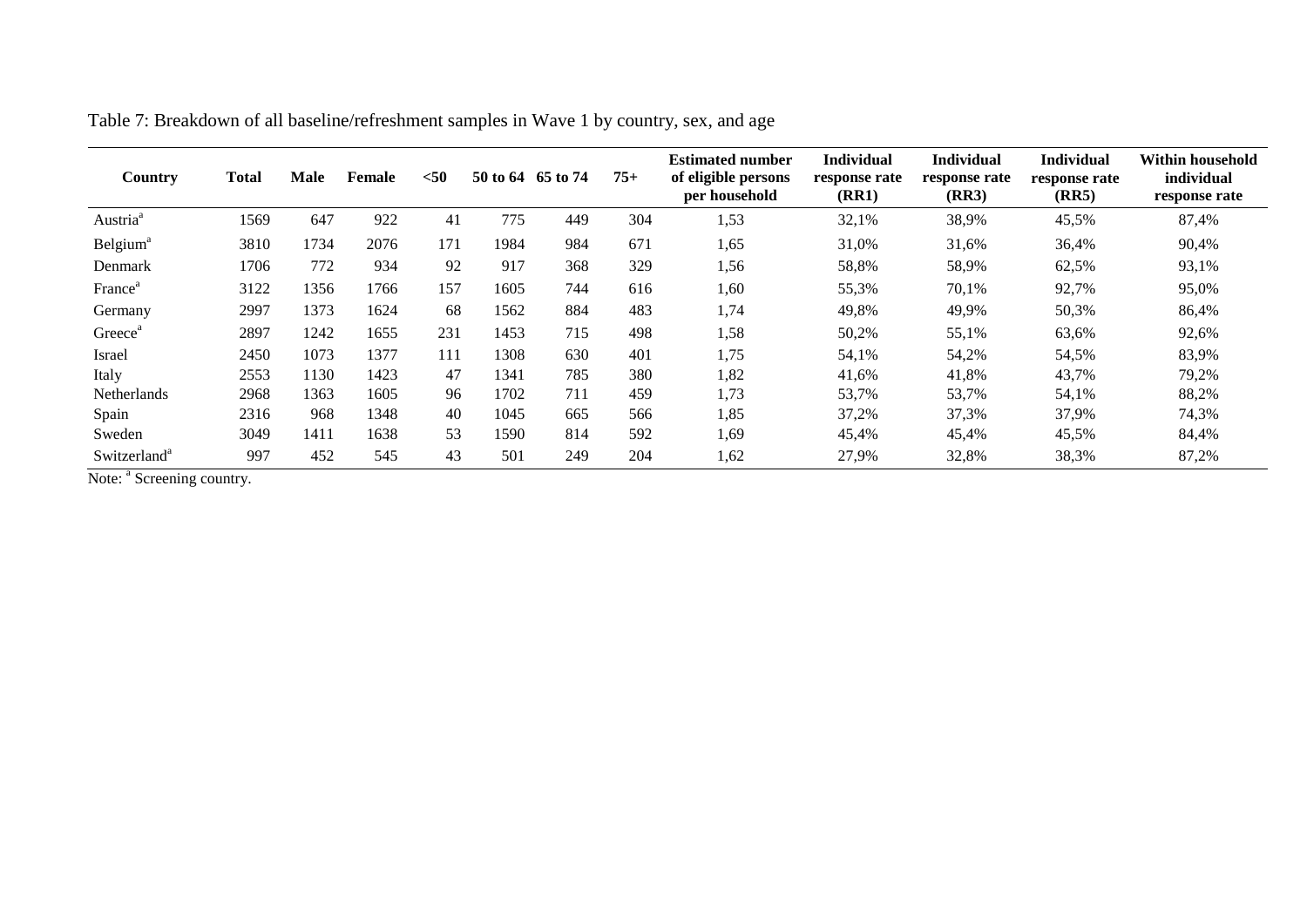<span id="page-23-0"></span>

| Country                  | <b>Total</b> | <b>Male</b> | Female | $50$ | 50 to 64 65 to 74 |     | $75+$ | <b>Estimated number</b><br>of eligible persons<br>per household | <b>Individual</b><br>response rate<br>(RR1) | <b>Individual</b><br>response rate<br>(RR3) | <b>Individual</b><br>response rate<br>(RR5) | Within household<br>individual<br>response rate |
|--------------------------|--------------|-------------|--------|------|-------------------|-----|-------|-----------------------------------------------------------------|---------------------------------------------|---------------------------------------------|---------------------------------------------|-------------------------------------------------|
| Austria <sup>a</sup>     | 1569         | 647         | 922    | 41   | 775               | 449 | 304   | 1,53                                                            | 32,1%                                       | 38,9%                                       | 45,5%                                       | 87,4%                                           |
| Belgium <sup>a</sup>     | 3810         | 1734        | 2076   | 171  | 1984              | 984 | 671   | 1,65                                                            | 31,0%                                       | 31,6%                                       | 36,4%                                       | 90,4%                                           |
| Denmark                  | 1706         | 772         | 934    | 92   | 917               | 368 | 329   | 1,56                                                            | 58,8%                                       | 58,9%                                       | 62,5%                                       | 93,1%                                           |
| France <sup>®</sup>      | 3122         | 1356        | 1766   | 157  | 1605              | 744 | 616   | 1,60                                                            | 55,3%                                       | 70,1%                                       | 92,7%                                       | 95,0%                                           |
| Germany                  | 2997         | 1373        | 1624   | 68   | 1562              | 884 | 483   | 1,74                                                            | 49,8%                                       | 49,9%                                       | 50,3%                                       | 86,4%                                           |
| Greece <sup>a</sup>      | 2897         | 1242        | 1655   | 231  | 1453              | 715 | 498   | 1,58                                                            | 50,2%                                       | 55,1%                                       | 63,6%                                       | 92,6%                                           |
| Israel                   | 2450         | 1073        | 1377   | 111  | 1308              | 630 | 401   | 1,75                                                            | 54,1%                                       | 54,2%                                       | 54,5%                                       | 83,9%                                           |
| Italy                    | 2553         | 1130        | 1423   | 47   | 1341              | 785 | 380   | 1,82                                                            | 41,6%                                       | 41,8%                                       | 43,7%                                       | 79,2%                                           |
| Netherlands              | 2968         | 1363        | 1605   | 96   | 1702              | 711 | 459   | 1,73                                                            | 53,7%                                       | 53,7%                                       | 54,1%                                       | 88,2%                                           |
| Spain                    | 2316         | 968         | 1348   | 40   | 1045              | 665 | 566   | 1,85                                                            | 37,2%                                       | 37,3%                                       | 37,9%                                       | 74,3%                                           |
| Sweden                   | 3049         | 1411        | 1638   | 53   | 1590              | 814 | 592   | 1,69                                                            | 45,4%                                       | 45,4%                                       | 45,5%                                       | 84,4%                                           |
| Switzerland <sup>a</sup> | 997          | 452         | 545    | 43   | 501               | 249 | 204   | 1,62                                                            | 27,9%                                       | 32,8%                                       | 38,3%                                       | 87,2%                                           |

Table 7: Breakdown of all baseline/refreshment samples in Wave 1 by country, sex, and age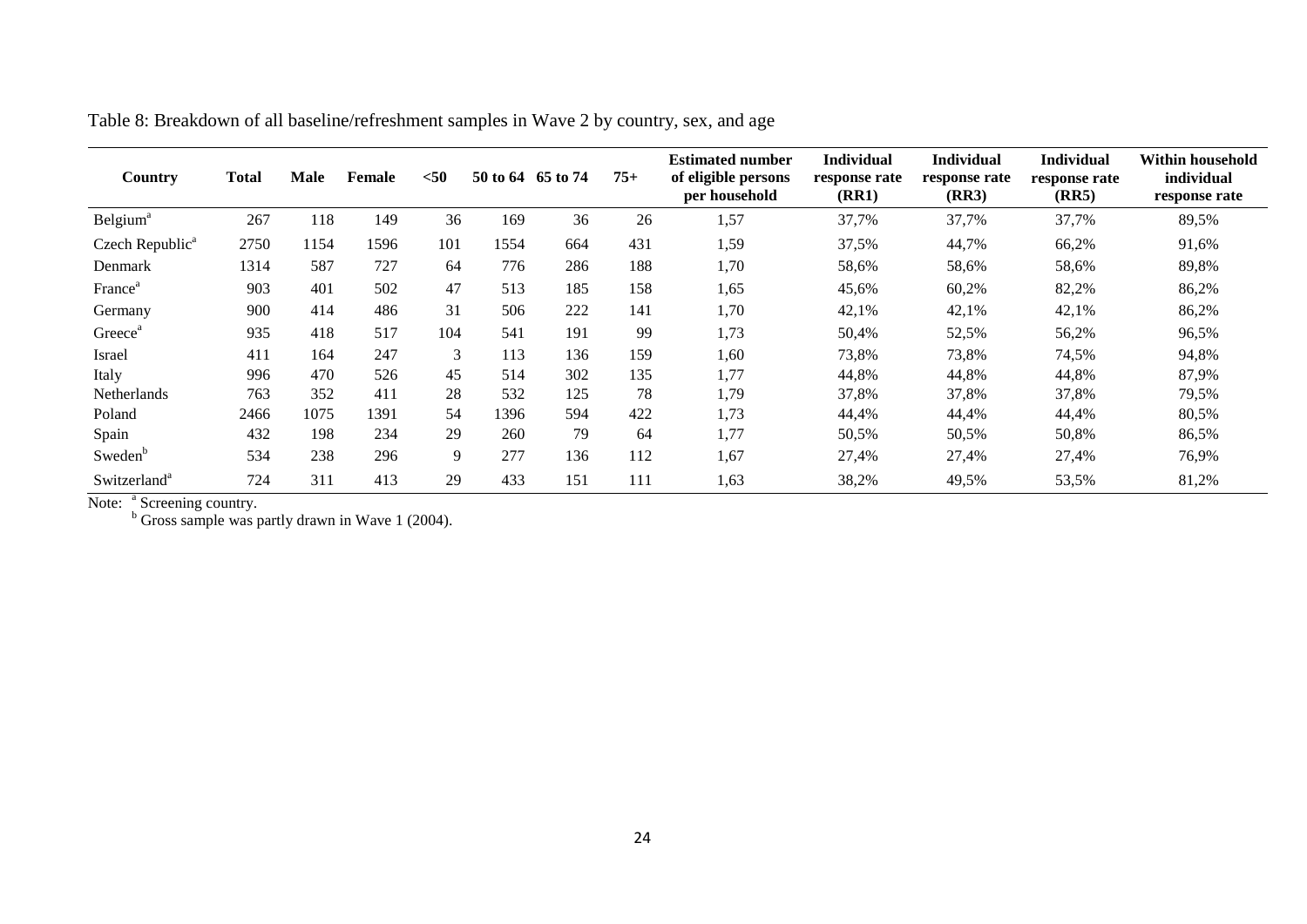| Country                     | Total | <b>Male</b> | <b>Female</b> | $50$ | 50 to 64 | 65 to 74 | $75+$ | <b>Estimated number</b><br>of eligible persons<br>per household | <b>Individual</b><br>response rate<br>(RR1) | Individual<br>response rate<br>(RR3) | <b>Individual</b><br>response rate<br>(RR5) | Within household<br>individual<br>response rate |
|-----------------------------|-------|-------------|---------------|------|----------|----------|-------|-----------------------------------------------------------------|---------------------------------------------|--------------------------------------|---------------------------------------------|-------------------------------------------------|
| Belgium <sup>a</sup>        | 267   | 118         | 149           | 36   | 169      | 36       | 26    | 1,57                                                            | 37,7%                                       | 37,7%                                | 37,7%                                       | 89,5%                                           |
| Czech Republic <sup>a</sup> | 2750  | 1154        | 1596          | 101  | 1554     | 664      | 431   | 1,59                                                            | 37,5%                                       | 44,7%                                | 66,2%                                       | 91,6%                                           |
| Denmark                     | 1314  | 587         | 727           | 64   | 776      | 286      | 188   | 1,70                                                            | 58,6%                                       | 58,6%                                | 58,6%                                       | 89,8%                                           |
| France <sup>a</sup>         | 903   | 401         | 502           | 47   | 513      | 185      | 158   | 1,65                                                            | 45,6%                                       | 60,2%                                | 82,2%                                       | 86,2%                                           |
| Germany                     | 900   | 414         | 486           | 31   | 506      | 222      | 141   | 1,70                                                            | 42,1%                                       | 42,1%                                | 42,1%                                       | 86,2%                                           |
| Greece <sup>®</sup>         | 935   | 418         | 517           | 104  | 541      | 191      | 99    | 1,73                                                            | 50,4%                                       | 52,5%                                | 56,2%                                       | 96,5%                                           |
| Israel                      | 411   | 164         | 247           | 3    | 113      | 136      | 159   | 1,60                                                            | 73,8%                                       | 73,8%                                | 74,5%                                       | 94,8%                                           |
| Italy                       | 996   | 470         | 526           | 45   | 514      | 302      | 135   | 1,77                                                            | 44,8%                                       | 44,8%                                | 44,8%                                       | 87,9%                                           |
| Netherlands                 | 763   | 352         | 411           | 28   | 532      | 125      | 78    | 1,79                                                            | 37,8%                                       | 37,8%                                | 37,8%                                       | 79,5%                                           |
| Poland                      | 2466  | 1075        | 1391          | 54   | 1396     | 594      | 422   | 1,73                                                            | 44,4%                                       | 44,4%                                | 44,4%                                       | 80,5%                                           |
| Spain                       | 432   | 198         | 234           | 29   | 260      | 79       | 64    | 1,77                                                            | 50.5%                                       | 50,5%                                | 50,8%                                       | 86,5%                                           |
| Sweden <sup>b</sup>         | 534   | 238         | 296           | 9    | 277      | 136      | 112   | 1,67                                                            | 27,4%                                       | 27,4%                                | 27,4%                                       | 76,9%                                           |
| Switzerland <sup>a</sup>    | 724   | 311         | 413           | 29   | 433      | 151      | 111   | 1,63                                                            | 38,2%                                       | 49,5%                                | 53,5%                                       | 81,2%                                           |

Table 8: Breakdown of all baseline/refreshment samples in Wave 2 by country, sex, and age

<span id="page-24-0"></span>Note: <sup>a</sup> Screening country.

 $b$  Gross sample was partly drawn in Wave 1 (2004).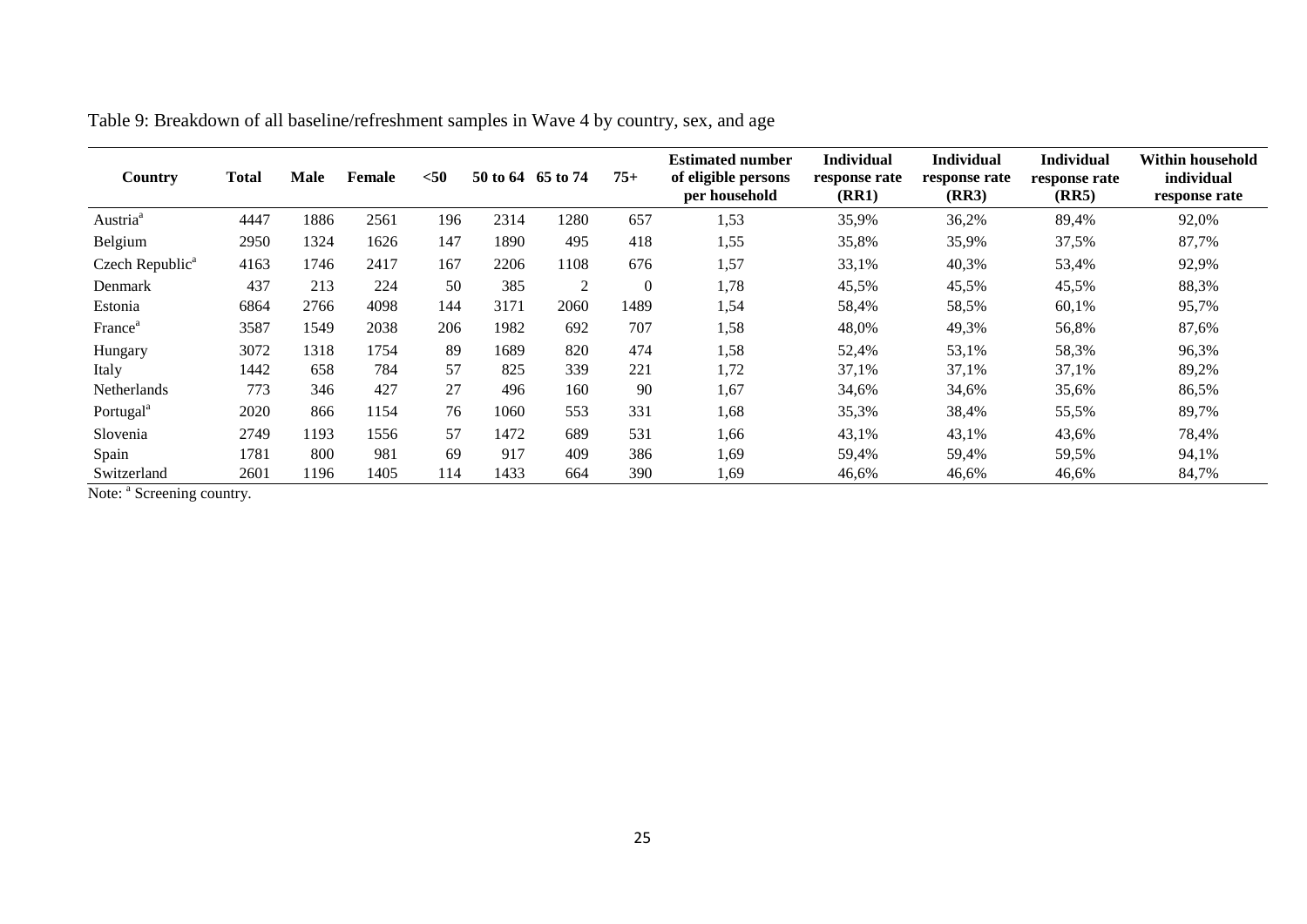<span id="page-25-0"></span>

| Country                     | Total | <b>Male</b> | Female | $50$ | 50 to 64 | 65 to 74 | $75+$          | <b>Estimated number</b><br>of eligible persons<br>per household | <b>Individual</b><br>response rate<br>(RR1) | <b>Individual</b><br>response rate<br>(RR3) | <b>Individual</b><br>response rate<br>(RR5) | Within household<br>individual<br>response rate |
|-----------------------------|-------|-------------|--------|------|----------|----------|----------------|-----------------------------------------------------------------|---------------------------------------------|---------------------------------------------|---------------------------------------------|-------------------------------------------------|
| Austria <sup>a</sup>        | 4447  | 1886        | 2561   | 196  | 2314     | 1280     | 657            | 1,53                                                            | 35,9%                                       | 36,2%                                       | 89,4%                                       | 92,0%                                           |
| Belgium                     | 2950  | 1324        | 1626   | 147  | 1890     | 495      | 418            | 1,55                                                            | 35,8%                                       | 35,9%                                       | 37,5%                                       | 87,7%                                           |
| Czech Republic <sup>a</sup> | 4163  | 1746        | 2417   | 167  | 2206     | 1108     | 676            | 1,57                                                            | 33,1%                                       | 40,3%                                       | 53,4%                                       | 92,9%                                           |
| Denmark                     | 437   | 213         | 224    | 50   | 385      | 2        | $\overline{0}$ | 1,78                                                            | 45,5%                                       | 45,5%                                       | 45,5%                                       | 88,3%                                           |
| Estonia                     | 6864  | 2766        | 4098   | 144  | 3171     | 2060     | 1489           | 1,54                                                            | 58,4%                                       | 58,5%                                       | 60,1%                                       | 95,7%                                           |
| France <sup>®</sup>         | 3587  | 1549        | 2038   | 206  | 1982     | 692      | 707            | 1,58                                                            | 48,0%                                       | 49,3%                                       | 56,8%                                       | 87,6%                                           |
| Hungary                     | 3072  | 1318        | 1754   | 89   | 1689     | 820      | 474            | 1,58                                                            | 52,4%                                       | 53,1%                                       | 58,3%                                       | 96,3%                                           |
| Italy                       | 1442  | 658         | 784    | 57   | 825      | 339      | 221            | 1,72                                                            | 37,1%                                       | 37,1%                                       | 37,1%                                       | 89,2%                                           |
| <b>Netherlands</b>          | 773   | 346         | 427    | 27   | 496      | 160      | 90             | 1,67                                                            | 34,6%                                       | 34,6%                                       | 35,6%                                       | 86,5%                                           |
| Portugal <sup>a</sup>       | 2020  | 866         | 1154   | 76   | 1060     | 553      | 331            | 1,68                                                            | 35,3%                                       | 38,4%                                       | 55,5%                                       | 89,7%                                           |
| Slovenia                    | 2749  | 1193        | 1556   | 57   | 1472     | 689      | 531            | 1,66                                                            | 43,1%                                       | 43,1%                                       | 43,6%                                       | 78,4%                                           |
| Spain                       | 1781  | 800         | 981    | 69   | 917      | 409      | 386            | 1,69                                                            | 59,4%                                       | 59,4%                                       | 59,5%                                       | 94,1%                                           |
| Switzerland                 | 2601  | 1196        | 1405   | 114  | 1433     | 664      | 390            | 1,69                                                            | 46,6%                                       | 46,6%                                       | 46,6%                                       | 84,7%                                           |

Table 9: Breakdown of all baseline/refreshment samples in Wave 4 by country, sex, and age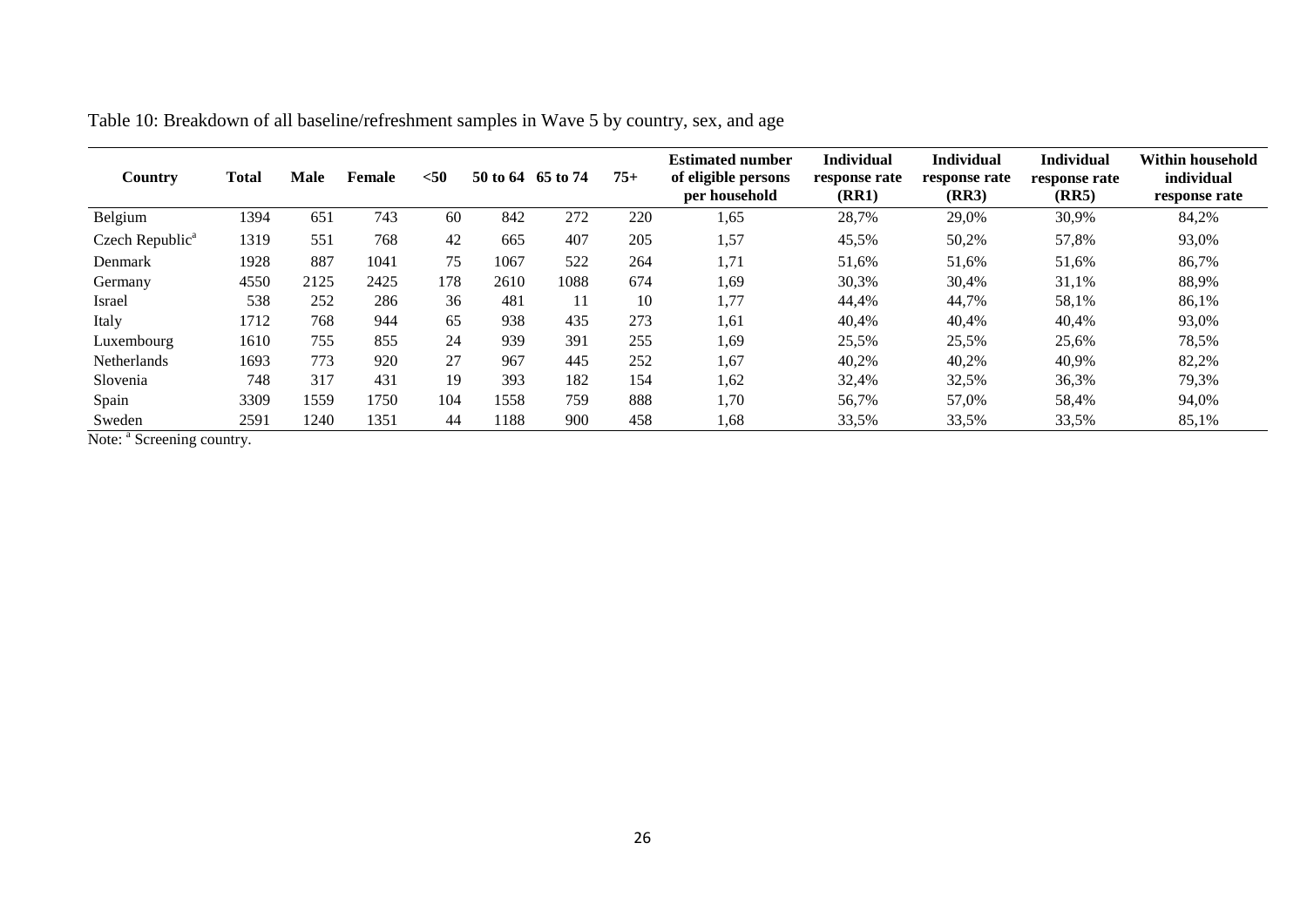<span id="page-26-0"></span>

| Country                     | <b>Total</b> | <b>Male</b>     | Female | $50$ | 50 to 64 65 to 74 |      | $75+$ | <b>Estimated number</b><br>of eligible persons<br>per household | <b>Individual</b><br>response rate<br>(RR1) | <b>Individual</b><br>response rate<br>(RR3) | <b>Individual</b><br>response rate<br>(RR5) | Within household<br>individual<br>response rate |
|-----------------------------|--------------|-----------------|--------|------|-------------------|------|-------|-----------------------------------------------------------------|---------------------------------------------|---------------------------------------------|---------------------------------------------|-------------------------------------------------|
| Belgium                     | 1394         | 65 <sup>2</sup> | 743    | 60   | 842               | 272  | 220   | 1,65                                                            | 28,7%                                       | 29,0%                                       | 30,9%                                       | 84,2%                                           |
| Czech Republic <sup>a</sup> | 1319         | 551             | 768    | 42   | 665               | 407  | 205   | 1,57                                                            | 45,5%                                       | 50,2%                                       | 57,8%                                       | 93,0%                                           |
| Denmark                     | 1928         | 887             | 1041   | 75   | 1067              | 522  | 264   | 1,71                                                            | 51,6%                                       | 51,6%                                       | 51,6%                                       | 86,7%                                           |
| Germany                     | 4550         | 2125            | 2425   | 178  | 2610              | 1088 | 674   | 1,69                                                            | 30,3%                                       | 30,4%                                       | 31,1%                                       | 88,9%                                           |
| Israel                      | 538          | 252             | 286    | 36   | 481               | 11   | 10    | 1,77                                                            | 44,4%                                       | 44,7%                                       | 58,1%                                       | 86,1%                                           |
| Italy                       | 1712         | 768             | 944    | 65   | 938               | 435  | 273   | 1,61                                                            | 40,4%                                       | 40,4%                                       | 40,4%                                       | 93,0%                                           |
| Luxembourg                  | 1610         | 755             | 855    | 24   | 939               | 391  | 255   | 1,69                                                            | 25,5%                                       | 25,5%                                       | 25,6%                                       | 78,5%                                           |
| Netherlands                 | 1693         | 773             | 920    | 27   | 967               | 445  | 252   | 1,67                                                            | 40,2%                                       | 40,2%                                       | 40,9%                                       | 82,2%                                           |
| Slovenia                    | 748          | 317             | 431    | 19   | 393               | 182  | 154   | 1,62                                                            | 32,4%                                       | 32,5%                                       | 36,3%                                       | 79,3%                                           |
| Spain                       | 3309         | 1559            | 1750   | 104  | 1558              | 759  | 888   | 1,70                                                            | 56,7%                                       | 57,0%                                       | 58,4%                                       | 94,0%                                           |
| Sweden                      | 2591         | 1240            | 1351   | 44   | 1188              | 900  | 458   | 1,68                                                            | 33,5%                                       | 33,5%                                       | 33,5%                                       | 85,1%                                           |

Table 10: Breakdown of all baseline/refreshment samples in Wave 5 by country, sex, and age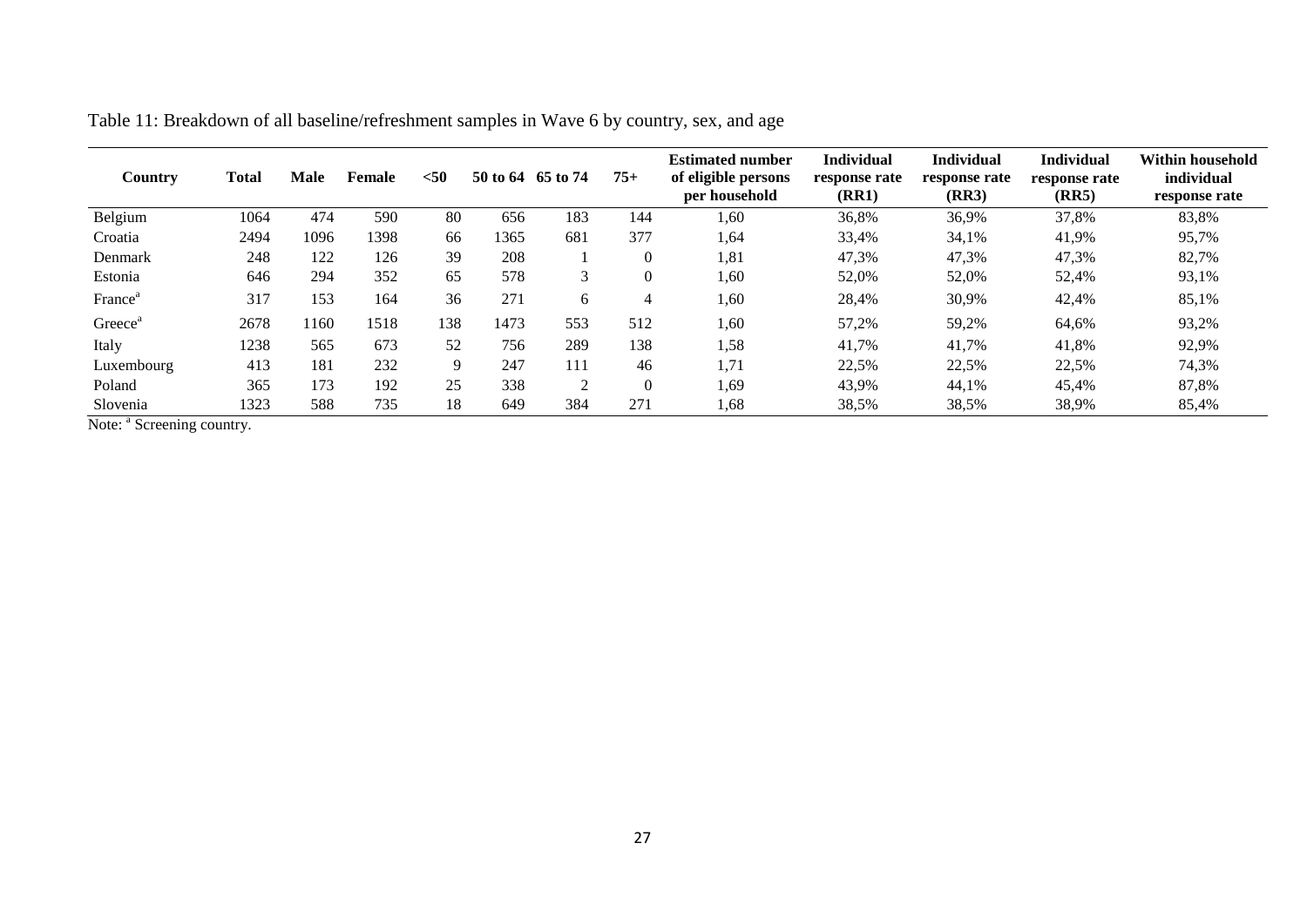<span id="page-27-0"></span>

| Country             | Total | <b>Male</b> | Female | $50$ | 50 to 64 | 65 to 74 | $75+$    | <b>Estimated number</b><br>of eligible persons<br>per household | <b>Individual</b><br>response rate<br>(RR1) | <b>Individual</b><br>response rate<br>(RR3) | <b>Individual</b><br>response rate<br>(RR5) | <b>Within household</b><br>individual<br>response rate |
|---------------------|-------|-------------|--------|------|----------|----------|----------|-----------------------------------------------------------------|---------------------------------------------|---------------------------------------------|---------------------------------------------|--------------------------------------------------------|
| Belgium             | 1064  | 474         | 590    | 80   | 656      | 183      | 144      | 1.60                                                            | 36,8%                                       | 36,9%                                       | 37,8%                                       | 83,8%                                                  |
| Croatia             | 2494  | 1096        | 1398   | 66   | 1365     | 681      | 377      | 1,64                                                            | 33,4%                                       | 34,1%                                       | 41,9%                                       | 95,7%                                                  |
| Denmark             | 248   | 122         | 126    | 39   | 208      |          | $\theta$ | 1,81                                                            | 47,3%                                       | 47,3%                                       | 47,3%                                       | 82,7%                                                  |
| Estonia             | 646   | 294         | 352    | 65   | 578      | 3        | $\Omega$ | 1,60                                                            | 52,0%                                       | 52,0%                                       | 52,4%                                       | 93,1%                                                  |
| France <sup>a</sup> | 317   | 153         | 164    | 36   | 271      | 6        | 4        | 1,60                                                            | 28,4%                                       | 30,9%                                       | 42,4%                                       | 85,1%                                                  |
| Greece <sup>a</sup> | 2678  | 1160        | 1518   | 138  | 1473     | 553      | 512      | 1,60                                                            | 57,2%                                       | 59,2%                                       | 64,6%                                       | 93,2%                                                  |
| Italy               | 1238  | 565         | 673    | 52   | 756      | 289      | 138      | 1,58                                                            | 41,7%                                       | 41,7%                                       | 41,8%                                       | 92,9%                                                  |
| Luxembourg          | 413   | 181         | 232    | 9    | 247      | 111      | 46       | 1,71                                                            | 22,5%                                       | 22,5%                                       | 22,5%                                       | 74,3%                                                  |
| Poland              | 365   | 173         | 192    | 25   | 338      | 2        | $\Omega$ | 1,69                                                            | 43,9%                                       | 44,1%                                       | 45,4%                                       | 87,8%                                                  |
| Slovenia            | 1323  | 588         | 735    | 18   | 649      | 384      | 271      | 1,68                                                            | 38,5%                                       | 38,5%                                       | 38,9%                                       | 85,4%                                                  |

Table 11: Breakdown of all baseline/refreshment samples in Wave 6 by country, sex, and age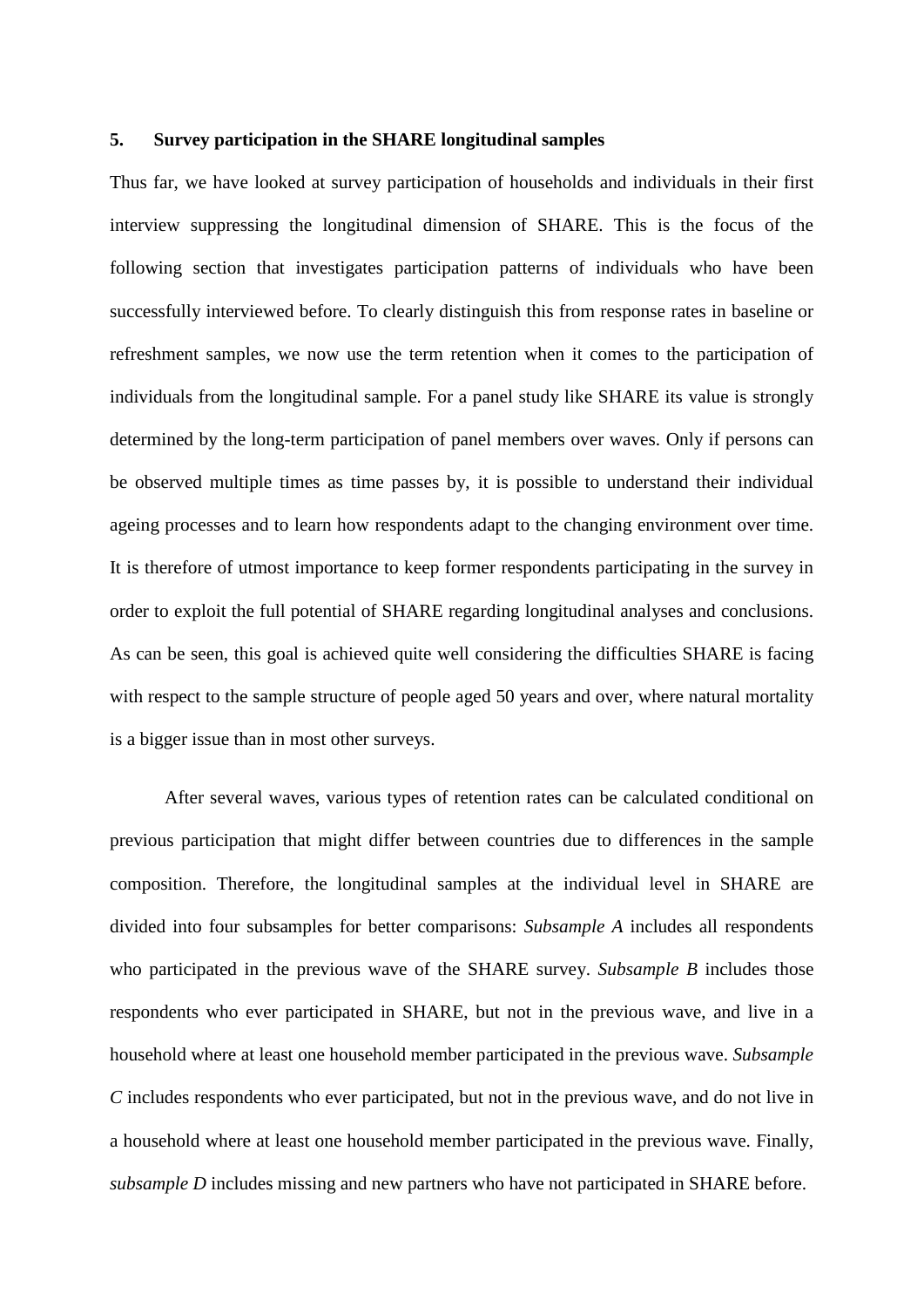#### <span id="page-28-0"></span>**5. Survey participation in the SHARE longitudinal samples**

Thus far, we have looked at survey participation of households and individuals in their first interview suppressing the longitudinal dimension of SHARE. This is the focus of the following section that investigates participation patterns of individuals who have been successfully interviewed before. To clearly distinguish this from response rates in baseline or refreshment samples, we now use the term retention when it comes to the participation of individuals from the longitudinal sample. For a panel study like SHARE its value is strongly determined by the long-term participation of panel members over waves. Only if persons can be observed multiple times as time passes by, it is possible to understand their individual ageing processes and to learn how respondents adapt to the changing environment over time. It is therefore of utmost importance to keep former respondents participating in the survey in order to exploit the full potential of SHARE regarding longitudinal analyses and conclusions. As can be seen, this goal is achieved quite well considering the difficulties SHARE is facing with respect to the sample structure of people aged 50 years and over, where natural mortality is a bigger issue than in most other surveys.

After several waves, various types of retention rates can be calculated conditional on previous participation that might differ between countries due to differences in the sample composition. Therefore, the longitudinal samples at the individual level in SHARE are divided into four subsamples for better comparisons: *Subsample A* includes all respondents who participated in the previous wave of the SHARE survey. *Subsample B* includes those respondents who ever participated in SHARE, but not in the previous wave, and live in a household where at least one household member participated in the previous wave. *Subsample C* includes respondents who ever participated, but not in the previous wave, and do not live in a household where at least one household member participated in the previous wave. Finally, *subsample D* includes missing and new partners who have not participated in SHARE before.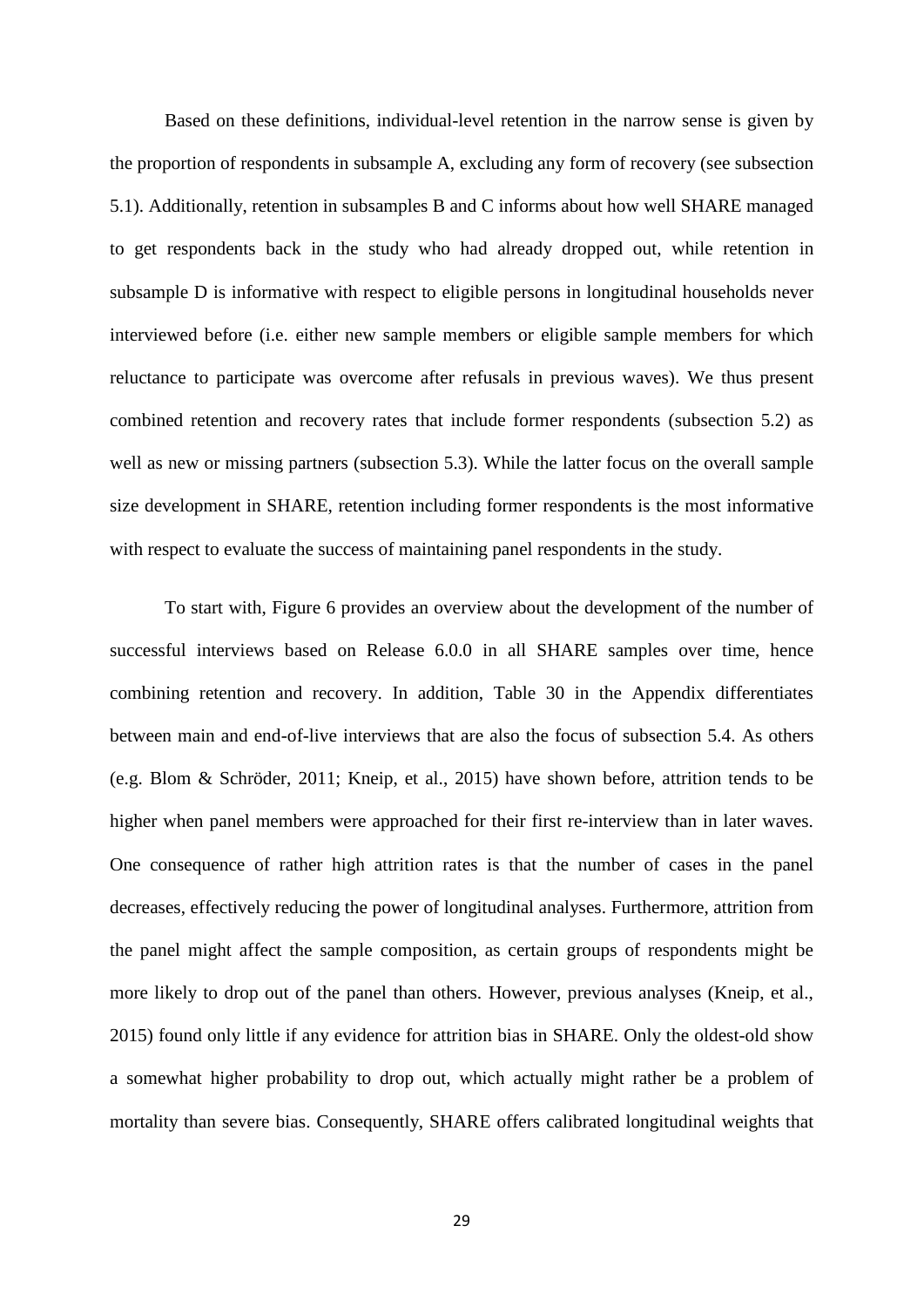Based on these definitions, individual-level retention in the narrow sense is given by the proportion of respondents in subsample A, excluding any form of recovery (see subsection [5.1\)](#page-32-0). Additionally, retention in subsamples B and C informs about how well SHARE managed to get respondents back in the study who had already dropped out, while retention in subsample D is informative with respect to eligible persons in longitudinal households never interviewed before (i.e. either new sample members or eligible sample members for which reluctance to participate was overcome after refusals in previous waves). We thus present combined retention and recovery rates that include former respondents (subsection [5.2\)](#page-34-0) as well as new or missing partners (subsection [5.3\)](#page-36-0). While the latter focus on the overall sample size development in SHARE, retention including former respondents is the most informative with respect to evaluate the success of maintaining panel respondents in the study.

To start with, [Figure 6](#page-31-0) provides an overview about the development of the number of successful interviews based on Release 6.0.0 in all SHARE samples over time, hence combining retention and recovery. In addition, [Table 30](#page-45-0) in the Appendix differentiates between main and end-of-live interviews that are also the focus of subsection [5.4.](#page-38-0) As others (e.g. [Blom & Schröder, 2011;](#page-41-2) [Kneip, et al., 2015\)](#page-41-5) have shown before, attrition tends to be higher when panel members were approached for their first re-interview than in later waves. One consequence of rather high attrition rates is that the number of cases in the panel decreases, effectively reducing the power of longitudinal analyses. Furthermore, attrition from the panel might affect the sample composition, as certain groups of respondents might be more likely to drop out of the panel than others. However, previous analyses [\(Kneip, et al.,](#page-41-5)  [2015\)](#page-41-5) found only little if any evidence for attrition bias in SHARE. Only the oldest-old show a somewhat higher probability to drop out, which actually might rather be a problem of mortality than severe bias. Consequently, SHARE offers calibrated longitudinal weights that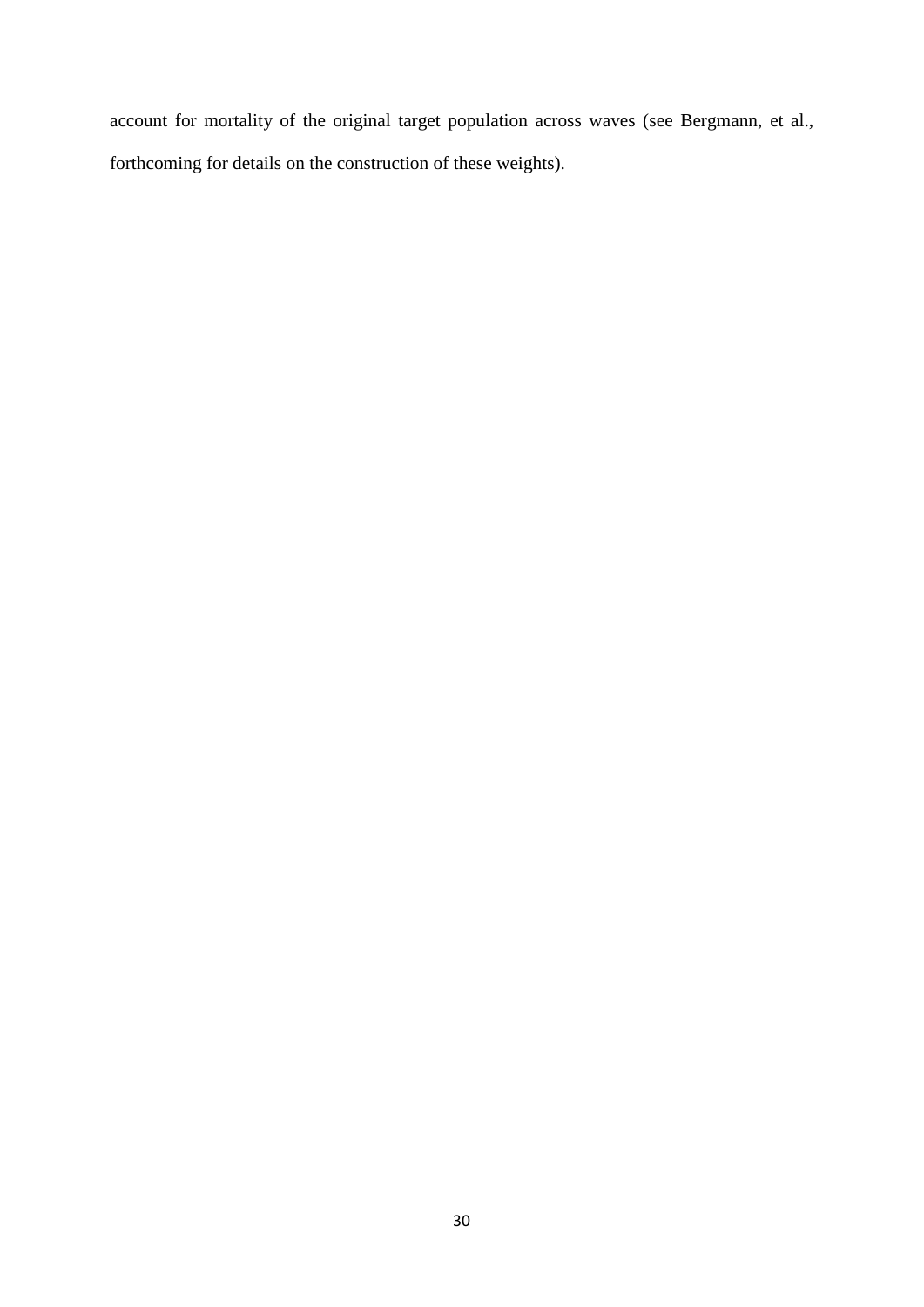account for mortality of the original target population across waves [\(see Bergmann, et al.,](#page-41-8)  [forthcoming for details on the construction of these weights\)](#page-41-8).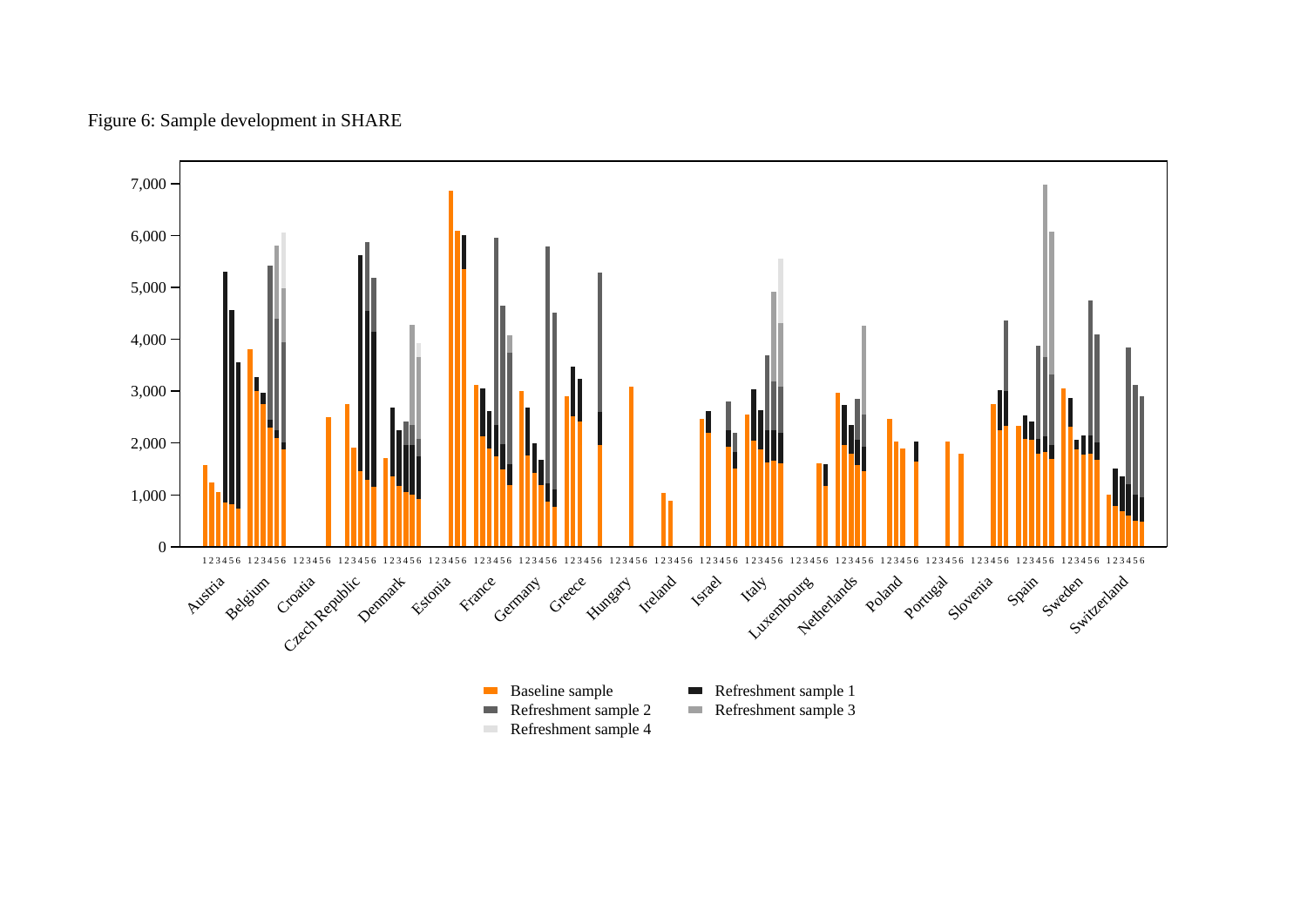Figure 6: Sample development in SHARE

<span id="page-31-0"></span>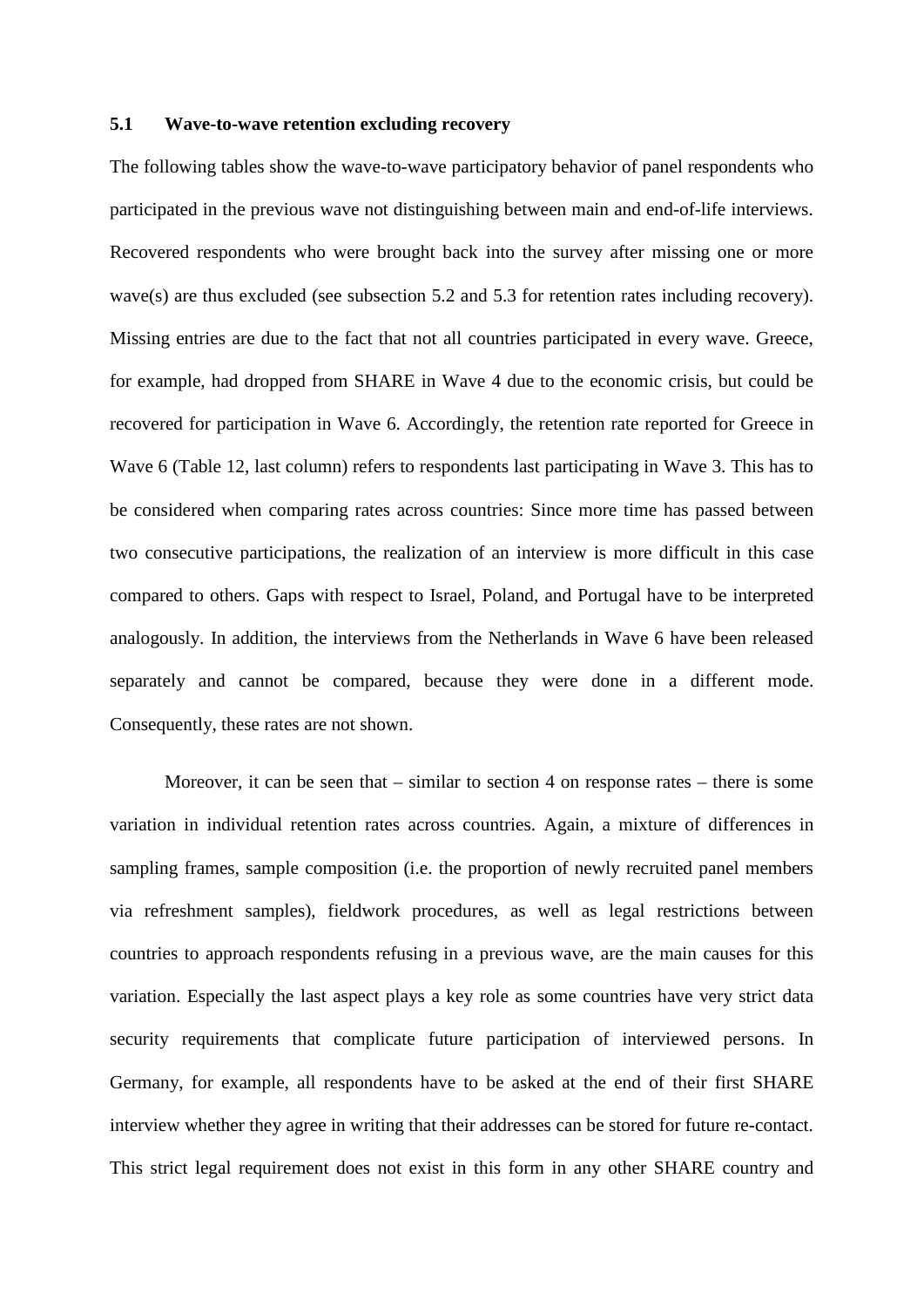#### <span id="page-32-0"></span>**5.1 Wave-to-wave retention excluding recovery**

The following tables show the wave-to-wave participatory behavior of panel respondents who participated in the previous wave not distinguishing between main and end-of-life interviews. Recovered respondents who were brought back into the survey after missing one or more wave(s) are thus excluded (see subsection [5.2](#page-34-0) and [5.3](#page-36-0) for retention rates including recovery). Missing entries are due to the fact that not all countries participated in every wave. Greece, for example, had dropped from SHARE in Wave 4 due to the economic crisis, but could be recovered for participation in Wave 6. Accordingly, the retention rate reported for Greece in Wave 6 [\(Table 12,](#page-33-0) last column) refers to respondents last participating in Wave 3. This has to be considered when comparing rates across countries: Since more time has passed between two consecutive participations, the realization of an interview is more difficult in this case compared to others. Gaps with respect to Israel, Poland, and Portugal have to be interpreted analogously. In addition, the interviews from the Netherlands in Wave 6 have been released separately and cannot be compared, because they were done in a different mode. Consequently, these rates are not shown.

Moreover, it can be seen that – similar to section [4](#page-17-0) on response rates – there is some variation in individual retention rates across countries. Again, a mixture of differences in sampling frames, sample composition (i.e. the proportion of newly recruited panel members via refreshment samples), fieldwork procedures, as well as legal restrictions between countries to approach respondents refusing in a previous wave, are the main causes for this variation. Especially the last aspect plays a key role as some countries have very strict data security requirements that complicate future participation of interviewed persons. In Germany, for example, all respondents have to be asked at the end of their first SHARE interview whether they agree in writing that their addresses can be stored for future re-contact. This strict legal requirement does not exist in this form in any other SHARE country and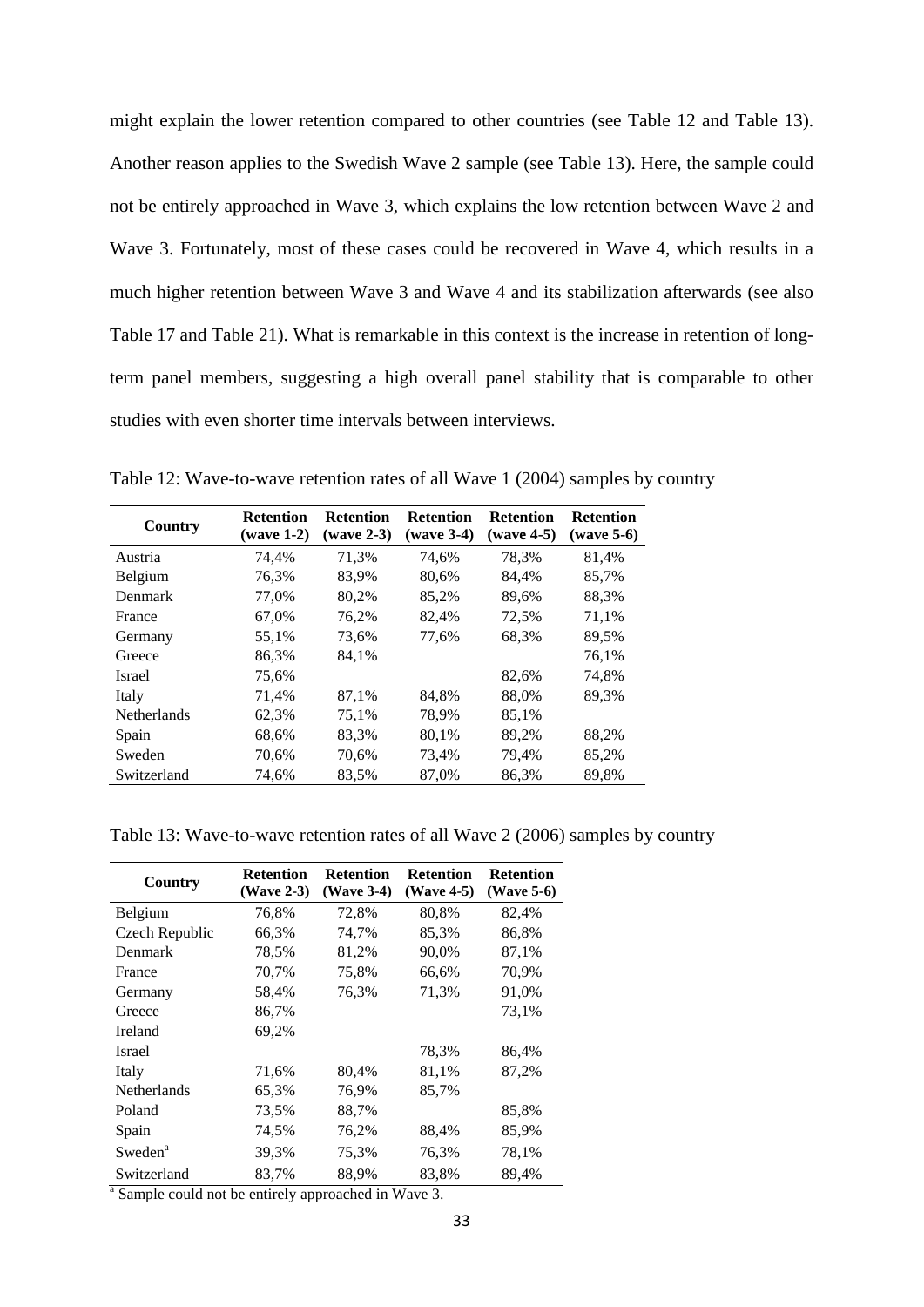might explain the lower retention compared to other countries (see [Table 12](#page-33-0) and [Table 13\)](#page-33-1). Another reason applies to the Swedish Wave 2 sample (see [Table 13\)](#page-33-1). Here, the sample could not be entirely approached in Wave 3, which explains the low retention between Wave 2 and Wave 3. Fortunately, most of these cases could be recovered in Wave 4, which results in a much higher retention between Wave 3 and Wave 4 and its stabilization afterwards (see also [Table 17](#page-35-1) and [Table 21\)](#page-37-1). What is remarkable in this context is the increase in retention of longterm panel members, suggesting a high overall panel stability that is comparable to other studies with even shorter time intervals between interviews.

| Country            | <b>Retention</b><br>$(wave 1-2)$ | <b>Retention</b><br>$(wave 2-3)$ | <b>Retention</b><br>$(wave 3-4)$ | <b>Retention</b><br>$(wave 4-5)$ | <b>Retention</b><br>(wave 5-6) |
|--------------------|----------------------------------|----------------------------------|----------------------------------|----------------------------------|--------------------------------|
| Austria            | 74,4%                            | 71,3%                            | 74,6%                            | 78,3%                            | 81,4%                          |
| Belgium            | 76,3%                            | 83.9%                            | 80,6%                            | 84,4%                            | 85,7%                          |
| Denmark            | 77,0%                            | 80,2%                            | 85,2%                            | 89,6%                            | 88,3%                          |
| France             | 67,0%                            | 76,2%                            | 82,4%                            | 72,5%                            | 71,1%                          |
| Germany            | 55,1%                            | 73,6%                            | 77,6%                            | 68,3%                            | 89,5%                          |
| Greece             | 86,3%                            | 84,1%                            |                                  |                                  | 76.1%                          |
| Israel             | 75,6%                            |                                  |                                  | 82,6%                            | 74,8%                          |
| Italy              | 71,4%                            | 87,1%                            | 84,8%                            | 88,0%                            | 89,3%                          |
| <b>Netherlands</b> | 62,3%                            | 75,1%                            | 78,9%                            | 85,1%                            |                                |
| Spain              | 68,6%                            | 83.3%                            | 80,1%                            | 89,2%                            | 88.2%                          |
| Sweden             | 70,6%                            | 70,6%                            | 73,4%                            | 79,4%                            | 85,2%                          |
| Switzerland        | 74,6%                            | 83.5%                            | 87,0%                            | 86,3%                            | 89.8%                          |

<span id="page-33-0"></span>Table 12: Wave-to-wave retention rates of all Wave 1 (2004) samples by country

#### <span id="page-33-1"></span>Table 13: Wave-to-wave retention rates of all Wave 2 (2006) samples by country

| Country             | <b>Retention</b><br>(Wave 2-3) | <b>Retention</b><br>(Wave 3-4) | <b>Retention</b><br>(Wave 4-5) | <b>Retention</b><br>$(Wave 5-6)$ |
|---------------------|--------------------------------|--------------------------------|--------------------------------|----------------------------------|
| Belgium             | 76,8%                          | 72,8%                          | 80,8%                          | 82,4%                            |
| Czech Republic      | 66,3%                          | 74,7%                          | 85,3%                          | 86,8%                            |
| Denmark             | 78,5%                          | 81,2%                          | 90,0%                          | 87,1%                            |
| France              | 70,7%                          | 75,8%                          | 66,6%                          | 70,9%                            |
| Germany             | 58,4%                          | 76,3%                          | 71,3%                          | 91,0%                            |
| Greece              | 86,7%                          |                                |                                | 73,1%                            |
| Ireland             | 69,2%                          |                                |                                |                                  |
| Israel              |                                |                                | 78,3%                          | 86,4%                            |
| Italy               | 71,6%                          | 80,4%                          | 81,1%                          | 87,2%                            |
| Netherlands         | 65,3%                          | 76,9%                          | 85,7%                          |                                  |
| Poland              | 73,5%                          | 88,7%                          |                                | 85,8%                            |
| Spain               | 74,5%                          | 76,2%                          | 88,4%                          | 85,9%                            |
| Sweden <sup>a</sup> | 39,3%                          | 75,3%                          | 76,3%                          | 78,1%                            |
| Switzerland         | 83,7%                          | 88,9%<br>$-1$ $-1$ $-1$ $-1$   | 83,8%                          | 89,4%                            |

Sample could not be entirely approached in Wave 3.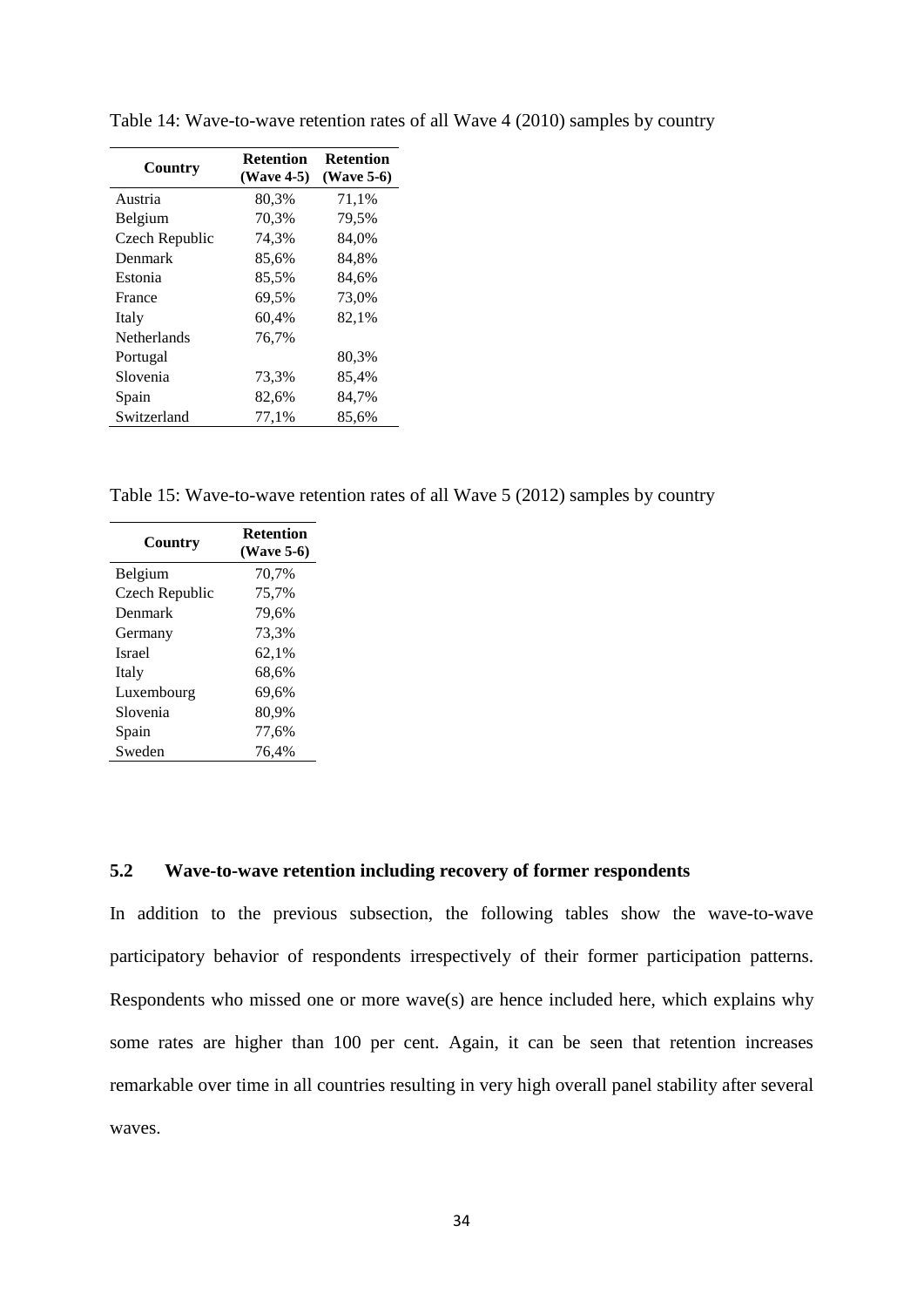| (Wave 5-6) |
|------------|
|            |
|            |
|            |
|            |
|            |
|            |
|            |
|            |
|            |
|            |
|            |
|            |
|            |

<span id="page-34-1"></span>Table 14: Wave-to-wave retention rates of all Wave 4 (2010) samples by country

<span id="page-34-2"></span>Table 15: Wave-to-wave retention rates of all Wave 5 (2012) samples by country

| Country        | <b>Retention</b><br>(Wave 5-6) |
|----------------|--------------------------------|
| <b>Belgium</b> | 70,7%                          |
| Czech Republic | 75,7%                          |
| Denmark        | 79,6%                          |
| Germany        | 73,3%                          |
| <b>Israel</b>  | 62,1%                          |
| Italy          | 68,6%                          |
| Luxembourg     | 69,6%                          |
| Slovenia       | 80,9%                          |
| Spain          | 77,6%                          |
| Sweden         | 76.4%                          |

#### <span id="page-34-0"></span>**5.2 Wave-to-wave retention including recovery of former respondents**

In addition to the previous subsection, the following tables show the wave-to-wave participatory behavior of respondents irrespectively of their former participation patterns. Respondents who missed one or more wave(s) are hence included here, which explains why some rates are higher than 100 per cent. Again, it can be seen that retention increases remarkable over time in all countries resulting in very high overall panel stability after several waves.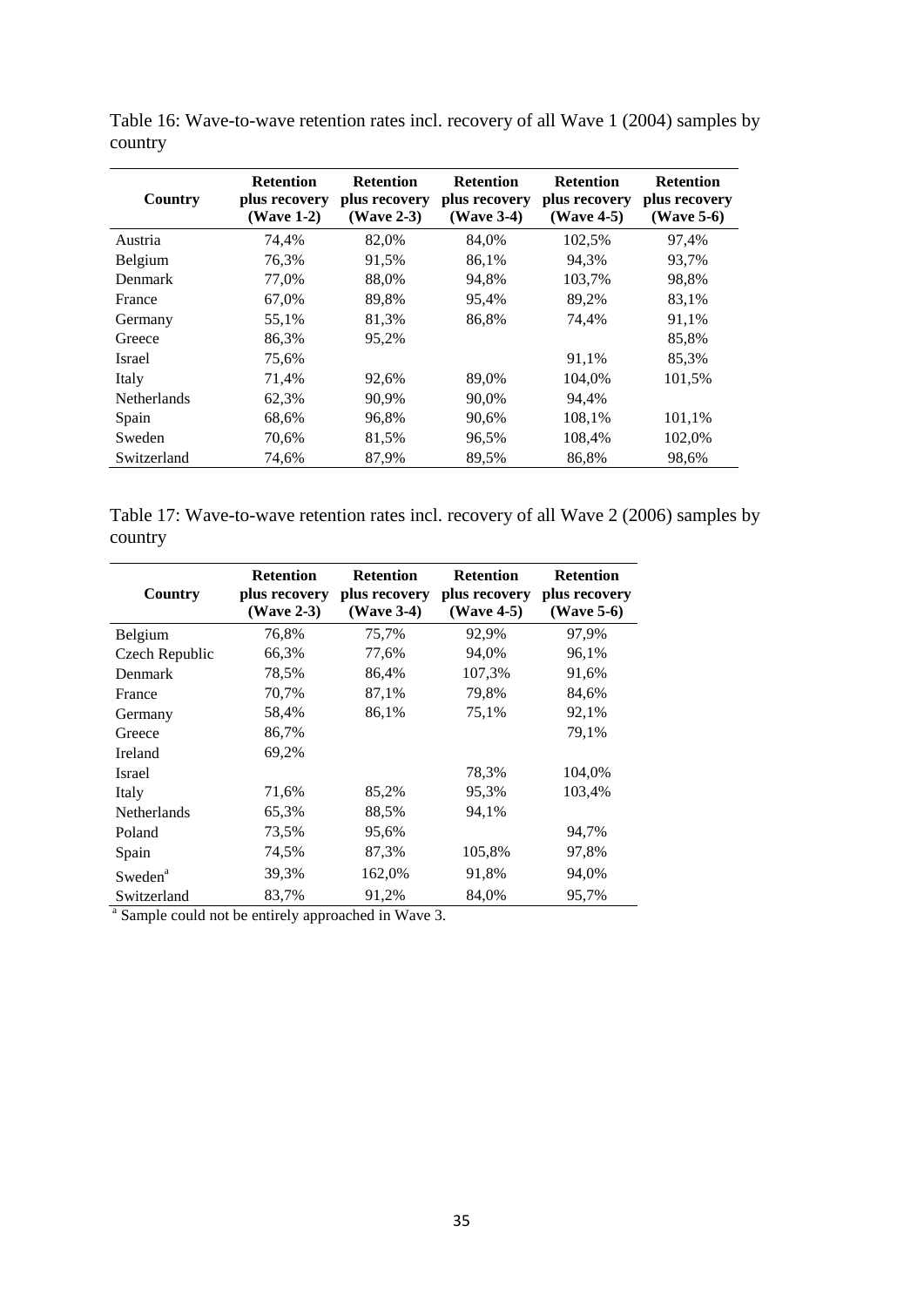| Country            | <b>Retention</b><br>plus recovery<br>(Wave 1-2) | <b>Retention</b><br>plus recovery<br>$(Wave 2-3)$ | <b>Retention</b><br>plus recovery<br>(Wave 3-4) | <b>Retention</b><br>plus recovery<br>$(Wave 4-5)$ | <b>Retention</b><br>plus recovery<br>$(Wave 5-6)$ |
|--------------------|-------------------------------------------------|---------------------------------------------------|-------------------------------------------------|---------------------------------------------------|---------------------------------------------------|
| Austria            | 74,4%                                           | 82,0%                                             | 84,0%                                           | 102,5%                                            | 97,4%                                             |
| Belgium            | 76.3%                                           | 91,5%                                             | 86,1%                                           | 94.3%                                             | 93.7%                                             |
| Denmark            | 77.0%                                           | 88.0%                                             | 94,8%                                           | 103.7%                                            | 98,8%                                             |
| France             | 67.0%                                           | 89,8%                                             | 95,4%                                           | 89,2%                                             | 83,1%                                             |
| Germany            | 55,1%                                           | 81,3%                                             | 86,8%                                           | 74,4%                                             | 91,1%                                             |
| Greece             | 86,3%                                           | 95,2%                                             |                                                 |                                                   | 85,8%                                             |
| <b>Israel</b>      | 75,6%                                           |                                                   |                                                 | 91,1%                                             | 85,3%                                             |
| Italy              | 71,4%                                           | 92,6%                                             | 89,0%                                           | 104.0%                                            | 101.5%                                            |
| <b>Netherlands</b> | 62,3%                                           | 90.9%                                             | 90,0%                                           | 94.4%                                             |                                                   |
| Spain              | 68,6%                                           | 96,8%                                             | 90,6%                                           | 108,1%                                            | 101,1%                                            |
| Sweden             | 70.6%                                           | 81,5%                                             | 96,5%                                           | 108,4%                                            | 102,0%                                            |
| Switzerland        | 74,6%                                           | 87,9%                                             | 89,5%                                           | 86,8%                                             | 98,6%                                             |

<span id="page-35-0"></span>Table 16: Wave-to-wave retention rates incl. recovery of all Wave 1 (2004) samples by country

<span id="page-35-1"></span>Table 17: Wave-to-wave retention rates incl. recovery of all Wave 2 (2006) samples by country

| Country             | <b>Retention</b><br>plus recovery<br>(Wave 2-3) | <b>Retention</b><br>plus recovery<br>(Wave 3-4) | <b>Retention</b><br>plus recovery<br>(Wave 4-5) | <b>Retention</b><br>plus recovery<br>(Wave 5-6) |
|---------------------|-------------------------------------------------|-------------------------------------------------|-------------------------------------------------|-------------------------------------------------|
| Belgium             | 76,8%                                           | 75,7%                                           | 92,9%                                           | 97,9%                                           |
| Czech Republic      | 66,3%                                           | 77,6%                                           | 94,0%                                           | 96,1%                                           |
| Denmark             | 78,5%                                           | 86,4%                                           | 107,3%                                          | 91,6%                                           |
| France              | 70,7%                                           | 87,1%                                           | 79,8%                                           | 84,6%                                           |
| Germany             | 58,4%                                           | 86,1%                                           | 75,1%                                           | 92,1%                                           |
| Greece              | 86,7%                                           |                                                 |                                                 | 79,1%                                           |
| <b>Ireland</b>      | 69,2%                                           |                                                 |                                                 |                                                 |
| Israel              |                                                 |                                                 | 78,3%                                           | 104,0%                                          |
| Italy               | 71,6%                                           | 85,2%                                           | 95,3%                                           | 103,4%                                          |
| <b>Netherlands</b>  | 65,3%                                           | 88.5%                                           | 94,1%                                           |                                                 |
| Poland              | 73,5%                                           | 95,6%                                           |                                                 | 94,7%                                           |
| Spain               | 74,5%                                           | 87,3%                                           | 105,8%                                          | 97,8%                                           |
| Sweden <sup>a</sup> | 39,3%                                           | 162,0%                                          | 91,8%                                           | 94,0%                                           |
| Switzerland         | 83,7%                                           | 91,2%                                           | 84,0%                                           | 95,7%                                           |

<sup>a</sup> Sample could not be entirely approached in Wave 3.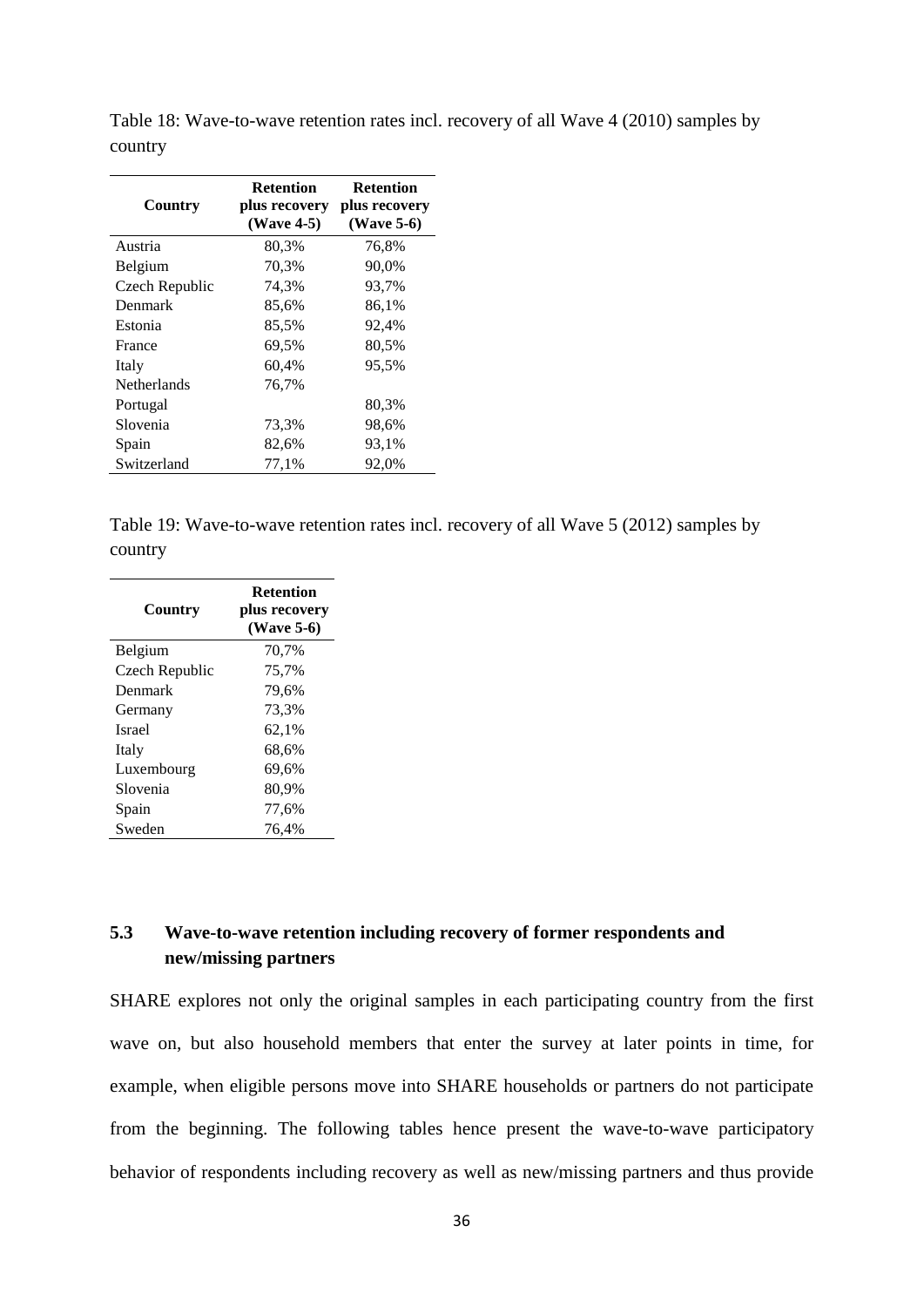| Country        | <b>Retention</b><br>plus recovery<br>(Wave 4-5) | <b>Retention</b><br>plus recovery<br>$(Wave 5-6)$ |
|----------------|-------------------------------------------------|---------------------------------------------------|
| Austria        | 80,3%                                           | 76,8%                                             |
| Belgium        | 70,3%                                           | 90,0%                                             |
| Czech Republic | 74,3%                                           | 93,7%                                             |
| Denmark        | 85,6%                                           | 86,1%                                             |
| Estonia        | 85,5%                                           | 92,4%                                             |
| France         | 69,5%                                           | 80,5%                                             |
| Italy          | 60,4%                                           | 95,5%                                             |
| Netherlands    | 76,7%                                           |                                                   |
| Portugal       |                                                 | 80,3%                                             |
| Slovenia       | 73,3%                                           | 98,6%                                             |
| Spain          | 82,6%                                           | 93,1%                                             |
| Switzerland    | 77,1%                                           | 92,0%                                             |

<span id="page-36-1"></span>Table 18: Wave-to-wave retention rates incl. recovery of all Wave 4 (2010) samples by country

<span id="page-36-2"></span>Table 19: Wave-to-wave retention rates incl. recovery of all Wave 5 (2012) samples by country

| Country        | <b>Retention</b><br>plus recovery<br>(Wave 5-6) |
|----------------|-------------------------------------------------|
| Belgium        | 70,7%                                           |
| Czech Republic | 75,7%                                           |
| Denmark        | 79,6%                                           |
| Germany        | 73.3%                                           |
| Israel         | 62,1%                                           |
| Italy          | 68,6%                                           |
| Luxembourg     | 69,6%                                           |
| Slovenia       | 80,9%                                           |
| Spain          | 77,6%                                           |
| Sweden         | 76.4%                                           |

## <span id="page-36-0"></span>**5.3 Wave-to-wave retention including recovery of former respondents and new/missing partners**

SHARE explores not only the original samples in each participating country from the first wave on, but also household members that enter the survey at later points in time, for example, when eligible persons move into SHARE households or partners do not participate from the beginning. The following tables hence present the wave-to-wave participatory behavior of respondents including recovery as well as new/missing partners and thus provide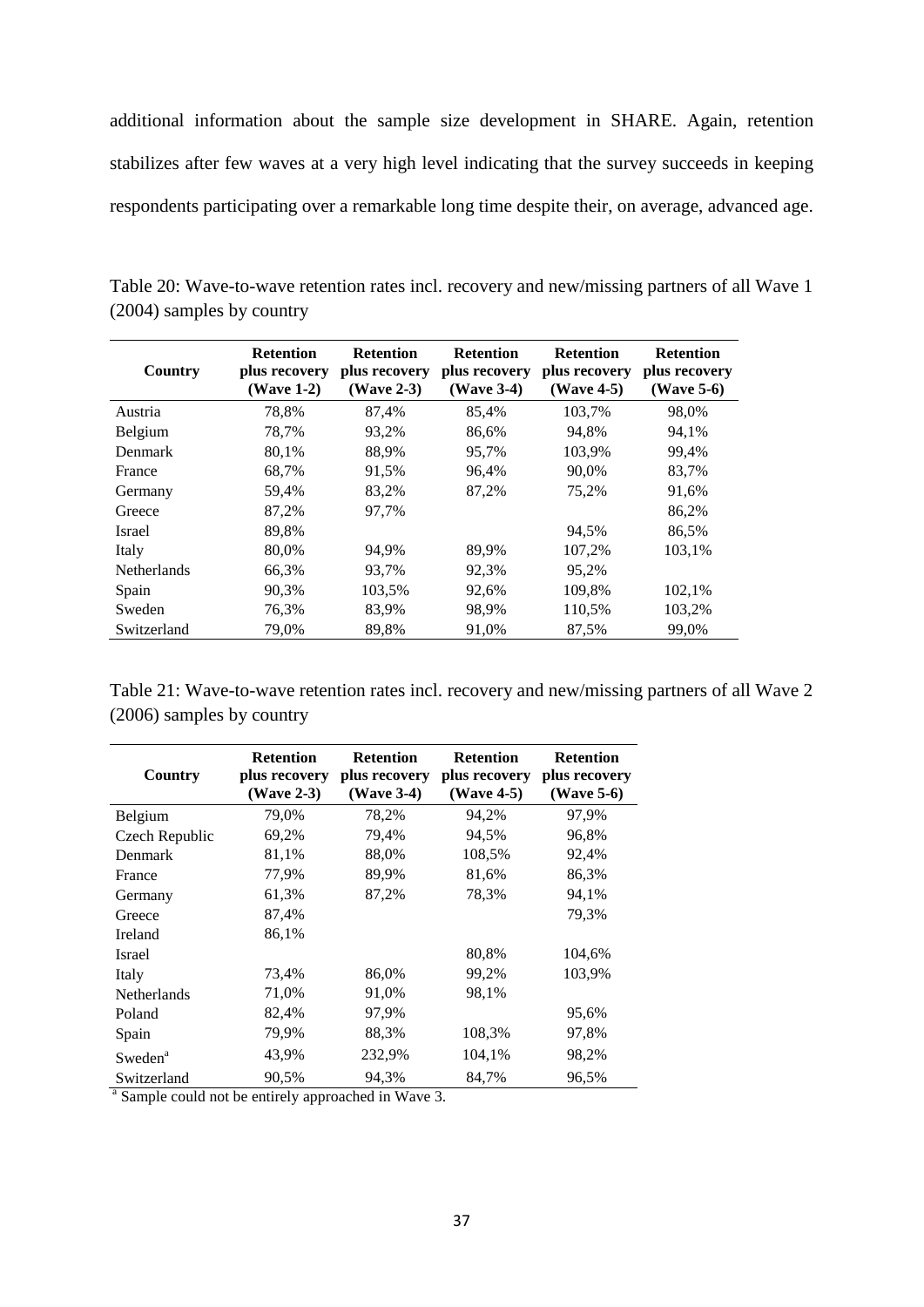additional information about the sample size development in SHARE. Again, retention stabilizes after few waves at a very high level indicating that the survey succeeds in keeping respondents participating over a remarkable long time despite their, on average, advanced age.

| Country            | <b>Retention</b><br>plus recovery<br>(Wave 1-2) | <b>Retention</b><br>plus recovery<br>(Wave 2-3) | <b>Retention</b><br>plus recovery<br>(Wave 3-4) | <b>Retention</b><br>plus recovery<br>$(Wave 4-5)$ | <b>Retention</b><br>plus recovery<br>$(Wave 5-6)$ |
|--------------------|-------------------------------------------------|-------------------------------------------------|-------------------------------------------------|---------------------------------------------------|---------------------------------------------------|
| Austria            | 78.8%                                           | 87,4%                                           | 85,4%                                           | 103.7%                                            | 98.0%                                             |
| Belgium            | 78,7%                                           | 93,2%                                           | 86,6%                                           | 94.8%                                             | 94,1%                                             |
| Denmark            | 80,1%                                           | 88,9%                                           | 95,7%                                           | 103,9%                                            | 99,4%                                             |
| France             | 68,7%                                           | 91,5%                                           | 96,4%                                           | 90,0%                                             | 83,7%                                             |
| Germany            | 59,4%                                           | 83,2%                                           | 87,2%                                           | 75,2%                                             | 91,6%                                             |
| Greece             | 87,2%                                           | 97,7%                                           |                                                 |                                                   | 86,2%                                             |
| <b>Israel</b>      | 89,8%                                           |                                                 |                                                 | 94.5%                                             | 86,5%                                             |
| Italy              | 80,0%                                           | 94.9%                                           | 89,9%                                           | 107,2%                                            | 103,1%                                            |
| <b>Netherlands</b> | 66,3%                                           | 93,7%                                           | 92,3%                                           | 95,2%                                             |                                                   |
| Spain              | 90,3%                                           | 103,5%                                          | 92,6%                                           | 109,8%                                            | 102,1%                                            |
| Sweden             | 76,3%                                           | 83,9%                                           | 98,9%                                           | 110,5%                                            | 103,2%                                            |
| Switzerland        | 79.0%                                           | 89.8%                                           | 91.0%                                           | 87.5%                                             | 99.0%                                             |

<span id="page-37-0"></span>Table 20: Wave-to-wave retention rates incl. recovery and new/missing partners of all Wave 1 (2004) samples by country

<span id="page-37-1"></span>Table 21: Wave-to-wave retention rates incl. recovery and new/missing partners of all Wave 2 (2006) samples by country

| Country             | <b>Retention</b><br>plus recovery<br>(Wave 2-3) | <b>Retention</b><br>plus recovery<br>(Wave 3-4) | <b>Retention</b><br>plus recovery<br>(Wave 4-5) | <b>Retention</b><br>plus recovery<br>(Wave 5-6) |
|---------------------|-------------------------------------------------|-------------------------------------------------|-------------------------------------------------|-------------------------------------------------|
| Belgium             | 79,0%                                           | 78,2%                                           | 94,2%                                           | 97,9%                                           |
| Czech Republic      | 69,2%                                           | 79,4%                                           | 94,5%                                           | 96,8%                                           |
| Denmark             | 81,1%                                           | 88,0%                                           | 108,5%                                          | 92,4%                                           |
| France              | 77,9%                                           | 89,9%                                           | 81,6%                                           | 86,3%                                           |
| Germany             | 61,3%                                           | 87,2%                                           | 78,3%                                           | 94,1%                                           |
| Greece              | 87,4%                                           |                                                 |                                                 | 79,3%                                           |
| Ireland             | 86,1%                                           |                                                 |                                                 |                                                 |
| Israel              |                                                 |                                                 | 80,8%                                           | 104,6%                                          |
| Italy               | 73,4%                                           | 86,0%                                           | 99,2%                                           | 103,9%                                          |
| Netherlands         | 71,0%                                           | 91,0%                                           | 98,1%                                           |                                                 |
| Poland              | 82,4%                                           | 97,9%                                           |                                                 | 95,6%                                           |
| Spain               | 79,9%                                           | 88,3%                                           | 108,3%                                          | 97,8%                                           |
| Sweden <sup>a</sup> | 43,9%                                           | 232,9%                                          | 104,1%                                          | 98,2%                                           |
| Switzerland         | 90,5%                                           | 94,3%                                           | 84,7%                                           | 96,5%                                           |

<sup>a</sup> Sample could not be entirely approached in Wave 3.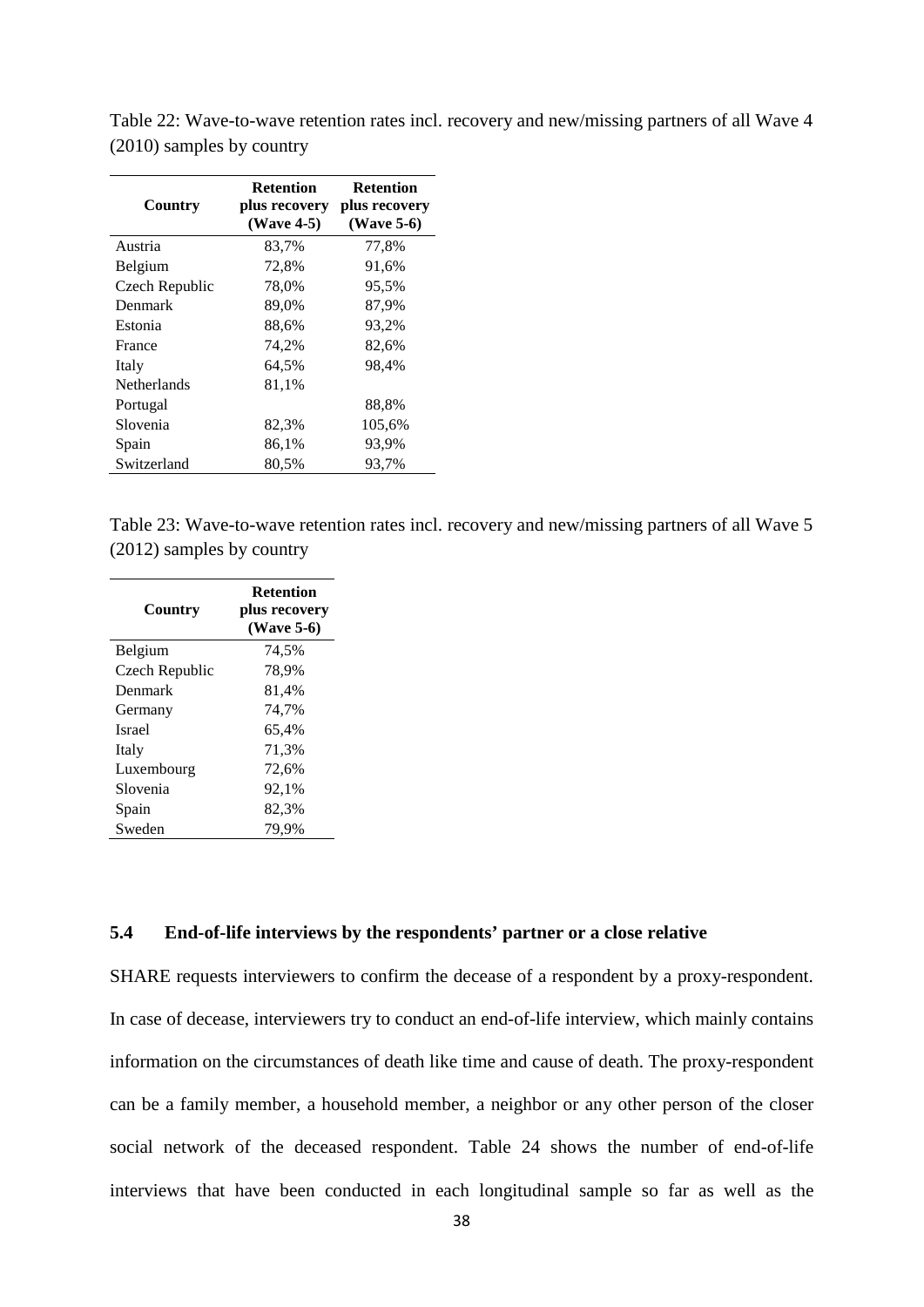| Country        | <b>Retention</b><br>plus recovery<br>(Wave 4-5) | <b>Retention</b><br>plus recovery<br>$(Wave 5-6)$ |
|----------------|-------------------------------------------------|---------------------------------------------------|
| Austria        | 83,7%                                           | 77,8%                                             |
| Belgium        | 72,8%                                           | 91,6%                                             |
| Czech Republic | 78,0%                                           | 95,5%                                             |
| Denmark        | 89,0%                                           | 87,9%                                             |
| Estonia        | 88,6%                                           | 93,2%                                             |
| France         | 74,2%                                           | 82,6%                                             |
| Italy          | 64,5%                                           | 98,4%                                             |
| Netherlands    | 81,1%                                           |                                                   |
| Portugal       |                                                 | 88,8%                                             |
| Slovenia       | 82,3%                                           | 105,6%                                            |
| Spain          | 86,1%                                           | 93,9%                                             |
| Switzerland    | 80,5%                                           | 93,7%                                             |

<span id="page-38-1"></span>Table 22: Wave-to-wave retention rates incl. recovery and new/missing partners of all Wave 4 (2010) samples by country

<span id="page-38-2"></span>Table 23: Wave-to-wave retention rates incl. recovery and new/missing partners of all Wave 5 (2012) samples by country

| Country        | <b>Retention</b><br>plus recovery<br>(Wave 5-6) |
|----------------|-------------------------------------------------|
| Belgium        | 74,5%                                           |
| Czech Republic | 78,9%                                           |
| Denmark        | 81,4%                                           |
| Germany        | 74,7%                                           |
| Israel         | 65,4%                                           |
| Italy          | 71,3%                                           |
| Luxembourg     | 72,6%                                           |
| Slovenia       | 92,1%                                           |
| Spain          | 82,3%                                           |
| Sweden         | 79.9%                                           |

#### <span id="page-38-0"></span>**5.4 End-of-life interviews by the respondents' partner or a close relative**

SHARE requests interviewers to confirm the decease of a respondent by a proxy-respondent. In case of decease, interviewers try to conduct an end-of-life interview, which mainly contains information on the circumstances of death like time and cause of death. The proxy-respondent can be a family member, a household member, a neighbor or any other person of the closer social network of the deceased respondent. [Table 24](#page-39-0) shows the number of end-of-life interviews that have been conducted in each longitudinal sample so far as well as the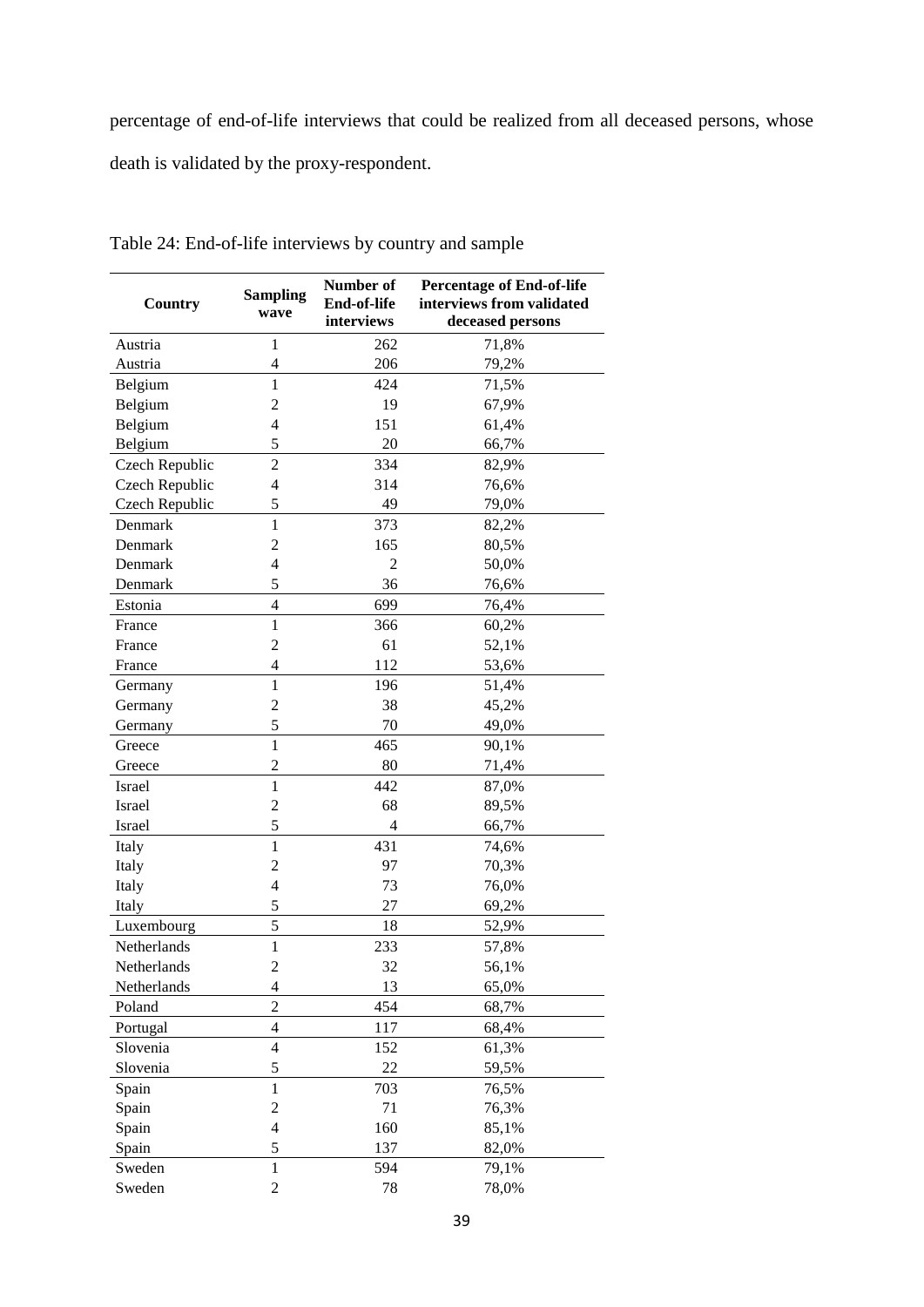percentage of end-of-life interviews that could be realized from all deceased persons, whose

death is validated by the proxy-respondent.

| Country        | <b>Sampling</b><br>wave  | Number of<br>End-of-life<br>interviews | <b>Percentage of End-of-life</b><br>interviews from validated<br>deceased persons |
|----------------|--------------------------|----------------------------------------|-----------------------------------------------------------------------------------|
| Austria        | $\mathbf{1}$             | 262                                    | 71,8%                                                                             |
| Austria        | 4                        | 206                                    | 79,2%                                                                             |
| Belgium        | $\mathbf{1}$             | 424                                    | 71,5%                                                                             |
| Belgium        | $\overline{c}$           | 19                                     | 67,9%                                                                             |
| Belgium        | 4                        | 151                                    | 61,4%                                                                             |
| Belgium        | 5                        | 20                                     | 66,7%                                                                             |
| Czech Republic | $\overline{c}$           | 334                                    | 82,9%                                                                             |
| Czech Republic | 4                        | 314                                    | 76,6%                                                                             |
| Czech Republic | 5                        | 49                                     | 79,0%                                                                             |
| Denmark        | $\mathbf{1}$             | 373                                    | 82,2%                                                                             |
| Denmark        | $\overline{c}$           | 165                                    | 80,5%                                                                             |
| Denmark        | 4                        | $\overline{2}$                         | 50,0%                                                                             |
| Denmark        | 5                        | 36                                     | 76,6%                                                                             |
| Estonia        | $\overline{\mathcal{L}}$ | 699                                    | 76,4%                                                                             |
| France         | $\mathbf{1}$             | 366                                    | 60,2%                                                                             |
| France         | $\overline{c}$           | 61                                     | 52,1%                                                                             |
| France         | $\overline{\mathcal{L}}$ | 112                                    | 53,6%                                                                             |
| Germany        | $\mathbf{1}$             | 196                                    | 51,4%                                                                             |
| Germany        | $\overline{c}$           | 38                                     | 45,2%                                                                             |
| Germany        | 5                        | 70                                     | 49,0%                                                                             |
| Greece         | $\mathbf{1}$             | 465                                    | 90,1%                                                                             |
| Greece         | $\overline{c}$           | 80                                     | 71,4%                                                                             |
| Israel         | $\mathbf{1}$             | 442                                    | 87,0%                                                                             |
| Israel         | $\overline{c}$           | 68                                     | 89,5%                                                                             |
| Israel         | 5                        | $\overline{4}$                         | 66,7%                                                                             |
| Italy          | $\mathbf{1}$             | 431                                    | 74,6%                                                                             |
| Italy          | 2                        | 97                                     | 70,3%                                                                             |
| Italy          | 4                        | 73                                     | 76,0%                                                                             |
| Italy          | 5                        | 27                                     | 69,2%                                                                             |
| Luxembourg     | 5                        | 18                                     | 52,9%                                                                             |
| Netherlands    | $\mathbf{1}$             | 233                                    | 57,8%                                                                             |
| Netherlands    | $\overline{\mathbf{c}}$  | 32                                     | 56,1%                                                                             |
| Netherlands    | $\overline{\mathcal{L}}$ | 13                                     | 65,0%                                                                             |
| Poland         | $\overline{2}$           | 454                                    | 68,7%                                                                             |
| Portugal       | $\overline{4}$           | 117                                    | 68,4%                                                                             |
| Slovenia       | 4                        | 152                                    | 61,3%                                                                             |
| Slovenia       | 5                        | 22                                     | 59,5%                                                                             |
| Spain          | $\mathbf{1}$             | 703                                    | 76,5%                                                                             |
| Spain          | $\overline{c}$           | 71                                     | 76,3%                                                                             |
| Spain          | $\overline{4}$           | 160                                    | 85,1%                                                                             |
| Spain          | 5                        | 137                                    | 82,0%                                                                             |
| Sweden         | $\mathbf{1}$             | 594                                    | 79,1%                                                                             |
| Sweden         | $\overline{2}$           | 78                                     | 78,0%                                                                             |

<span id="page-39-0"></span>Table 24: End-of-life interviews by country and sample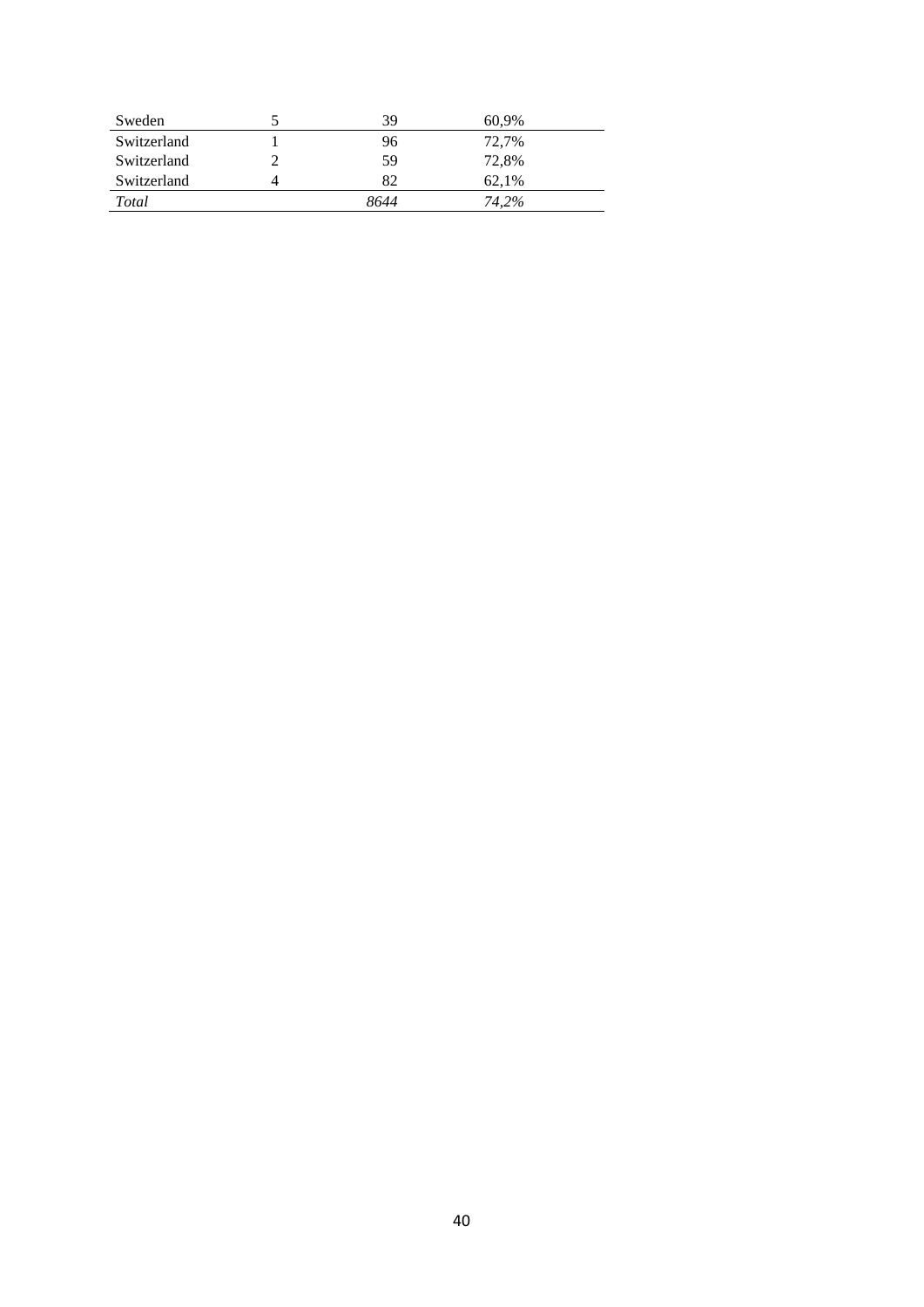| Sweden      | 39   | 60,9% |
|-------------|------|-------|
| Switzerland | 96   | 72,7% |
| Switzerland | 59   | 72,8% |
| Switzerland | 82   | 62.1% |
| Total       | 8644 | 74.2% |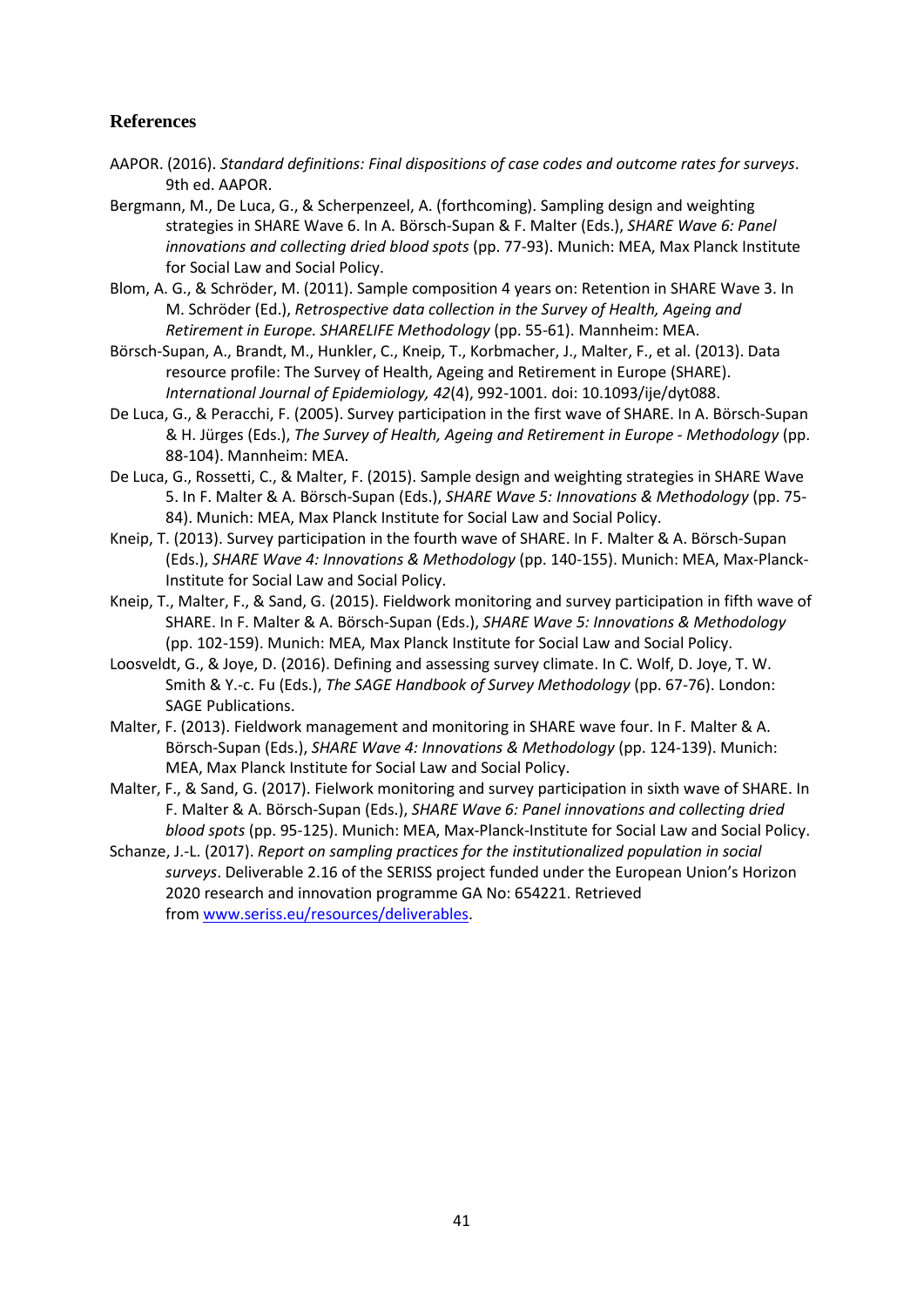### <span id="page-41-0"></span>**References**

- <span id="page-41-11"></span>AAPOR. (2016). *Standard definitions: Final dispositions of case codes and outcome rates for surveys*. 9th ed. AAPOR.
- <span id="page-41-8"></span>Bergmann, M., De Luca, G., & Scherpenzeel, A. (forthcoming). Sampling design and weighting strategies in SHARE Wave 6. In A. Börsch-Supan & F. Malter (Eds.), *SHARE Wave 6: Panel innovations and collecting dried blood spots* (pp. 77-93). Munich: MEA, Max Planck Institute for Social Law and Social Policy.
- <span id="page-41-2"></span>Blom, A. G., & Schröder, M. (2011). Sample composition 4 years on: Retention in SHARE Wave 3. In M. Schröder (Ed.), *Retrospective data collection in the Survey of Health, Ageing and Retirement in Europe. SHARELIFE Methodology* (pp. 55-61). Mannheim: MEA.
- <span id="page-41-1"></span>Börsch-Supan, A., Brandt, M., Hunkler, C., Kneip, T., Korbmacher, J., Malter, F., et al. (2013). Data resource profile: The Survey of Health, Ageing and Retirement in Europe (SHARE). *International Journal of Epidemiology, 42*(4), 992-1001. doi: 10.1093/ije/dyt088.
- <span id="page-41-3"></span>De Luca, G., & Peracchi, F. (2005). Survey participation in the first wave of SHARE. In A. Börsch-Supan & H. Jürges (Eds.), *The Survey of Health, Ageing and Retirement in Europe - Methodology* (pp. 88-104). Mannheim: MEA.
- <span id="page-41-9"></span>De Luca, G., Rossetti, C., & Malter, F. (2015). Sample design and weighting strategies in SHARE Wave 5. In F. Malter & A. Börsch-Supan (Eds.), *SHARE Wave 5: Innovations & Methodology* (pp. 75- 84). Munich: MEA, Max Planck Institute for Social Law and Social Policy.
- <span id="page-41-4"></span>Kneip, T. (2013). Survey participation in the fourth wave of SHARE. In F. Malter & A. Börsch-Supan (Eds.), *SHARE Wave 4: Innovations & Methodology* (pp. 140-155). Munich: MEA, Max-Planck-Institute for Social Law and Social Policy.
- <span id="page-41-5"></span>Kneip, T., Malter, F., & Sand, G. (2015). Fieldwork monitoring and survey participation in fifth wave of SHARE. In F. Malter & A. Börsch-Supan (Eds.), *SHARE Wave 5: Innovations & Methodology* (pp. 102-159). Munich: MEA, Max Planck Institute for Social Law and Social Policy.
- <span id="page-41-12"></span>Loosveldt, G., & Joye, D. (2016). Defining and assessing survey climate. In C. Wolf, D. Joye, T. W. Smith & Y.-c. Fu (Eds.), *The SAGE Handbook of Survey Methodology* (pp. 67-76). London: SAGE Publications.
- <span id="page-41-6"></span>Malter, F. (2013). Fieldwork management and monitoring in SHARE wave four. In F. Malter & A. Börsch-Supan (Eds.), *SHARE Wave 4: Innovations & Methodology* (pp. 124-139). Munich: MEA, Max Planck Institute for Social Law and Social Policy.
- <span id="page-41-7"></span>Malter, F., & Sand, G. (2017). Fielwork monitoring and survey participation in sixth wave of SHARE. In F. Malter & A. Börsch-Supan (Eds.), *SHARE Wave 6: Panel innovations and collecting dried blood spots* (pp. 95-125). Munich: MEA, Max-Planck-Institute for Social Law and Social Policy.
- <span id="page-41-10"></span>Schanze, J.-L. (2017). *Report on sampling practices for the institutionalized population in social surveys*. Deliverable 2.16 of the SERISS project funded under the European Union's Horizon 2020 research and innovation programme GA No: 654221. Retrieved from [www.seriss.eu/resources/deliverables.](http://www.seriss.eu/resources/deliverables)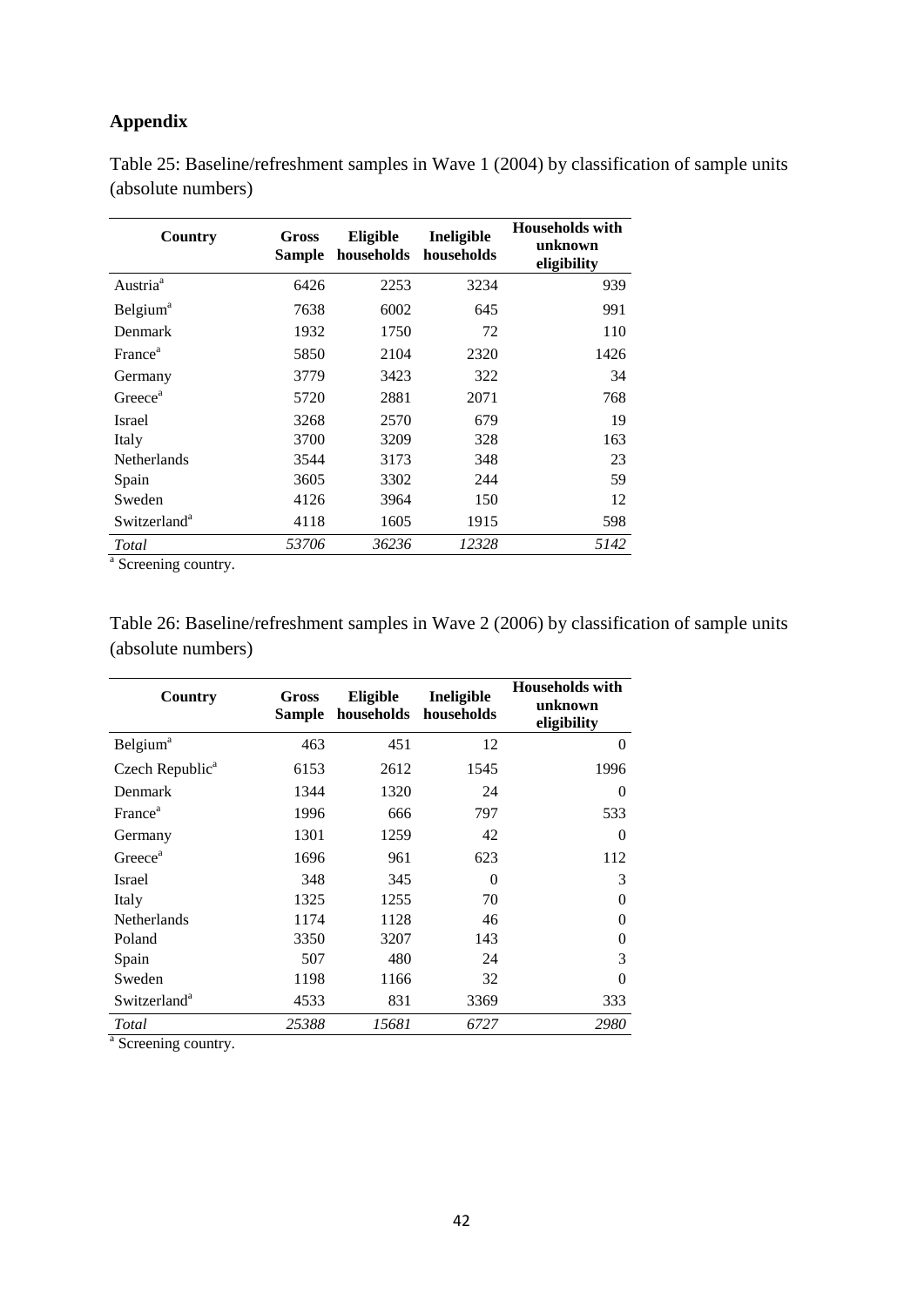## <span id="page-42-0"></span>**Appendix**

| Country                  | Gross<br>Sample | Eligible<br>households | Ineligible<br>households | <b>Households with</b><br>unknown<br>eligibility |
|--------------------------|-----------------|------------------------|--------------------------|--------------------------------------------------|
| Austria <sup>a</sup>     | 6426            | 2253                   | 3234                     | 939                                              |
| Belgium <sup>a</sup>     | 7638            | 6002                   | 645                      | 991                                              |
| Denmark                  | 1932            | 1750                   | 72                       | 110                                              |
| France <sup>a</sup>      | 5850            | 2104                   | 2320                     | 1426                                             |
| Germany                  | 3779            | 3423                   | 322                      | 34                                               |
| Greece <sup>a</sup>      | 5720            | 2881                   | 2071                     | 768                                              |
| <b>Israel</b>            | 3268            | 2570                   | 679                      | 19                                               |
| Italy                    | 3700            | 3209                   | 328                      | 163                                              |
| Netherlands              | 3544            | 3173                   | 348                      | 23                                               |
| Spain                    | 3605            | 3302                   | 244                      | 59                                               |
| Sweden                   | 4126            | 3964                   | 150                      | 12                                               |
| Switzerland <sup>a</sup> | 4118            | 1605                   | 1915                     | 598                                              |
| Total                    | 53706           | 36236                  | 12328                    | 5142                                             |

<span id="page-42-1"></span>Table 25: Baseline/refreshment samples in Wave 1 (2004) by classification of sample units (absolute numbers)

<sup>a</sup> Screening country.

<span id="page-42-2"></span>

| Table 26: Baseline/refreshment samples in Wave 2 (2006) by classification of sample units |  |  |  |
|-------------------------------------------------------------------------------------------|--|--|--|
| (absolute numbers)                                                                        |  |  |  |

| Country                     | Gross<br>Sample | Eligible<br>households | Ineligible<br>households | <b>Households with</b><br>unknown<br>eligibility |
|-----------------------------|-----------------|------------------------|--------------------------|--------------------------------------------------|
| <b>Belgium</b> <sup>a</sup> | 463             | 451                    | 12                       | $\Omega$                                         |
| Czech Republic <sup>a</sup> | 6153            | 2612                   | 1545                     | 1996                                             |
| Denmark                     | 1344            | 1320                   | 24                       | $\Omega$                                         |
| France <sup>a</sup>         | 1996            | 666                    | 797                      | 533                                              |
| Germany                     | 1301            | 1259                   | 42                       | $\Omega$                                         |
| Greece <sup>a</sup>         | 1696            | 961                    | 623                      | 112                                              |
| <b>Israel</b>               | 348             | 345                    | 0                        | 3                                                |
| Italy                       | 1325            | 1255                   | 70                       | $\Omega$                                         |
| <b>Netherlands</b>          | 1174            | 1128                   | 46                       | $\Omega$                                         |
| Poland                      | 3350            | 3207                   | 143                      | $\Omega$                                         |
| Spain                       | 507             | 480                    | 24                       | 3                                                |
| Sweden                      | 1198            | 1166                   | 32                       | $\Omega$                                         |
| Switzerland <sup>a</sup>    | 4533            | 831                    | 3369                     | 333                                              |
| Total                       | 25388           | 15681                  | 6727                     | 2980                                             |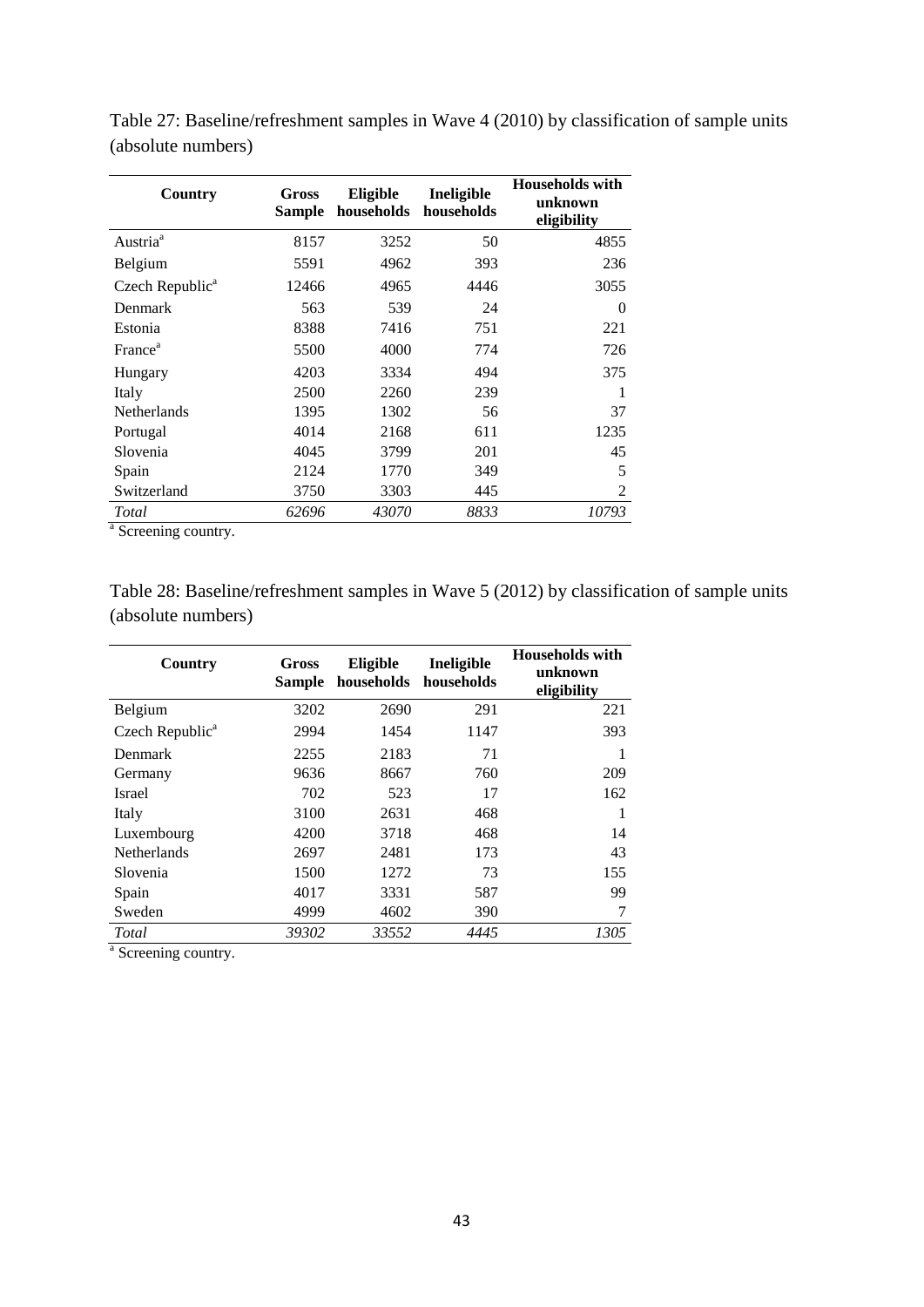| Country                     | Gross<br>Sample | Eligible<br>households | Ineligible<br>households | <b>Households</b> with<br>unknown<br>eligibility |
|-----------------------------|-----------------|------------------------|--------------------------|--------------------------------------------------|
| Austria <sup>a</sup>        | 8157            | 3252                   | 50                       | 4855                                             |
| Belgium                     | 5591            | 4962                   | 393                      | 236                                              |
| Czech Republic <sup>a</sup> | 12466           | 4965                   | 4446                     | 3055                                             |
| Denmark                     | 563             | 539                    | 24                       | $\Omega$                                         |
| Estonia                     | 8388            | 7416                   | 751                      | 221                                              |
| France <sup>a</sup>         | 5500            | 4000                   | 774                      | 726                                              |
| Hungary                     | 4203            | 3334                   | 494                      | 375                                              |
| Italy                       | 2500            | 2260                   | 239                      | 1                                                |
| Netherlands                 | 1395            | 1302                   | 56                       | 37                                               |
| Portugal                    | 4014            | 2168                   | 611                      | 1235                                             |
| Slovenia                    | 4045            | 3799                   | 201                      | 45                                               |
| Spain                       | 2124            | 1770                   | 349                      | 5                                                |
| Switzerland                 | 3750            | 3303                   | 445                      | $\overline{2}$                                   |
| Total                       | 62696           | 43070                  | 8833                     | 10793                                            |

<span id="page-43-0"></span>Table 27: Baseline/refreshment samples in Wave 4 (2010) by classification of sample units (absolute numbers)

<sup>a</sup> Screening country.

<span id="page-43-1"></span>Table 28: Baseline/refreshment samples in Wave 5 (2012) by classification of sample units (absolute numbers)

| Country                     | <b>Gross</b><br><b>Sample</b> | <b>Eligible</b><br>households | Ineligible<br>households | <b>Households with</b><br>unknown<br>eligibility |
|-----------------------------|-------------------------------|-------------------------------|--------------------------|--------------------------------------------------|
| Belgium                     | 3202                          | 2690                          | 291                      | 221                                              |
| Czech Republic <sup>a</sup> | 2994                          | 1454                          | 1147                     | 393                                              |
| <b>Denmark</b>              | 2255                          | 2183                          | 71                       |                                                  |
| Germany                     | 9636                          | 8667                          | 760                      | 209                                              |
| <b>Israel</b>               | 702                           | 523                           | 17                       | 162                                              |
| Italy                       | 3100                          | 2631                          | 468                      | 1                                                |
| Luxembourg                  | 4200                          | 3718                          | 468                      | 14                                               |
| Netherlands                 | 2697                          | 2481                          | 173                      | 43                                               |
| Slovenia                    | 1500                          | 1272                          | 73                       | 155                                              |
| Spain                       | 4017                          | 3331                          | 587                      | 99                                               |
| Sweden                      | 4999                          | 4602                          | 390                      | 7                                                |
| Total                       | 39302                         | 33552                         | 4445                     | 1305                                             |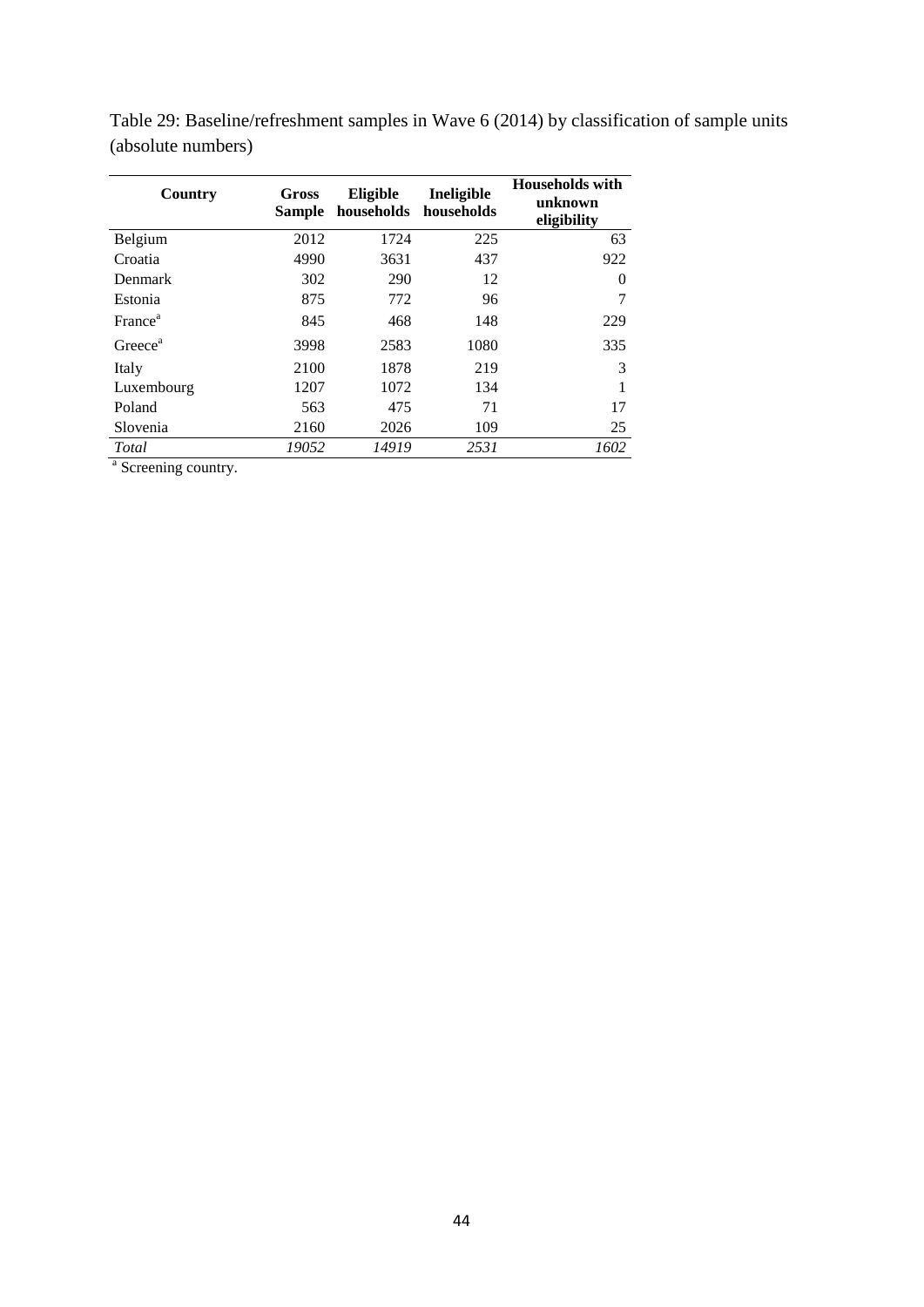| Country             | Gross<br><b>Sample</b> | Eligible | Ineligible<br>households households | <b>Households with</b><br>unknown<br>eligibility |
|---------------------|------------------------|----------|-------------------------------------|--------------------------------------------------|
| Belgium             | 2012                   | 1724     | 225                                 | 63                                               |
| Croatia             | 4990                   | 3631     | 437                                 | 922                                              |
| Denmark             | 302                    | 290      | 12                                  | 0                                                |
| Estonia             | 875                    | 772      | 96                                  | 7                                                |
| France <sup>a</sup> | 845                    | 468      | 148                                 | 229                                              |
| Greece <sup>a</sup> | 3998                   | 2583     | 1080                                | 335                                              |
| Italy               | 2100                   | 1878     | 219                                 | 3                                                |
| Luxembourg          | 1207                   | 1072     | 134                                 | 1                                                |
| Poland              | 563                    | 475      | 71                                  | 17                                               |
| Slovenia            | 2160                   | 2026     | 109                                 | 25                                               |
| Total               | 19052                  | 14919    | 2531                                | 1602                                             |

<span id="page-44-0"></span>Table 29: Baseline/refreshment samples in Wave 6 (2014) by classification of sample units (absolute numbers)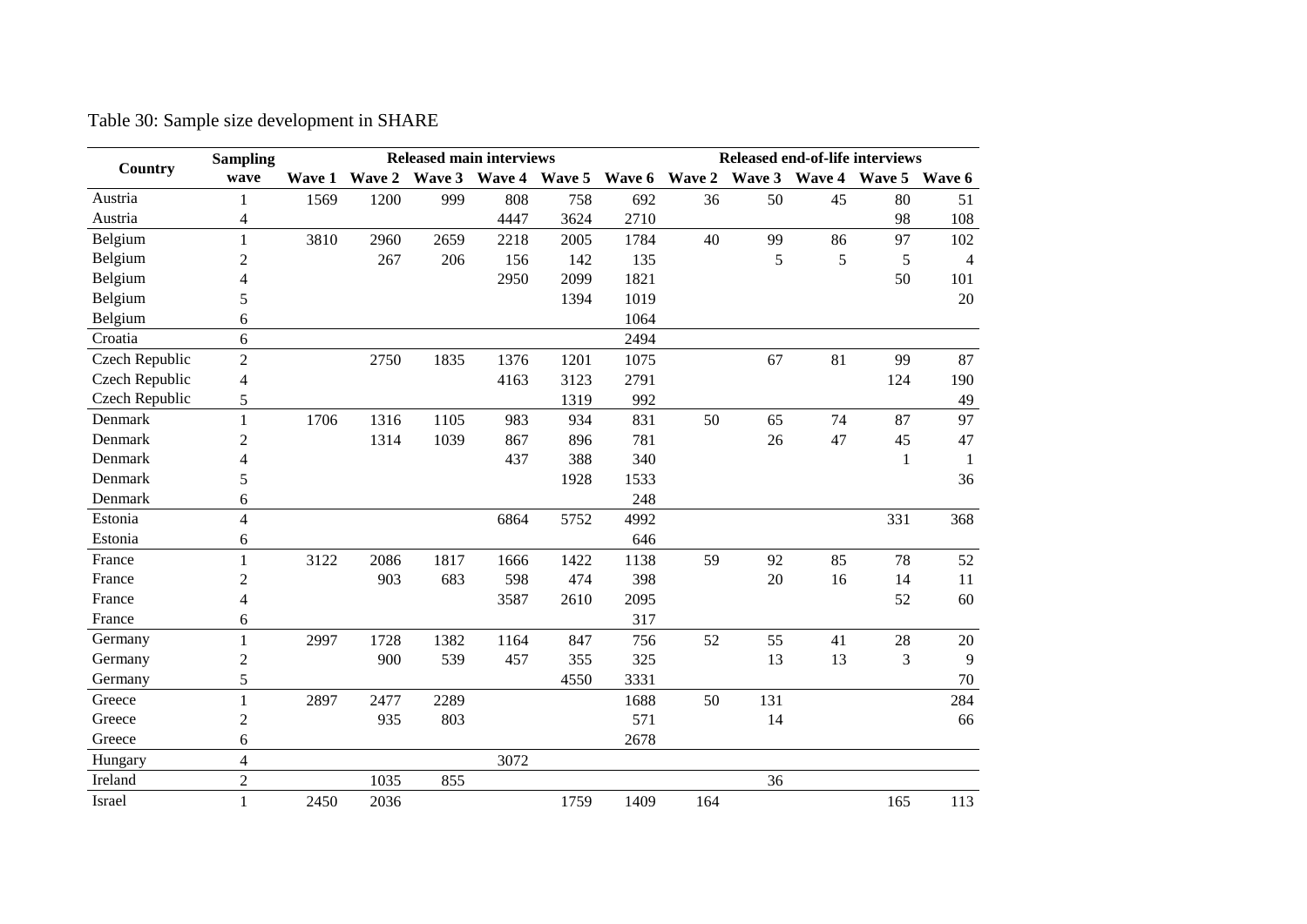<span id="page-45-0"></span>

|                | <b>Sampling</b>          |        |        | <b>Released main interviews</b> |      |                      |               | Released end-of-life interviews |     |                             |                |              |  |
|----------------|--------------------------|--------|--------|---------------------------------|------|----------------------|---------------|---------------------------------|-----|-----------------------------|----------------|--------------|--|
| Country        | wave                     | Wave 1 | Wave 2 |                                 |      | Wave 3 Wave 4 Wave 5 | Wave 6 Wave 2 |                                 |     | Wave 3 Wave 4 Wave 5 Wave 6 |                |              |  |
| Austria        | 1                        | 1569   | 1200   | 999                             | 808  | 758                  | 692           | 36                              | 50  | 45                          | 80             | 51           |  |
| Austria        | 4                        |        |        |                                 | 4447 | 3624                 | 2710          |                                 |     |                             | 98             | 108          |  |
| Belgium        | 1                        | 3810   | 2960   | 2659                            | 2218 | 2005                 | 1784          | 40                              | 99  | 86                          | 97             | 102          |  |
| Belgium        | 2                        |        | 267    | 206                             | 156  | 142                  | 135           |                                 | 5   | 5                           | 5              | 4            |  |
| Belgium        | 4                        |        |        |                                 | 2950 | 2099                 | 1821          |                                 |     |                             | 50             | 101          |  |
| Belgium        | 5                        |        |        |                                 |      | 1394                 | 1019          |                                 |     |                             |                | 20           |  |
| Belgium        | 6                        |        |        |                                 |      |                      | 1064          |                                 |     |                             |                |              |  |
| Croatia        | 6                        |        |        |                                 |      |                      | 2494          |                                 |     |                             |                |              |  |
| Czech Republic | $\overline{2}$           |        | 2750   | 1835                            | 1376 | 1201                 | 1075          |                                 | 67  | 81                          | 99             | 87           |  |
| Czech Republic | 4                        |        |        |                                 | 4163 | 3123                 | 2791          |                                 |     |                             | 124            | 190          |  |
| Czech Republic | 5                        |        |        |                                 |      | 1319                 | 992           |                                 |     |                             |                | 49           |  |
| Denmark        | 1                        | 1706   | 1316   | 1105                            | 983  | 934                  | 831           | 50                              | 65  | 74                          | 87             | 97           |  |
| Denmark        | 2                        |        | 1314   | 1039                            | 867  | 896                  | 781           |                                 | 26  | 47                          | 45             | 47           |  |
| Denmark        | 4                        |        |        |                                 | 437  | 388                  | 340           |                                 |     |                             | $\mathbf{1}$   | $\mathbf{1}$ |  |
| Denmark        | 5                        |        |        |                                 |      | 1928                 | 1533          |                                 |     |                             |                | 36           |  |
| Denmark        | 6                        |        |        |                                 |      |                      | 248           |                                 |     |                             |                |              |  |
| Estonia        | 4                        |        |        |                                 | 6864 | 5752                 | 4992          |                                 |     |                             | 331            | 368          |  |
| Estonia        | 6                        |        |        |                                 |      |                      | 646           |                                 |     |                             |                |              |  |
| France         | $\mathbf{1}$             | 3122   | 2086   | 1817                            | 1666 | 1422                 | 1138          | 59                              | 92  | 85                          | 78             | 52           |  |
| France         | $\overline{c}$           |        | 903    | 683                             | 598  | 474                  | 398           |                                 | 20  | 16                          | 14             | 11           |  |
| France         | 4                        |        |        |                                 | 3587 | 2610                 | 2095          |                                 |     |                             | 52             | 60           |  |
| France         | 6                        |        |        |                                 |      |                      | 317           |                                 |     |                             |                |              |  |
| Germany        | 1                        | 2997   | 1728   | 1382                            | 1164 | 847                  | 756           | 52                              | 55  | 41                          | 28             | 20           |  |
| Germany        | $\boldsymbol{2}$         |        | 900    | 539                             | 457  | 355                  | 325           |                                 | 13  | 13                          | $\mathfrak{Z}$ | 9            |  |
| Germany        | 5                        |        |        |                                 |      | 4550                 | 3331          |                                 |     |                             |                | 70           |  |
| Greece         | 1                        | 2897   | 2477   | 2289                            |      |                      | 1688          | 50                              | 131 |                             |                | 284          |  |
| Greece         | $\overline{c}$           |        | 935    | 803                             |      |                      | 571           |                                 | 14  |                             |                | 66           |  |
| Greece         | 6                        |        |        |                                 |      |                      | 2678          |                                 |     |                             |                |              |  |
| Hungary        | $\overline{\mathcal{L}}$ |        |        |                                 | 3072 |                      |               |                                 |     |                             |                |              |  |
| Ireland        | $\overline{c}$           |        | 1035   | 855                             |      |                      |               |                                 | 36  |                             |                |              |  |
| Israel         | $\mathbf{1}$             | 2450   | 2036   |                                 |      | 1759                 | 1409          | 164                             |     |                             | 165            | 113          |  |

Table 30: Sample size development in SHARE